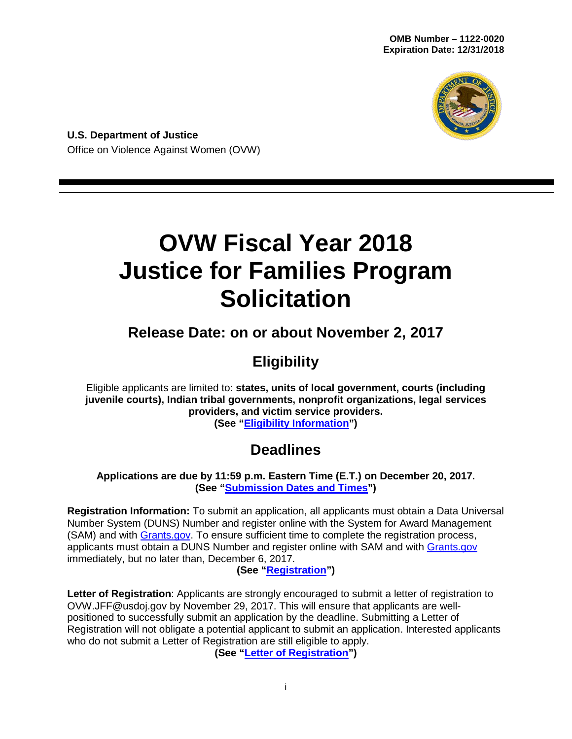

**U.S. Department of Justice** Office on Violence Against Women (OVW)

# **OVW Fiscal Year 2018 Justice for Families Program Solicitation**

# **Release Date: on or about November 2, 2017**

# **Eligibility**

Eligible applicants are limited to: **states, units of local government, courts (including juvenile courts), Indian tribal governments, nonprofit organizations, legal services providers, and victim service providers.**

**(See ["Eligibility Information"](#page-11-0))**

# **Deadlines**

**Applications are due by 11:59 p.m. Eastern Time (E.T.) on December 20, 2017. (See ["Submission Dates and Times"](#page-28-0))** 

**Registration Information:** To submit an application, all applicants must obtain a Data Universal Number System (DUNS) Number and register online with the System for Award Management (SAM) and with [Grants.gov.](http://www.grants.gov/) To ensure sufficient time to complete the registration process, applicants must obtain a DUNS Number and register online with SAM and with [Grants.gov](http://www.grants.gov/) immediately, but no later than, December 6, 2017.

#### **(See ["Registration"](#page-27-0))**

**Letter of Registration**: Applicants are strongly encouraged to submit a letter of registration to OVW.JFF@usdoj.gov by November 29, 2017. This will ensure that applicants are wellpositioned to successfully submit an application by the deadline. Submitting a Letter of Registration will not obligate a potential applicant to submit an application. Interested applicants who do not submit a Letter of Registration are still eligible to apply.

**(See ["Letter of Registration"](#page-15-0))**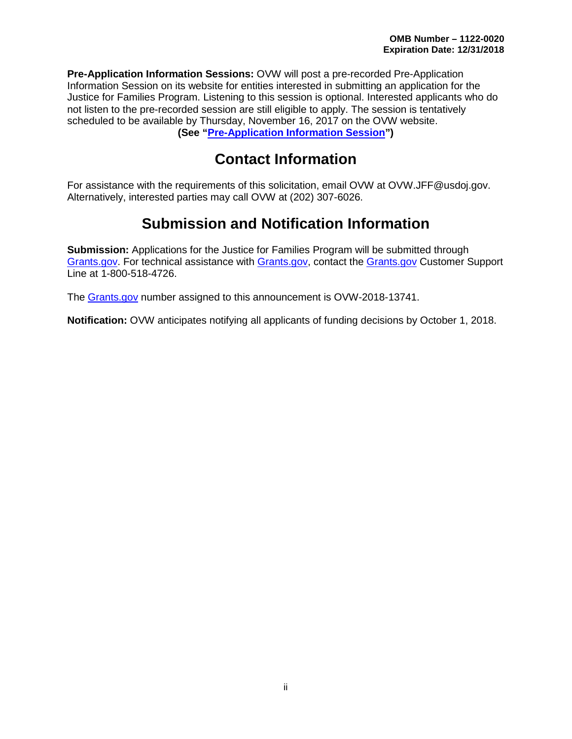**Pre-Application Information Sessions:** OVW will post a pre-recorded Pre-Application Information Session on its website for entities interested in submitting an application for the Justice for Families Program. Listening to this session is optional. Interested applicants who do not listen to the pre-recorded session are still eligible to apply. The session is tentatively scheduled to be available by Thursday, November 16, 2017 on the OVW website. **(See ["Pre-Application Information Session"](#page-15-1))**

## **Contact Information**

For assistance with the requirements of this solicitation, email OVW at OVW.JFF@usdoj.gov. Alternatively, interested parties may call OVW at (202) 307-6026.

# **Submission and Notification Information**

**Submission:** Applications for the Justice for Families Program will be submitted through [Grants.gov.](http://www.grants.gov/) For technical assistance with [Grants.gov,](http://www.grants.gov/) contact the [Grants.gov](http://www.grants.gov/) Customer Support Line at 1-800-518-4726.

The [Grants.gov](http://www.grants.gov/) number assigned to this announcement is OVW-2018-13741.

**Notification:** OVW anticipates notifying all applicants of funding decisions by October 1, 2018.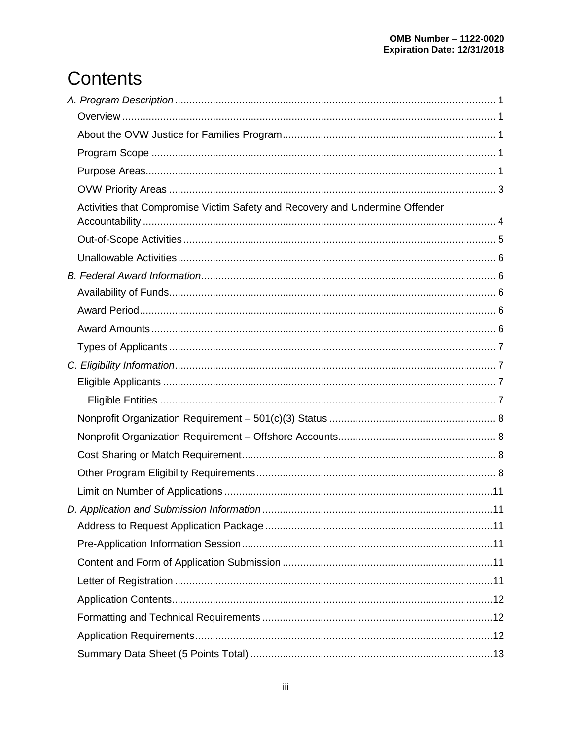# **Contents**

| Activities that Compromise Victim Safety and Recovery and Undermine Offender |  |
|------------------------------------------------------------------------------|--|
|                                                                              |  |
|                                                                              |  |
|                                                                              |  |
|                                                                              |  |
|                                                                              |  |
|                                                                              |  |
|                                                                              |  |
|                                                                              |  |
|                                                                              |  |
|                                                                              |  |
|                                                                              |  |
|                                                                              |  |
|                                                                              |  |
|                                                                              |  |
|                                                                              |  |
|                                                                              |  |
|                                                                              |  |
|                                                                              |  |
|                                                                              |  |
|                                                                              |  |
|                                                                              |  |
|                                                                              |  |
|                                                                              |  |
|                                                                              |  |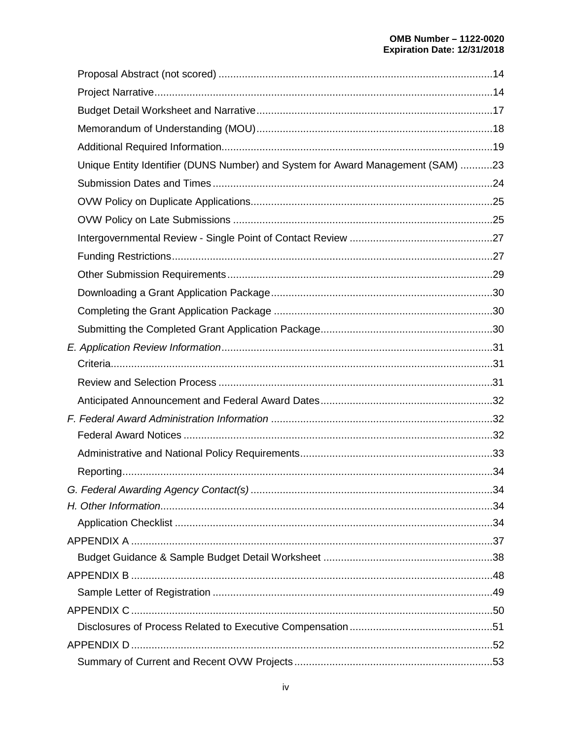| Unique Entity Identifier (DUNS Number) and System for Award Management (SAM) 23 |  |
|---------------------------------------------------------------------------------|--|
|                                                                                 |  |
|                                                                                 |  |
|                                                                                 |  |
|                                                                                 |  |
|                                                                                 |  |
|                                                                                 |  |
|                                                                                 |  |
|                                                                                 |  |
|                                                                                 |  |
|                                                                                 |  |
|                                                                                 |  |
|                                                                                 |  |
|                                                                                 |  |
|                                                                                 |  |
|                                                                                 |  |
|                                                                                 |  |
|                                                                                 |  |
|                                                                                 |  |
|                                                                                 |  |
|                                                                                 |  |
|                                                                                 |  |
|                                                                                 |  |
|                                                                                 |  |
|                                                                                 |  |
|                                                                                 |  |
|                                                                                 |  |
|                                                                                 |  |
|                                                                                 |  |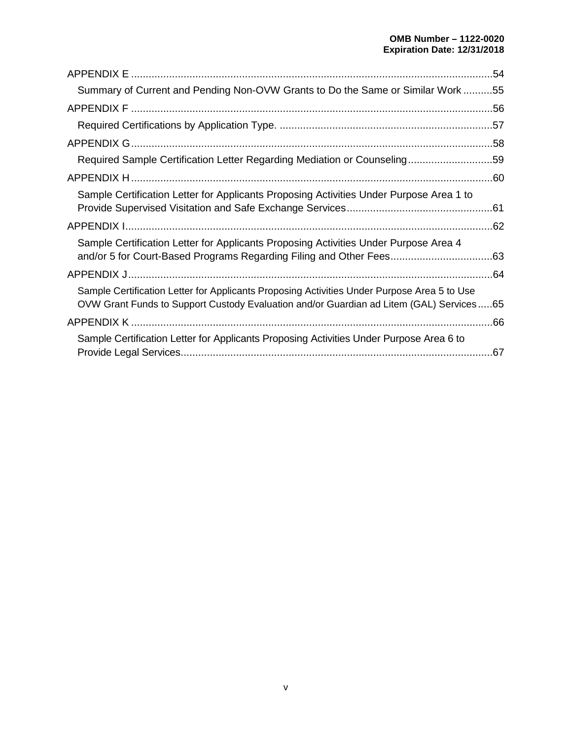|                                                                                                                                                                                        | .54 |
|----------------------------------------------------------------------------------------------------------------------------------------------------------------------------------------|-----|
| Summary of Current and Pending Non-OVW Grants to Do the Same or Similar Work 55                                                                                                        |     |
|                                                                                                                                                                                        |     |
|                                                                                                                                                                                        |     |
|                                                                                                                                                                                        |     |
| Required Sample Certification Letter Regarding Mediation or Counseling59                                                                                                               |     |
|                                                                                                                                                                                        |     |
| Sample Certification Letter for Applicants Proposing Activities Under Purpose Area 1 to                                                                                                | .61 |
|                                                                                                                                                                                        |     |
| Sample Certification Letter for Applicants Proposing Activities Under Purpose Area 4                                                                                                   |     |
|                                                                                                                                                                                        |     |
| Sample Certification Letter for Applicants Proposing Activities Under Purpose Area 5 to Use<br>OVW Grant Funds to Support Custody Evaluation and/or Guardian ad Litem (GAL) Services65 |     |
|                                                                                                                                                                                        |     |
| Sample Certification Letter for Applicants Proposing Activities Under Purpose Area 6 to                                                                                                | .67 |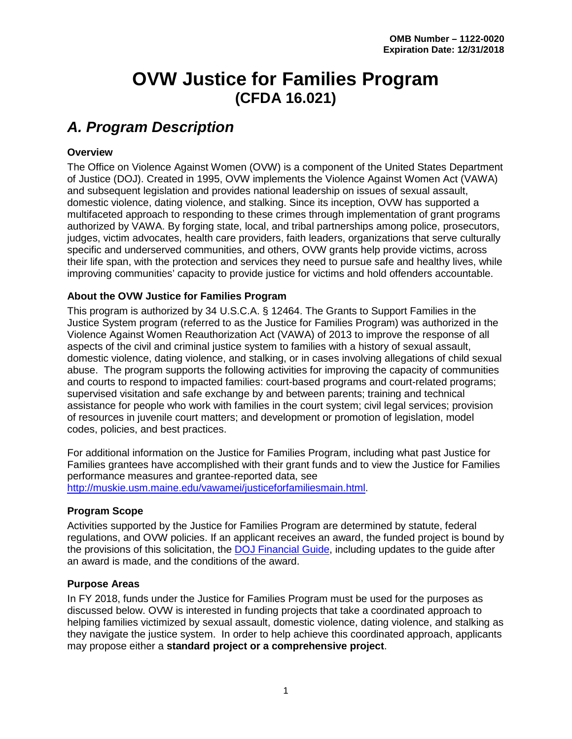# **OVW Justice for Families Program (CFDA 16.021)**

## <span id="page-5-0"></span>*A. Program Description*

#### <span id="page-5-1"></span>**Overview**

The Office on Violence Against Women (OVW) is a component of the United States Department of Justice (DOJ). Created in 1995, OVW implements the Violence Against Women Act (VAWA) and subsequent legislation and provides national leadership on issues of sexual assault, domestic violence, dating violence, and stalking. Since its inception, OVW has supported a multifaceted approach to responding to these crimes through implementation of grant programs authorized by VAWA. By forging state, local, and tribal partnerships among police, prosecutors, judges, victim advocates, health care providers, faith leaders, organizations that serve culturally specific and underserved communities, and others, OVW grants help provide victims, across their life span, with the protection and services they need to pursue safe and healthy lives, while improving communities' capacity to provide justice for victims and hold offenders accountable.

#### <span id="page-5-2"></span>**About the OVW Justice for Families Program**

This program is authorized by 34 U.S.C.A. § 12464. The Grants to Support Families in the Justice System program (referred to as the Justice for Families Program) was authorized in the Violence Against Women Reauthorization Act (VAWA) of 2013 to improve the response of all aspects of the civil and criminal justice system to families with a history of sexual assault, domestic violence, dating violence, and stalking, or in cases involving allegations of child sexual abuse. The program supports the following activities for improving the capacity of communities and courts to respond to impacted families: court-based programs and court-related programs; supervised visitation and safe exchange by and between parents; training and technical assistance for people who work with families in the court system; civil legal services; provision of resources in juvenile court matters; and development or promotion of legislation, model codes, policies, and best practices.

For additional information on the Justice for Families Program, including what past Justice for Families grantees have accomplished with their grant funds and to view the Justice for Families performance measures and grantee-reported data, see [http://muskie.usm.maine.edu/vawamei/justiceforfamiliesmain.html.](http://muskie.usm.maine.edu/vawamei/justiceforfamiliesmain.html)

#### <span id="page-5-3"></span>**Program Scope**

Activities supported by the Justice for Families Program are determined by statute, federal regulations, and OVW policies. If an applicant receives an award, the funded project is bound by the provisions of this solicitation, the [DOJ Financial Guide,](https://www.justice.gov/ovw/file/892031/download) including updates to the guide after an award is made, and the conditions of the award.

#### <span id="page-5-4"></span>**Purpose Areas**

In FY 2018, funds under the Justice for Families Program must be used for the purposes as discussed below. OVW is interested in funding projects that take a coordinated approach to helping families victimized by sexual assault, domestic violence, dating violence, and stalking as they navigate the justice system. In order to help achieve this coordinated approach, applicants may propose either a **standard project or a comprehensive project**.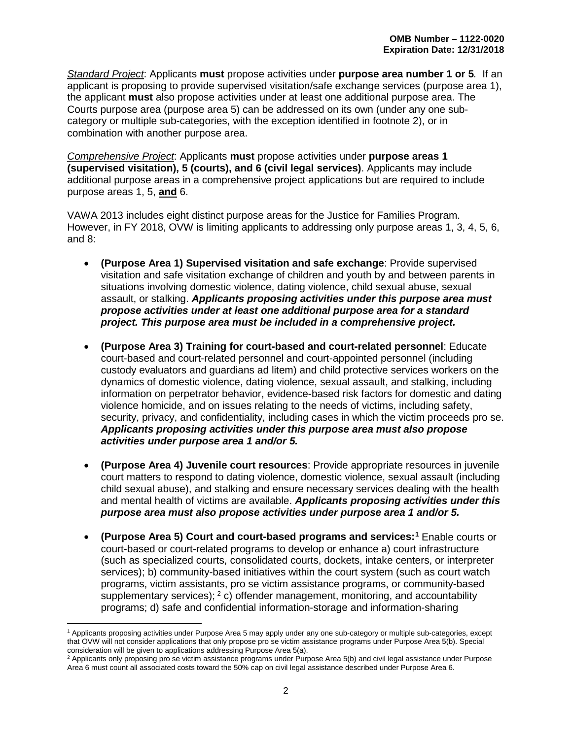*Standard Project*: Applicants **must** propose activities under **purpose area number 1 or 5***.* If an applicant is proposing to provide supervised visitation/safe exchange services (purpose area 1), the applicant **must** also propose activities under at least one additional purpose area. The Courts purpose area (purpose area 5) can be addressed on its own (under any one subcategory or multiple sub-categories, with the exception identified in footnote 2), or in combination with another purpose area.

*Comprehensive Project*: Applicants **must** propose activities under **purpose areas 1 (supervised visitation), 5 (courts), and 6 (civil legal services)**. Applicants may include additional purpose areas in a comprehensive project applications but are required to include purpose areas 1, 5, **and** 6.

VAWA 2013 includes eight distinct purpose areas for the Justice for Families Program. However, in FY 2018, OVW is limiting applicants to addressing only purpose areas 1, 3, 4, 5, 6, and 8:

- **(Purpose Area 1) Supervised visitation and safe exchange**: Provide supervised visitation and safe visitation exchange of children and youth by and between parents in situations involving domestic violence, dating violence, child sexual abuse, sexual assault, or stalking. *Applicants proposing activities under this purpose area must propose activities under at least one additional purpose area for a standard project. This purpose area must be included in a comprehensive project.*
- **(Purpose Area 3) Training for court-based and court-related personnel**: Educate court-based and court-related personnel and court-appointed personnel (including custody evaluators and guardians ad litem) and child protective services workers on the dynamics of domestic violence, dating violence, sexual assault, and stalking, including information on perpetrator behavior, evidence-based risk factors for domestic and dating violence homicide, and on issues relating to the needs of victims, including safety, security, privacy, and confidentiality, including cases in which the victim proceeds pro se. *Applicants proposing activities under this purpose area must also propose activities under purpose area 1 and/or 5.*
- **(Purpose Area 4) Juvenile court resources**: Provide appropriate resources in juvenile court matters to respond to dating violence, domestic violence, sexual assault (including child sexual abuse), and stalking and ensure necessary services dealing with the health and mental health of victims are available. *Applicants proposing activities under this purpose area must also propose activities under purpose area 1 and/or 5.*
- **(Purpose Area 5) Court and court-based programs and services:[1](#page-6-0)** Enable courts or court-based or court-related programs to develop or enhance a) court infrastructure (such as specialized courts, consolidated courts, dockets, intake centers, or interpreter services); b) community-based initiatives within the court system (such as court watch programs, victim assistants, pro se victim assistance programs, or community-based supplementary services);  $2$  c) offender management, monitoring, and accountability programs; d) safe and confidential information-storage and information-sharing

<span id="page-6-0"></span> $\overline{a}$ <sup>1</sup> Applicants proposing activities under Purpose Area 5 may apply under any one sub-category or multiple sub-categories, except that OVW will not consider applications that only propose pro se victim assistance programs under Purpose Area 5(b). Special consideration will be given to applications addressing Purpose Area 5(a).

<span id="page-6-1"></span><sup>&</sup>lt;sup>2</sup> Applicants only proposing pro se victim assistance programs under Purpose Area 5(b) and civil legal assistance under Purpose Area 6 must count all associated costs toward the 50% cap on civil legal assistance described under Purpose Area 6.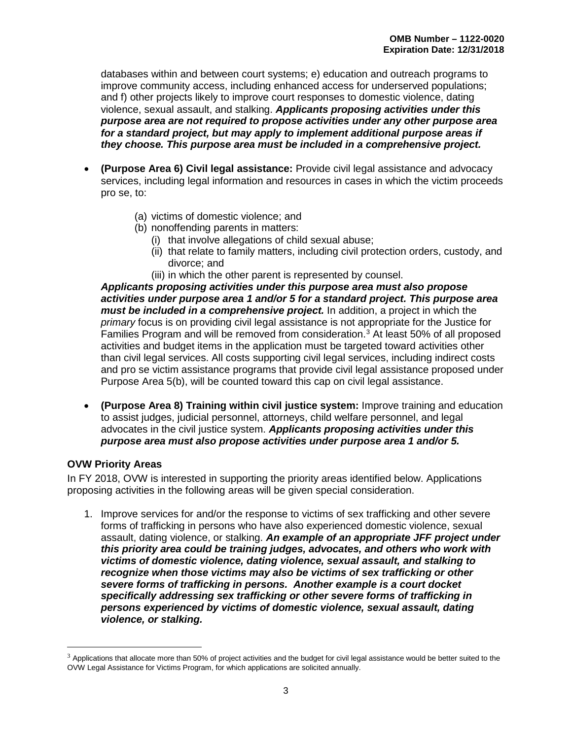databases within and between court systems; e) education and outreach programs to improve community access, including enhanced access for underserved populations; and f) other projects likely to improve court responses to domestic violence, dating violence, sexual assault, and stalking. *Applicants proposing activities under this purpose area are not required to propose activities under any other purpose area for a standard project, but may apply to implement additional purpose areas if they choose. This purpose area must be included in a comprehensive project.* 

- **(Purpose Area 6) Civil legal assistance:** Provide civil legal assistance and advocacy services, including legal information and resources in cases in which the victim proceeds pro se, to:
	- (a) victims of domestic violence; and
	- (b) nonoffending parents in matters:
		- (i) that involve allegations of child sexual abuse;
		- (ii) that relate to family matters, including civil protection orders, custody, and divorce; and
		- (iii) in which the other parent is represented by counsel.

*Applicants proposing activities under this purpose area must also propose activities under purpose area 1 and/or 5 for a standard project. This purpose area must be included in a comprehensive project.* In addition, a project in which the *primary* focus is on providing civil legal assistance is not appropriate for the Justice for Families Program and will be removed from consideration.<sup>[3](#page-7-1)</sup> At least 50% of all proposed activities and budget items in the application must be targeted toward activities other than civil legal services. All costs supporting civil legal services, including indirect costs and pro se victim assistance programs that provide civil legal assistance proposed under Purpose Area 5(b), will be counted toward this cap on civil legal assistance.

• **(Purpose Area 8) Training within civil justice system:** Improve training and education to assist judges, judicial personnel, attorneys, child welfare personnel, and legal advocates in the civil justice system. *Applicants proposing activities under this purpose area must also propose activities under purpose area 1 and/or 5.*

#### <span id="page-7-0"></span>**OVW Priority Areas**

 $\overline{a}$ 

In FY 2018, OVW is interested in supporting the priority areas identified below. Applications proposing activities in the following areas will be given special consideration.

1. Improve services for and/or the response to victims of sex trafficking and other severe forms of trafficking in persons who have also experienced domestic violence, sexual assault, dating violence, or stalking. *An example of an appropriate JFF project under this priority area could be training judges, advocates, and others who work with victims of domestic violence, dating violence, sexual assault, and stalking to recognize when those victims may also be victims of sex trafficking or other severe forms of trafficking in persons. Another example is a court docket specifically addressing sex trafficking or other severe forms of trafficking in persons experienced by victims of domestic violence, sexual assault, dating violence, or stalking.*

<span id="page-7-1"></span> $3$  Applications that allocate more than 50% of project activities and the budget for civil legal assistance would be better suited to the OVW Legal Assistance for Victims Program, for which applications are solicited annually.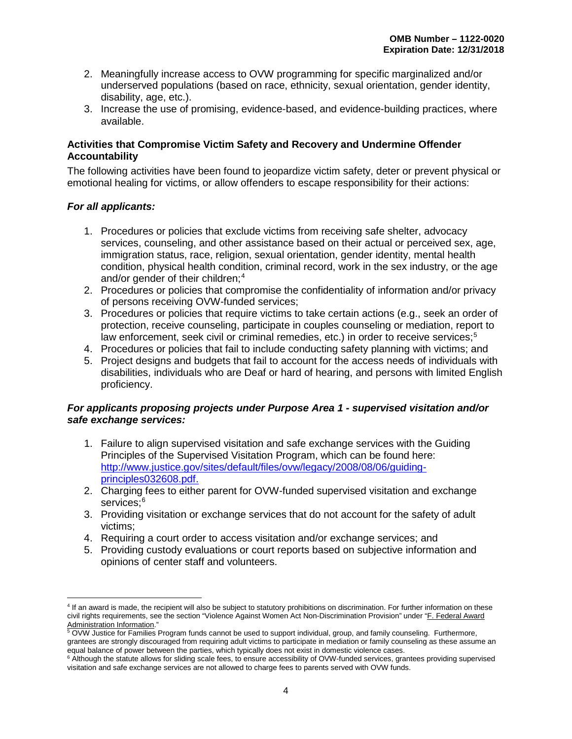- 2. Meaningfully increase access to OVW programming for specific marginalized and/or underserved populations (based on race, ethnicity, sexual orientation, gender identity, disability, age, etc.).
- 3. Increase the use of promising, evidence-based, and evidence-building practices, where available.

#### <span id="page-8-0"></span>**Activities that Compromise Victim Safety and Recovery and Undermine Offender Accountability**

The following activities have been found to jeopardize victim safety, deter or prevent physical or emotional healing for victims, or allow offenders to escape responsibility for their actions:

#### *For all applicants:*

- 1. Procedures or policies that exclude victims from receiving safe shelter, advocacy services, counseling, and other assistance based on their actual or perceived sex, age, immigration status, race, religion, sexual orientation, gender identity, mental health condition, physical health condition, criminal record, work in the sex industry, or the age and/or gender of their children;<sup>[4](#page-8-1)</sup>
- 2. Procedures or policies that compromise the confidentiality of information and/or privacy of persons receiving OVW-funded services;
- 3. Procedures or policies that require victims to take certain actions (e.g., seek an order of protection, receive counseling, participate in couples counseling or mediation, report to law enforcement, seek civil or criminal remedies, etc.) in order to receive services; [5](#page-8-2)
- 4. Procedures or policies that fail to include conducting safety planning with victims; and
- 5. Project designs and budgets that fail to account for the access needs of individuals with disabilities, individuals who are Deaf or hard of hearing, and persons with limited English proficiency.

#### *For applicants proposing projects under Purpose Area 1 - supervised visitation and/or safe exchange services:*

- 1. Failure to align supervised visitation and safe exchange services with the [Guiding](http://www.ovw.usdoj.gov/docs/guiding-principles032608.pdf)  [Principles](http://www.ovw.usdoj.gov/docs/guiding-principles032608.pdf) of the Supervised Visitation Program, which can be found here: [http://www.justice.gov/sites/default/files/ovw/legacy/2008/08/06/guiding](http://www.justice.gov/sites/default/files/ovw/legacy/2008/08/06/guiding-principles032608.pdf)[principles032608.pdf.](http://www.justice.gov/sites/default/files/ovw/legacy/2008/08/06/guiding-principles032608.pdf)
- 2. Charging fees to either parent for OVW-funded supervised visitation and exchange services;<sup>[6](#page-8-3)</sup>
- 3. Providing visitation or exchange services that do not account for the safety of adult victims;
- 4. Requiring a court order to access visitation and/or exchange services; and
- 5. Providing custody evaluations or court reports based on subjective information and opinions of center staff and volunteers.

<span id="page-8-1"></span> $\overline{a}$ <sup>4</sup> If an award is made, the recipient will also be subject to statutory prohibitions on discrimination. For further information on these civil rights requirements, see the section "Violence Against Women Act Non-Discrimination Provision" under ["F. Federal Award](#page-36-1)  [Administration Information.](#page-36-1)"<br>
5 OVW Justice for Families Program funds cannot be used to support individual, group, and family counseling. Furthermore,

<span id="page-8-2"></span>grantees are strongly discouraged from requiring adult victims to participate in mediation or family counseling as these assume an equal balance of power between the parties, which typically does not exist in domestic viol

<span id="page-8-3"></span><sup>&</sup>lt;sup>6</sup> Although the statute allows for sliding scale fees, to ensure accessibility of OVW-funded services, grantees providing supervised visitation and safe exchange services are not allowed to charge fees to parents served with OVW funds.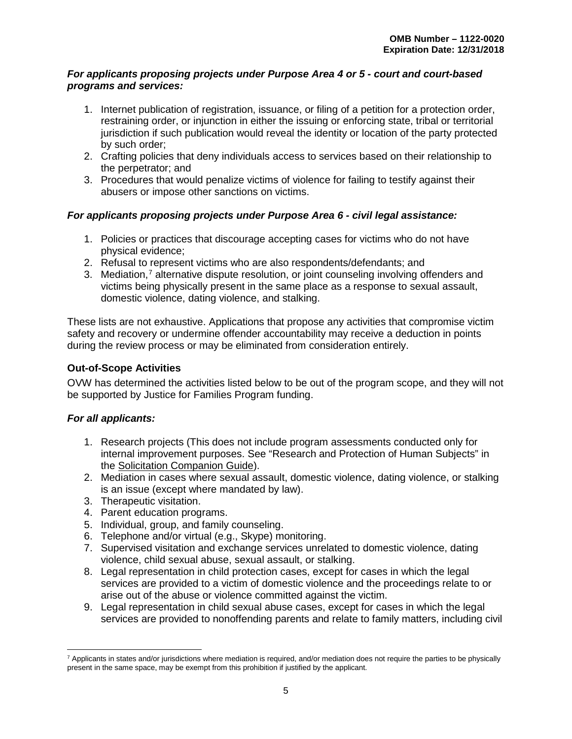#### *For applicants proposing projects under Purpose Area 4 or 5 - court and court-based programs and services:*

- 1. Internet publication of registration, issuance, or filing of a petition for a protection order, restraining order, or injunction in either the issuing or enforcing state, tribal or territorial jurisdiction if such publication would reveal the identity or location of the party protected by such order;
- 2. Crafting policies that deny individuals access to services based on their relationship to the perpetrator; and
- 3. Procedures that would penalize victims of violence for failing to testify against their abusers or impose other sanctions on victims.

#### *For applicants proposing projects under Purpose Area 6 - civil legal assistance:*

- 1. Policies or practices that discourage accepting cases for victims who do not have physical evidence;
- 2. Refusal to represent victims who are also respondents/defendants; and
- 3. Mediation,<sup>[7](#page-9-1)</sup> alternative dispute resolution, or joint counseling involving offenders and victims being physically present in the same place as a response to sexual assault, domestic violence, dating violence, and stalking.

These lists are not exhaustive. Applications that propose any activities that compromise victim safety and recovery or undermine offender accountability may receive a deduction in points during the review process or may be eliminated from consideration entirely.

#### <span id="page-9-0"></span>**Out-of-Scope Activities**

OVW has determined the activities listed below to be out of the program scope, and they will not be supported by Justice for Families Program funding.

#### *For all applicants:*

- 1. Research projects (This does not include program assessments conducted only for internal improvement purposes. See "Research and Protection of Human Subjects" in the [Solicitation Companion Guide\)](https://www.justice.gov/ovw/page/file/1007726/download#Solicitation).
- 2. Mediation in cases where sexual assault, domestic violence, dating violence, or stalking is an issue (except where mandated by law).
- 3. Therapeutic visitation.
- 4. Parent education programs.
- 5. Individual, group, and family counseling.
- 6. Telephone and/or virtual (e.g., Skype) monitoring.
- 7. Supervised visitation and exchange services unrelated to domestic violence, dating violence, child sexual abuse, sexual assault, or stalking.
- 8. Legal representation in child protection cases, except for cases in which the legal services are provided to a victim of domestic violence and the proceedings relate to or arise out of the abuse or violence committed against the victim.
- 9. Legal representation in child sexual abuse cases, except for cases in which the legal services are provided to nonoffending parents and relate to family matters, including civil

<span id="page-9-1"></span> $\overline{a}$  $^7$  Applicants in states and/or jurisdictions where mediation is required, and/or mediation does not require the parties to be physically present in the same space, may be exempt from this prohibition if justified by the applicant.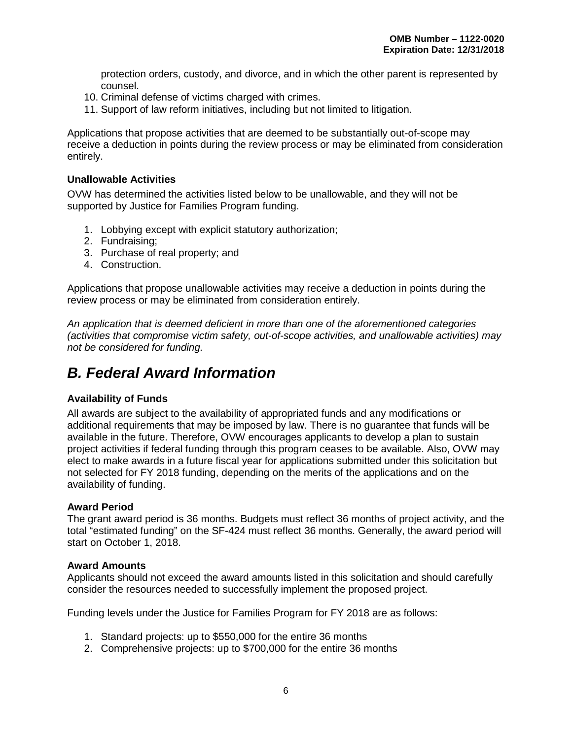protection orders, custody, and divorce, and in which the other parent is represented by counsel.

- 10. Criminal defense of victims charged with crimes.
- 11. Support of law reform initiatives, including but not limited to litigation.

Applications that propose activities that are deemed to be substantially out-of-scope may receive a deduction in points during the review process or may be eliminated from consideration entirely.

#### <span id="page-10-0"></span>**Unallowable Activities**

OVW has determined the activities listed below to be unallowable, and they will not be supported by Justice for Families Program funding.

- 1. Lobbying except with explicit statutory authorization;
- 2. Fundraising;
- 3. Purchase of real property; and
- 4. Construction.

Applications that propose unallowable activities may receive a deduction in points during the review process or may be eliminated from consideration entirely.

*An application that is deemed deficient in more than one of the aforementioned categories (activities that compromise victim safety, out-of-scope activities, and unallowable activities) may not be considered for funding.*

### <span id="page-10-1"></span>*B. Federal Award Information*

#### <span id="page-10-2"></span>**Availability of Funds**

All awards are subject to the availability of appropriated funds and any modifications or additional requirements that may be imposed by law. There is no guarantee that funds will be available in the future. Therefore, OVW encourages applicants to develop a plan to sustain project activities if federal funding through this program ceases to be available. Also, OVW may elect to make awards in a future fiscal year for applications submitted under this solicitation but not selected for FY 2018 funding, depending on the merits of the applications and on the availability of funding.

#### <span id="page-10-3"></span>**Award Period**

The grant award period is 36 months. Budgets must reflect 36 months of project activity, and the total "estimated funding" on the SF-424 must reflect 36 months. Generally, the award period will start on October 1, 2018.

#### <span id="page-10-4"></span>**Award Amounts**

Applicants should not exceed the award amounts listed in this solicitation and should carefully consider the resources needed to successfully implement the proposed project.

Funding levels under the Justice for Families Program for FY 2018 are as follows:

- 1. Standard projects: up to \$550,000 for the entire 36 months
- 2. Comprehensive projects: up to \$700,000 for the entire 36 months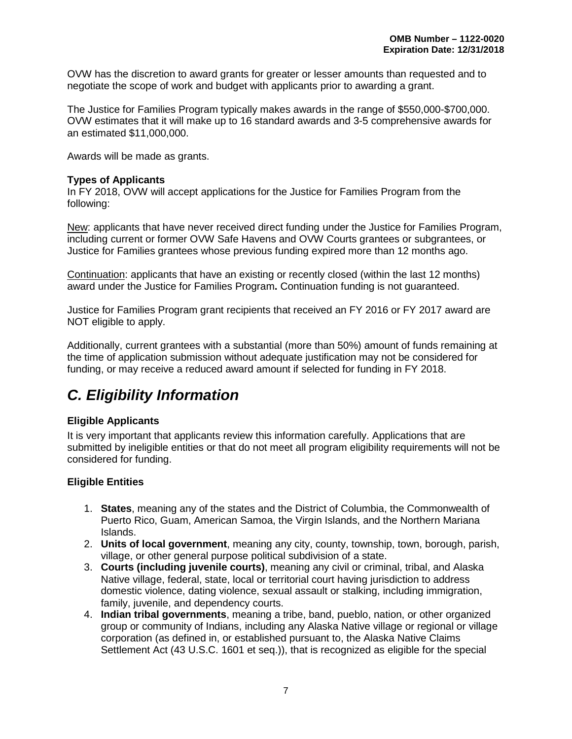OVW has the discretion to award grants for greater or lesser amounts than requested and to negotiate the scope of work and budget with applicants prior to awarding a grant.

The Justice for Families Program typically makes awards in the range of \$550,000-\$700,000. OVW estimates that it will make up to 16 standard awards and 3-5 comprehensive awards for an estimated \$11,000,000.

Awards will be made as grants.

#### <span id="page-11-1"></span>**Types of Applicants**

In FY 2018, OVW will accept applications for the Justice for Families Program from the following:

New: applicants that have never received direct funding under the Justice for Families Program, including current or former OVW Safe Havens and OVW Courts grantees or subgrantees, or Justice for Families grantees whose previous funding expired more than 12 months ago.

Continuation: applicants that have an existing or recently closed (within the last 12 months) award under the Justice for Families Program**.** Continuation funding is not guaranteed.

Justice for Families Program grant recipients that received an FY 2016 or FY 2017 award are NOT eligible to apply.

Additionally, current grantees with a substantial (more than 50%) amount of funds remaining at the time of application submission without adequate justification may not be considered for funding, or may receive a reduced award amount if selected for funding in FY 2018.

# <span id="page-11-0"></span>*C. Eligibility Information*

#### <span id="page-11-2"></span>**Eligible Applicants**

It is very important that applicants review this information carefully. Applications that are submitted by ineligible entities or that do not meet all program eligibility requirements will not be considered for funding.

#### <span id="page-11-3"></span>**Eligible Entities**

- 1. **States**, meaning any of the states and the District of Columbia, the Commonwealth of Puerto Rico, Guam, American Samoa, the Virgin Islands, and the Northern Mariana Islands.
- 2. **Units of local government**, meaning any city, county, township, town, borough, parish, village, or other general purpose political subdivision of a state.
- 3. **Courts (including juvenile courts)**, meaning any civil or criminal, tribal, and Alaska Native village, federal, state, local or territorial court having jurisdiction to address domestic violence, dating violence, sexual assault or stalking, including immigration, family, juvenile, and dependency courts.
- 4. **Indian tribal governments**, meaning a tribe, band, pueblo, nation, or other organized group or community of Indians, including any Alaska Native village or regional or village corporation (as defined in, or established pursuant to, the Alaska Native Claims Settlement Act (43 U.S.C. 1601 et seq.)), that is recognized as eligible for the special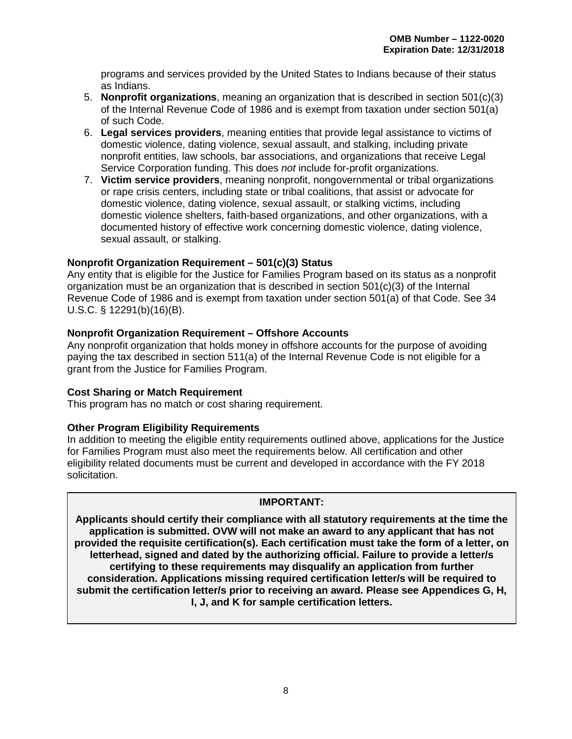programs and services provided by the United States to Indians because of their status as Indians.

- 5. **Nonprofit organizations**, meaning an organization that is described in section 501(c)(3) of the Internal Revenue Code of 1986 and is exempt from taxation under section 501(a) of such Code.
- 6. **Legal services providers**, meaning entities that provide legal assistance to victims of domestic violence, dating violence, sexual assault, and stalking, including private nonprofit entities, law schools, bar associations, and organizations that receive Legal Service Corporation funding. This does *not* include for-profit organizations.
- 7. **Victim service providers**, meaning nonprofit, nongovernmental or tribal organizations or rape crisis centers, including state or tribal coalitions, that assist or advocate for domestic violence, dating violence, sexual assault, or stalking victims, including domestic violence shelters, faith-based organizations, and other organizations, with a documented history of effective work concerning domestic violence, dating violence, sexual assault, or stalking.

#### <span id="page-12-0"></span>**Nonprofit Organization Requirement – 501(c)(3) Status**

Any entity that is eligible for the Justice for Families Program based on its status as a nonprofit organization must be an organization that is described in section 501(c)(3) of the Internal Revenue Code of 1986 and is exempt from taxation under section 501(a) of that Code. See 34 U.S.C. § 12291(b)(16)(B).

#### <span id="page-12-1"></span>**Nonprofit Organization Requirement – Offshore Accounts**

Any nonprofit organization that holds money in offshore accounts for the purpose of avoiding paying the tax described in section 511(a) of the Internal Revenue Code is not eligible for a grant from the Justice for Families Program.

#### <span id="page-12-2"></span>**Cost Sharing or Match Requirement**

This program has no match or cost sharing requirement.

#### <span id="page-12-3"></span>**Other Program Eligibility Requirements**

In addition to meeting the eligible entity requirements outlined above, applications for the Justice for Families Program must also meet the requirements below. All certification and other eligibility related documents must be current and developed in accordance with the FY 2018 solicitation.

#### **IMPORTANT:**

**Applicants should certify their compliance with all statutory requirements at the time the application is submitted. OVW will not make an award to any applicant that has not provided the requisite certification(s). Each certification must take the form of a letter, on letterhead, signed and dated by the authorizing official. Failure to provide a letter/s certifying to these requirements may disqualify an application from further consideration. Applications missing required certification letter/s will be required to submit the certification letter/s prior to receiving an award. Please see Appendices G, H, I, J, and K for sample certification letters.**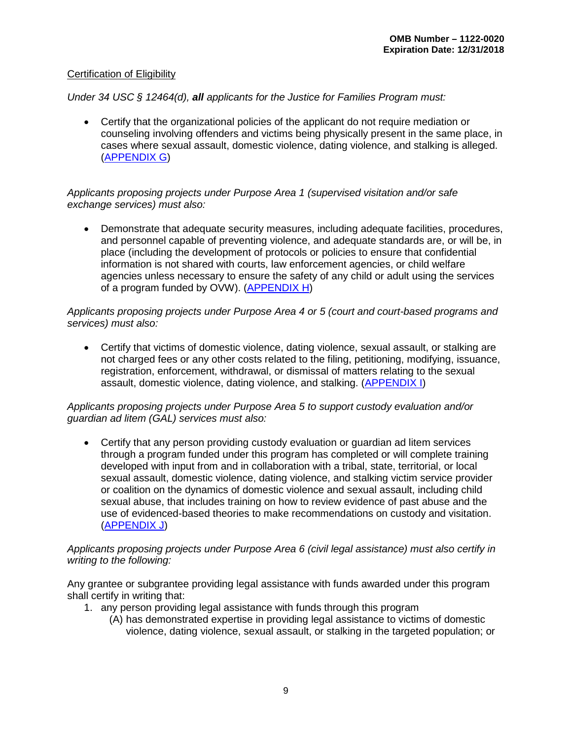#### Certification of Eligibility

#### *Under 34 USC § 12464(d), all applicants for the Justice for Families Program must:*

• Certify that the organizational policies of the applicant do not require mediation or counseling involving offenders and victims being physically present in the same place, in cases where sexual assault, domestic violence, dating violence, and stalking is alleged. [\(APPENDIX G\)](#page-62-0)

#### *Applicants proposing projects under Purpose Area 1 (supervised visitation and/or safe exchange services) must also:*

• Demonstrate that adequate security measures, including adequate facilities, procedures, and personnel capable of preventing violence, and adequate standards are, or will be, in place (including the development of protocols or policies to ensure that confidential information is not shared with courts, law enforcement agencies, or child welfare agencies unless necessary to ensure the safety of any child or adult using the services of a program funded by OVW). [\(APPENDIX H\)](#page-64-0)

#### *Applicants proposing projects under Purpose Area 4 or 5 (court and court-based programs and services) must also:*

• Certify that victims of domestic violence, dating violence, sexual assault, or stalking are not charged fees or any other costs related to the filing, petitioning, modifying, issuance, registration, enforcement, withdrawal, or dismissal of matters relating to the sexual assault, domestic violence, dating violence, and stalking. [\(APPENDIX I\)](#page-66-0)

#### *Applicants proposing projects under Purpose Area 5 to support custody evaluation and/or guardian ad litem (GAL) services must also:*

• Certify that any person providing custody evaluation or guardian ad litem services through a program funded under this program has completed or will complete training developed with input from and in collaboration with a tribal, state, territorial, or local sexual assault, domestic violence, dating violence, and stalking victim service provider or coalition on the dynamics of domestic violence and sexual assault, including child sexual abuse, that includes training on how to review evidence of past abuse and the use of evidenced-based theories to make recommendations on custody and visitation. [\(APPENDIX J\)](#page-68-0)

#### *Applicants proposing projects under Purpose Area 6 (civil legal assistance) must also certify in writing to the following:*

Any grantee or subgrantee providing legal assistance with funds awarded under this program shall certify in writing that:

- 1. any person providing legal assistance with funds through this program
	- (A) has demonstrated expertise in providing legal assistance to victims of domestic violence, dating violence, sexual assault, or stalking in the targeted population; or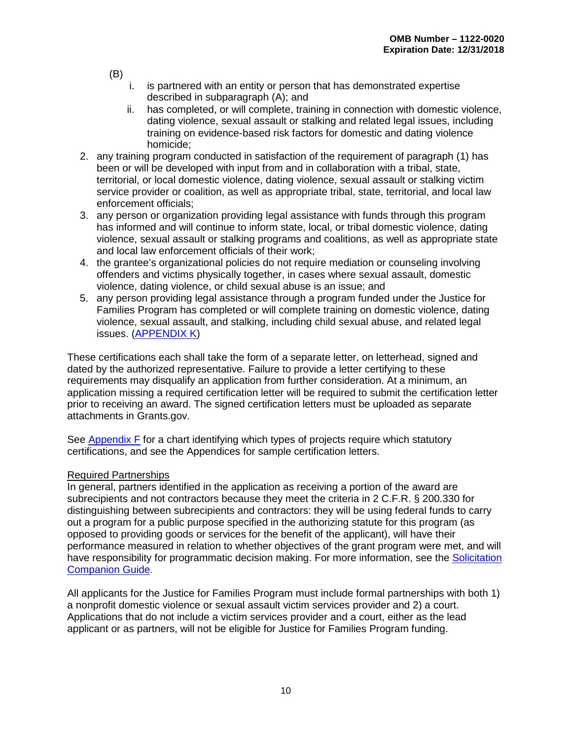(B)

- i. is partnered with an entity or person that has demonstrated expertise described in subparagraph (A); and
- ii. has completed, or will complete, training in connection with domestic violence, dating violence, sexual assault or stalking and related legal issues, including training on evidence-based risk factors for domestic and dating violence homicide;
- 2. any training program conducted in satisfaction of the requirement of paragraph (1) has been or will be developed with input from and in collaboration with a tribal, state, territorial, or local domestic violence, dating violence, sexual assault or stalking victim service provider or coalition, as well as appropriate tribal, state, territorial, and local law enforcement officials;
- 3. any person or organization providing legal assistance with funds through this program has informed and will continue to inform state, local, or tribal domestic violence, dating violence, sexual assault or stalking programs and coalitions, as well as appropriate state and local law enforcement officials of their work;
- 4. the grantee's organizational policies do not require mediation or counseling involving offenders and victims physically together, in cases where sexual assault, domestic violence, dating violence, or child sexual abuse is an issue; and
- 5. any person providing legal assistance through a program funded under the Justice for Families Program has completed or will complete training on domestic violence, dating violence, sexual assault, and stalking, including child sexual abuse, and related legal issues. [\(APPENDIX K\)](#page-70-0)

These certifications each shall take the form of a separate letter, on letterhead, signed and dated by the authorized representative. Failure to provide a letter certifying to these requirements may disqualify an application from further consideration. At a minimum, an application missing a required certification letter will be required to submit the certification letter prior to receiving an award. The signed certification letters must be uploaded as separate attachments in Grants.gov.

See [Appendix F](#page-60-0) for a chart identifying which types of projects require which statutory certifications, and see the Appendices for sample certification letters.

#### Required Partnerships

In general, partners identified in the application as receiving a portion of the award are subrecipients and not contractors because they meet the criteria in 2 C.F.R. § 200.330 for distinguishing between subrecipients and contractors: they will be using federal funds to carry out a program for a public purpose specified in the authorizing statute for this program (as opposed to providing goods or services for the benefit of the applicant), will have their performance measured in relation to whether objectives of the grant program were met, and will have responsibility for programmatic decision making. For more information, see the [Solicitation](https://www.justice.gov/ovw/page/file/1007726/download#Solicitation)  [Companion Guide.](https://www.justice.gov/ovw/page/file/1007726/download#Solicitation)

All applicants for the Justice for Families Program must include formal partnerships with both 1) a nonprofit domestic violence or sexual assault victim services provider and 2) a court. Applications that do not include a victim services provider and a court, either as the lead applicant or as partners, will not be eligible for Justice for Families Program funding.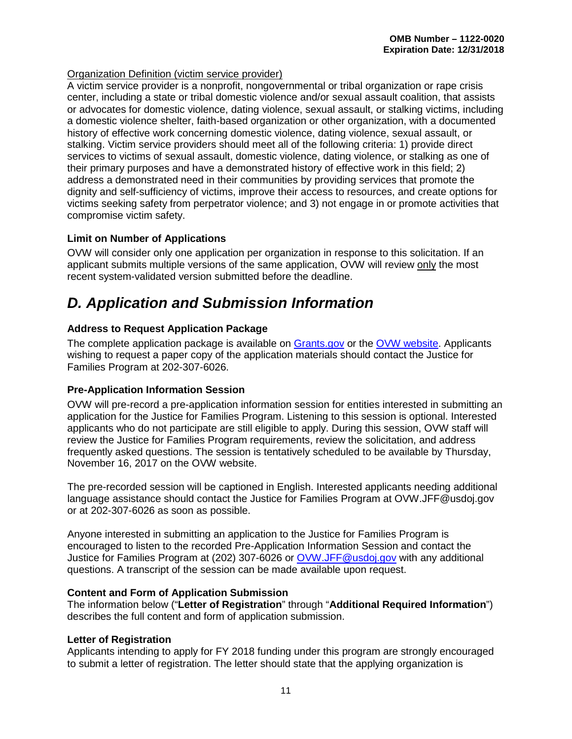#### Organization Definition (victim service provider)

A victim service provider is a nonprofit, nongovernmental or tribal organization or rape crisis center, including a state or tribal domestic violence and/or sexual assault coalition, that assists or advocates for domestic violence, dating violence, sexual assault, or stalking victims, including a domestic violence shelter, faith-based organization or other organization, with a documented history of effective work concerning domestic violence, dating violence, sexual assault, or stalking. Victim service providers should meet all of the following criteria: 1) provide direct services to victims of sexual assault, domestic violence, dating violence, or stalking as one of their primary purposes and have a demonstrated history of effective work in this field; 2) address a demonstrated need in their communities by providing services that promote the dignity and self-sufficiency of victims, improve their access to resources, and create options for victims seeking safety from perpetrator violence; and 3) not engage in or promote activities that compromise victim safety.

#### <span id="page-15-2"></span>**Limit on Number of Applications**

OVW will consider only one application per organization in response to this solicitation. If an applicant submits multiple versions of the same application, OVW will review only the most recent system-validated version submitted before the deadline.

### <span id="page-15-3"></span>*D. Application and Submission Information*

#### <span id="page-15-4"></span>**Address to Request Application Package**

The complete application package is available on [Grants.gov](http://www.grants.gov/) or the [OVW website.](https://www.justice.gov/ovw/open-solicitations) Applicants wishing to request a paper copy of the application materials should contact the Justice for Families Program at 202-307-6026.

#### <span id="page-15-1"></span>**Pre-Application Information Session**

OVW will pre-record a pre-application information session for entities interested in submitting an application for the Justice for Families Program. Listening to this session is optional. Interested applicants who do not participate are still eligible to apply. During this session, OVW staff will review the Justice for Families Program requirements, review the solicitation, and address frequently asked questions. The session is tentatively scheduled to be available by Thursday, November 16, 2017 on the OVW website.

The pre-recorded session will be captioned in English. Interested applicants needing additional language assistance should contact the Justice for Families Program at OVW.JFF@usdoj.gov or at 202-307-6026 as soon as possible.

Anyone interested in submitting an application to the Justice for Families Program is encouraged to listen to the recorded Pre-Application Information Session and contact the Justice for Families Program at (202) 307-6026 or [OVW.JFF@usdoj.gov](mailto:OVW.JFF@usdoj.gov) with any additional questions. A transcript of the session can be made available upon request.

#### <span id="page-15-5"></span>**Content and Form of Application Submission**

The information below ("**Letter of Registration**" through "**Additional Required Information**") describes the full content and form of application submission.

#### <span id="page-15-6"></span><span id="page-15-0"></span>**Letter of Registration**

Applicants intending to apply for FY 2018 funding under this program are strongly encouraged to submit a letter of registration. The letter should state that the applying organization is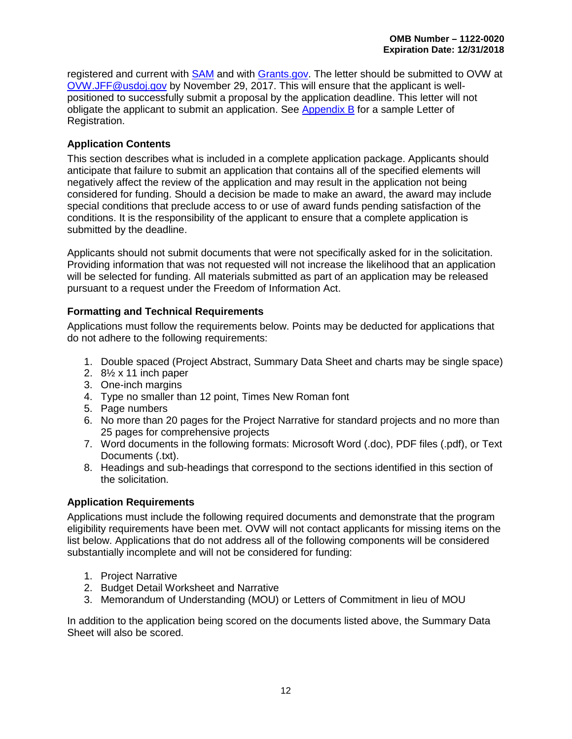registered and current with [SAM](http://www.sam.gov/) and with [Grants.gov.](http://www.grants.gov/) The letter should be submitted to OVW at [OVW.JFF@usdoj.gov](mailto:OVW.JFF@usdoj.gov) by November 29, 2017. This will ensure that the applicant is wellpositioned to successfully submit a proposal by the application deadline. This letter will not obligate the applicant to submit an application. See [Appendix](#page-52-0) B for a sample Letter of Registration.

#### <span id="page-16-0"></span>**Application Contents**

This section describes what is included in a complete application package. Applicants should anticipate that failure to submit an application that contains all of the specified elements will negatively affect the review of the application and may result in the application not being considered for funding. Should a decision be made to make an award, the award may include special conditions that preclude access to or use of award funds pending satisfaction of the conditions. It is the responsibility of the applicant to ensure that a complete application is submitted by the deadline.

Applicants should not submit documents that were not specifically asked for in the solicitation. Providing information that was not requested will not increase the likelihood that an application will be selected for funding. All materials submitted as part of an application may be released pursuant to a request under the Freedom of Information Act.

#### <span id="page-16-1"></span>**Formatting and Technical Requirements**

Applications must follow the requirements below. Points may be deducted for applications that do not adhere to the following requirements:

- 1. Double spaced (Project Abstract, Summary Data Sheet and charts may be single space)
- 2. 8½ x 11 inch paper
- 3. One-inch margins
- 4. Type no smaller than 12 point, Times New Roman font
- 5. Page numbers
- 6. No more than 20 pages for the Project Narrative for standard projects and no more than 25 pages for comprehensive projects
- 7. Word documents in the following formats: Microsoft Word (.doc), PDF files (.pdf), or Text Documents (.txt).
- 8. Headings and sub-headings that correspond to the sections identified in this section of the solicitation.

#### <span id="page-16-2"></span>**Application Requirements**

Applications must include the following required documents and demonstrate that the program eligibility requirements have been met. OVW will not contact applicants for missing items on the list below. Applications that do not address all of the following components will be considered substantially incomplete and will not be considered for funding:

- 1. Project Narrative
- 2. Budget Detail Worksheet and Narrative
- 3. Memorandum of Understanding (MOU) or Letters of Commitment in lieu of MOU

In addition to the application being scored on the documents listed above, the Summary Data Sheet will also be scored.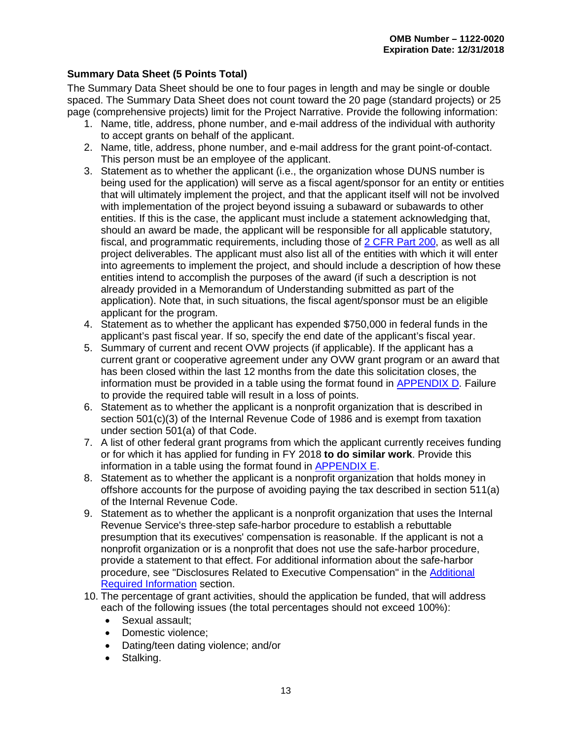#### <span id="page-17-0"></span>**Summary Data Sheet (5 Points Total)**

The Summary Data Sheet should be one to four pages in length and may be single or double spaced. The Summary Data Sheet does not count toward the 20 page (standard projects) or 25 page (comprehensive projects) limit for the Project Narrative. Provide the following information:

- 1. Name, title, address, phone number, and e-mail address of the individual with authority to accept grants on behalf of the applicant.
- 2. Name, title, address, phone number, and e-mail address for the grant point-of-contact. This person must be an employee of the applicant.
- 3. Statement as to whether the applicant (i.e., the organization whose DUNS number is being used for the application) will serve as a fiscal agent/sponsor for an entity or entities that will ultimately implement the project, and that the applicant itself will not be involved with implementation of the project beyond issuing a subaward or subawards to other entities. If this is the case, the applicant must include a statement acknowledging that, should an award be made, the applicant will be responsible for all applicable statutory, fiscal, and programmatic requirements, including those of [2 CFR Part 200,](http://www.ecfr.gov/cgi-bin/text-idx?tpl=/ecfrbrowse/Title02/2cfr200_main_02.tpl) as well as all project deliverables. The applicant must also list all of the entities with which it will enter into agreements to implement the project, and should include a description of how these entities intend to accomplish the purposes of the award (if such a description is not already provided in a Memorandum of Understanding submitted as part of the application). Note that, in such situations, the fiscal agent/sponsor must be an eligible applicant for the program.
- 4. Statement as to whether the applicant has expended \$750,000 in federal funds in the applicant's past fiscal year. If so, specify the end date of the applicant's fiscal year.
- 5. Summary of current and recent OVW projects (if applicable). If the applicant has a current grant or cooperative agreement under any OVW grant program or an award that has been closed within the last 12 months from the date this solicitation closes, the information must be provided in a table using the format found in [APPENDIX D.](#page-56-0) Failure to provide the required table will result in a loss of points.
- 6. Statement as to whether the applicant is a nonprofit organization that is described in section 501(c)(3) of the Internal Revenue Code of 1986 and is exempt from taxation under section 501(a) of that Code.
- 7. A list of other federal grant programs from which the applicant currently receives funding or for which it has applied for funding in FY 2018 **to do similar work**. Provide this information in a table using the format found in [APPENDIX E.](#page-58-0)
- 8. Statement as to whether the applicant is a nonprofit organization that holds money in offshore accounts for the purpose of avoiding paying the tax described in section 511(a) of the Internal Revenue Code.
- 9. Statement as to whether the applicant is a nonprofit organization that uses the Internal Revenue Service's three-step safe-harbor procedure to establish a rebuttable presumption that its executives' compensation is reasonable. If the applicant is not a nonprofit organization or is a nonprofit that does not use the safe-harbor procedure, provide a statement to that effect. For additional information about the safe-harbor procedure, see "Disclosures Related to Executive Compensation" in the [Additional](#page-23-0)  [Required Information](#page-23-0) section.
- 10. The percentage of grant activities, should the application be funded, that will address each of the following issues (the total percentages should not exceed 100%):
	- Sexual assault;
	- Domestic violence;
	- Dating/teen dating violence; and/or
	- Stalking.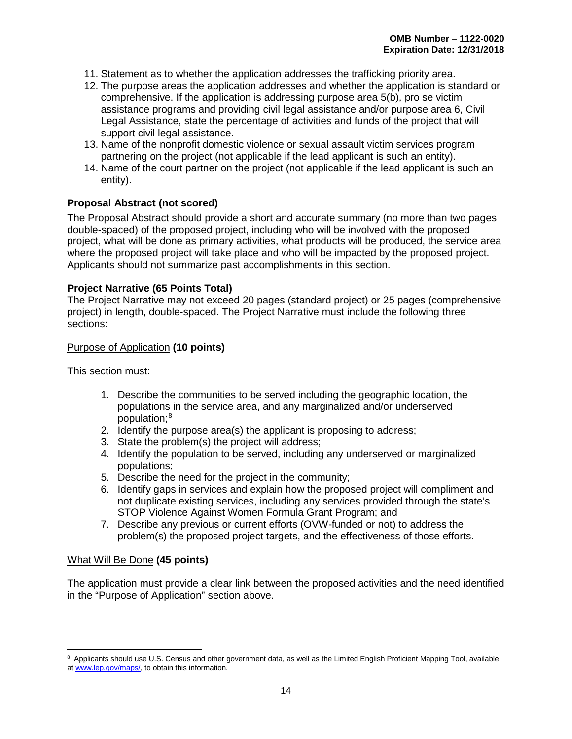- 11. Statement as to whether the application addresses the trafficking priority area.
- 12. The purpose areas the application addresses and whether the application is standard or comprehensive. If the application is addressing purpose area 5(b), pro se victim assistance programs and providing civil legal assistance and/or purpose area 6, Civil Legal Assistance, state the percentage of activities and funds of the project that will support civil legal assistance.
- 13. Name of the nonprofit domestic violence or sexual assault victim services program partnering on the project (not applicable if the lead applicant is such an entity).
- 14. Name of the court partner on the project (not applicable if the lead applicant is such an entity).

#### <span id="page-18-0"></span>**Proposal Abstract (not scored)**

The Proposal Abstract should provide a short and accurate summary (no more than two pages double-spaced) of the proposed project, including who will be involved with the proposed project, what will be done as primary activities, what products will be produced, the service area where the proposed project will take place and who will be impacted by the proposed project. Applicants should not summarize past accomplishments in this section.

#### <span id="page-18-1"></span>**Project Narrative (65 Points Total)**

The Project Narrative may not exceed 20 pages (standard project) or 25 pages (comprehensive project) in length, double-spaced. The Project Narrative must include the following three sections:

#### Purpose of Application **(10 points)**

This section must:

- 1. Describe the communities to be served including the geographic location, the populations in the service area, and any marginalized and/or underserved population; [8](#page-18-2)
- 2. Identify the purpose area(s) the applicant is proposing to address;
- 3. State the problem(s) the project will address;
- 4. Identify the population to be served, including any underserved or marginalized populations;
- 5. Describe the need for the project in the community;
- 6. Identify gaps in services and explain how the proposed project will compliment and not duplicate existing services, including any services provided through the state's STOP Violence Against Women Formula Grant Program; and
- 7. Describe any previous or current efforts (OVW-funded or not) to address the problem(s) the proposed project targets, and the effectiveness of those efforts.

#### What Will Be Done **(45 points)**

The application must provide a clear link between the proposed activities and the need identified in the "Purpose of Application" section above.

<span id="page-18-2"></span> $\overline{a}$ <sup>8</sup> Applicants should use U.S. Census and other government data, as well as the Limited English Proficient Mapping Tool, available at [www.lep.gov/maps/,](http://www.lep.gov/maps/) to obtain this information.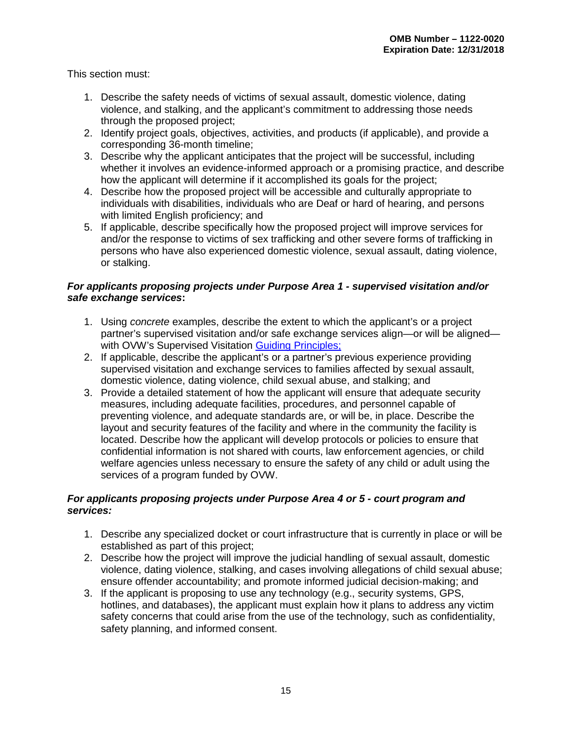This section must:

- 1. Describe the safety needs of victims of sexual assault, domestic violence, dating violence, and stalking, and the applicant's commitment to addressing those needs through the proposed project;
- 2. Identify project goals, objectives, activities, and products (if applicable), and provide a corresponding 36-month timeline;
- 3. Describe why the applicant anticipates that the project will be successful, including whether it involves an evidence-informed approach or a promising practice, and describe how the applicant will determine if it accomplished its goals for the project;
- 4. Describe how the proposed project will be accessible and culturally appropriate to individuals with disabilities, individuals who are Deaf or hard of hearing, and persons with limited English proficiency; and
- 5. If applicable, describe specifically how the proposed project will improve services for and/or the response to victims of sex trafficking and other severe forms of trafficking in persons who have also experienced domestic violence, sexual assault, dating violence, or stalking.

#### *For applicants proposing projects under Purpose Area 1 - supervised visitation and/or safe exchange services***:**

- 1. Using *concrete* examples, describe the extent to which the applicant's or a project partner's supervised visitation and/or safe exchange services align—or will be aligned— with OVW's Supervised Visitation [Guiding Principles;](http://www.justice.gov/sites/default/files/ovw/legacy/2008/08/06/guiding-principles032608.pdf)
- 2. If applicable, describe the applicant's or a partner's previous experience providing supervised visitation and exchange services to families affected by sexual assault, domestic violence, dating violence, child sexual abuse, and stalking; and
- 3. Provide a detailed statement of how the applicant will ensure that adequate security measures, including adequate facilities, procedures, and personnel capable of preventing violence, and adequate standards are, or will be, in place. Describe the layout and security features of the facility and where in the community the facility is located. Describe how the applicant will develop protocols or policies to ensure that confidential information is not shared with courts, law enforcement agencies, or child welfare agencies unless necessary to ensure the safety of any child or adult using the services of a program funded by OVW.

#### *For applicants proposing projects under Purpose Area 4 or 5 - court program and services:*

- 1. Describe any specialized docket or court infrastructure that is currently in place or will be established as part of this project;
- 2. Describe how the project will improve the judicial handling of sexual assault, domestic violence, dating violence, stalking, and cases involving allegations of child sexual abuse; ensure offender accountability; and promote informed judicial decision-making; and
- 3. If the applicant is proposing to use any technology (e.g., security systems, GPS, hotlines, and databases), the applicant must explain how it plans to address any victim safety concerns that could arise from the use of the technology, such as confidentiality, safety planning, and informed consent.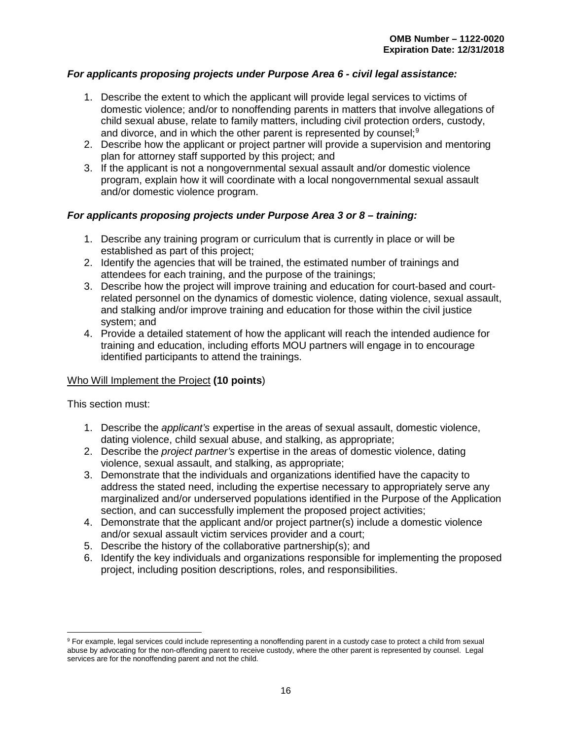#### *For applicants proposing projects under Purpose Area 6 - civil legal assistance:*

- 1. Describe the extent to which the applicant will provide legal services to victims of domestic violence; and/or to nonoffending parents in matters that involve allegations of child sexual abuse, relate to family matters, including civil protection orders, custody, and divorce, and in which the other parent is represented by counsel;<sup>[9](#page-20-0)</sup>
- 2. Describe how the applicant or project partner will provide a supervision and mentoring plan for attorney staff supported by this project; and
- 3. If the applicant is not a nongovernmental sexual assault and/or domestic violence program, explain how it will coordinate with a local nongovernmental sexual assault and/or domestic violence program.

#### *For applicants proposing projects under Purpose Area 3 or 8 – training:*

- 1. Describe any training program or curriculum that is currently in place or will be established as part of this project;
- 2. Identify the agencies that will be trained, the estimated number of trainings and attendees for each training, and the purpose of the trainings;
- 3. Describe how the project will improve training and education for court-based and courtrelated personnel on the dynamics of domestic violence, dating violence, sexual assault, and stalking and/or improve training and education for those within the civil justice system; and
- 4. Provide a detailed statement of how the applicant will reach the intended audience for training and education, including efforts MOU partners will engage in to encourage identified participants to attend the trainings.

#### Who Will Implement the Project **(10 points**)

This section must:

 $\overline{a}$ 

- 1. Describe the *applicant's* expertise in the areas of sexual assault, domestic violence, dating violence, child sexual abuse, and stalking, as appropriate;
- 2. Describe the *project partner's* expertise in the areas of domestic violence, dating violence, sexual assault, and stalking, as appropriate;
- 3. Demonstrate that the individuals and organizations identified have the capacity to address the stated need, including the expertise necessary to appropriately serve any marginalized and/or underserved populations identified in the Purpose of the Application section, and can successfully implement the proposed project activities;
- 4. Demonstrate that the applicant and/or project partner(s) include a domestic violence and/or sexual assault victim services provider and a court;
- 5. Describe the history of the collaborative partnership(s); and
- 6. Identify the key individuals and organizations responsible for implementing the proposed project, including position descriptions, roles, and responsibilities.

<span id="page-20-0"></span><sup>&</sup>lt;sup>9</sup> For example, legal services could include representing a nonoffending parent in a custody case to protect a child from sexual abuse by advocating for the non-offending parent to receive custody, where the other parent is represented by counsel. Legal services are for the nonoffending parent and not the child.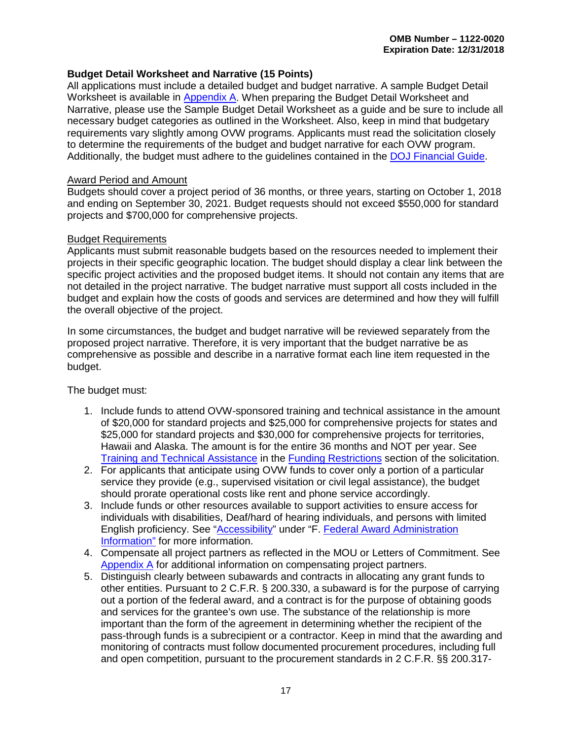#### <span id="page-21-0"></span>**Budget Detail Worksheet and Narrative (15 Points)**

All applications must include a detailed budget and budget narrative. A sample Budget Detail Worksheet is available in [Appendix A.](#page-41-1) When preparing the Budget Detail Worksheet and Narrative, please use the Sample Budget Detail Worksheet as a guide and be sure to include all necessary budget categories as outlined in the Worksheet. Also, keep in mind that budgetary requirements vary slightly among OVW programs. Applicants must read the solicitation closely to determine the requirements of the budget and budget narrative for each OVW program. Additionally, the budget must adhere to the guidelines contained in the [DOJ Financial Guide.](https://www.justice.gov/ovw/file/892031/download)

#### Award Period and Amount

Budgets should cover a project period of 36 months, or three years, starting on October 1, 2018 and ending on September 30, 2021. Budget requests should not exceed \$550,000 for standard projects and \$700,000 for comprehensive projects.

#### Budget Requirements

Applicants must submit reasonable budgets based on the resources needed to implement their projects in their specific geographic location. The budget should display a clear link between the specific project activities and the proposed budget items. It should not contain any items that are not detailed in the project narrative. The budget narrative must support all costs included in the budget and explain how the costs of goods and services are determined and how they will fulfill the overall objective of the project.

In some circumstances, the budget and budget narrative will be reviewed separately from the proposed project narrative. Therefore, it is very important that the budget narrative be as comprehensive as possible and describe in a narrative format each line item requested in the budget.

The budget must:

- 1. Include funds to attend OVW-sponsored training and technical assistance in the amount of \$20,000 for standard projects and \$25,000 for comprehensive projects for states and \$25,000 for standard projects and \$30,000 for comprehensive projects for territories, Hawaii and Alaska. The amount is for the entire 36 months and NOT per year. See [Training and Technical Assistance](#page-32-0) in the [Funding Restrictions](#page-31-1) section of the solicitation.
- 2. For applicants that anticipate using OVW funds to cover only a portion of a particular service they provide (e.g., supervised visitation or civil legal assistance), the budget should prorate operational costs like rent and phone service accordingly.
- 3. Include funds or other resources available to support activities to ensure access for individuals with disabilities, Deaf/hard of hearing individuals, and persons with limited English proficiency. See ["Accessibility"](#page-37-1) under "F. [Federal Award Administration](#page-36-1)  [Information"](#page-36-1) for more information.
- 4. Compensate all project partners as reflected in the MOU or Letters of Commitment. See [Appendix A](#page-41-0) for additional information on compensating project partners.
- 5. Distinguish clearly between subawards and contracts in allocating any grant funds to other entities. Pursuant to 2 C.F.R. § 200.330, a subaward is for the purpose of carrying out a portion of the federal award, and a contract is for the purpose of obtaining goods and services for the grantee's own use. The substance of the relationship is more important than the form of the agreement in determining whether the recipient of the pass-through funds is a subrecipient or a contractor. Keep in mind that the awarding and monitoring of contracts must follow documented procurement procedures, including full and open competition, pursuant to the procurement standards in 2 C.F.R. §§ 200.317-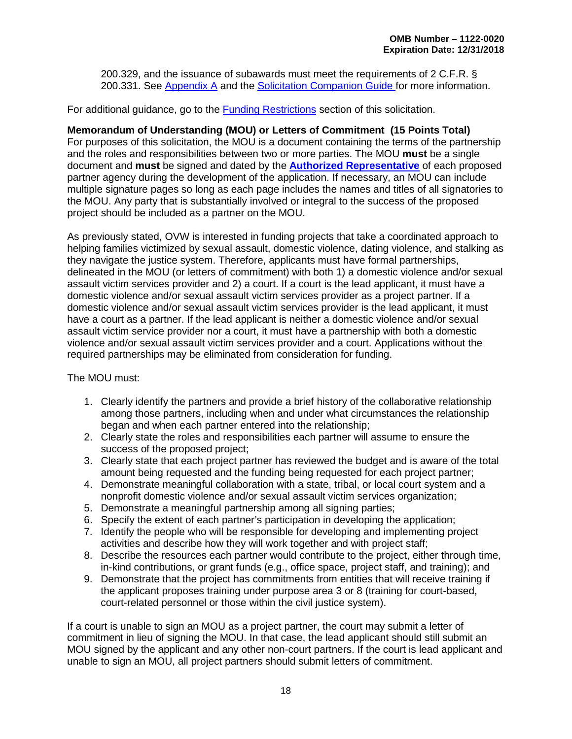200.329, and the issuance of subawards must meet the requirements of 2 C.F.R. § 200.331. See [Appendix A](#page-41-1) and the [Solicitation Companion Guide f](https://www.justice.gov/ovw/page/file/1007726/download#Solicitation)or more information.

For additional guidance, go to the [Funding Restrictions](#page-31-1) section of this solicitation.

#### <span id="page-22-0"></span>**Memorandum of Understanding (MOU) or Letters of Commitment (15 Points Total)**

For purposes of this solicitation, the MOU is a document containing the terms of the partnership and the roles and responsibilities between two or more parties. The MOU **must** be a single document and **must** be signed and dated by the **[Authorized Representative](#page-23-1)** of each proposed partner agency during the development of the application. If necessary, an MOU can include multiple signature pages so long as each page includes the names and titles of all signatories to the MOU. Any party that is substantially involved or integral to the success of the proposed project should be included as a partner on the MOU.

As previously stated, OVW is interested in funding projects that take a coordinated approach to helping families victimized by sexual assault, domestic violence, dating violence, and stalking as they navigate the justice system. Therefore, applicants must have formal partnerships, delineated in the MOU (or letters of commitment) with both 1) a domestic violence and/or sexual assault victim services provider and 2) a court. If a court is the lead applicant, it must have a domestic violence and/or sexual assault victim services provider as a project partner. If a domestic violence and/or sexual assault victim services provider is the lead applicant, it must have a court as a partner. If the lead applicant is neither a domestic violence and/or sexual assault victim service provider nor a court, it must have a partnership with both a domestic violence and/or sexual assault victim services provider and a court. Applications without the required partnerships may be eliminated from consideration for funding.

The MOU must:

- 1. Clearly identify the partners and provide a brief history of the collaborative relationship among those partners, including when and under what circumstances the relationship began and when each partner entered into the relationship;
- 2. Clearly state the roles and responsibilities each partner will assume to ensure the success of the proposed project;
- 3. Clearly state that each project partner has reviewed the budget and is aware of the total amount being requested and the funding being requested for each project partner;
- 4. Demonstrate meaningful collaboration with a state, tribal, or local court system and a nonprofit domestic violence and/or sexual assault victim services organization;
- 5. Demonstrate a meaningful partnership among all signing parties;
- 6. Specify the extent of each partner's participation in developing the application;
- 7. Identify the people who will be responsible for developing and implementing project activities and describe how they will work together and with project staff;
- 8. Describe the resources each partner would contribute to the project, either through time, in-kind contributions, or grant funds (e.g., office space, project staff, and training); and
- 9. Demonstrate that the project has commitments from entities that will receive training if the applicant proposes training under purpose area 3 or 8 (training for court-based, court-related personnel or those within the civil justice system).

If a court is unable to sign an MOU as a project partner, the court may submit a letter of commitment in lieu of signing the MOU. In that case, the lead applicant should still submit an MOU signed by the applicant and any other non-court partners. If the court is lead applicant and unable to sign an MOU, all project partners should submit letters of commitment.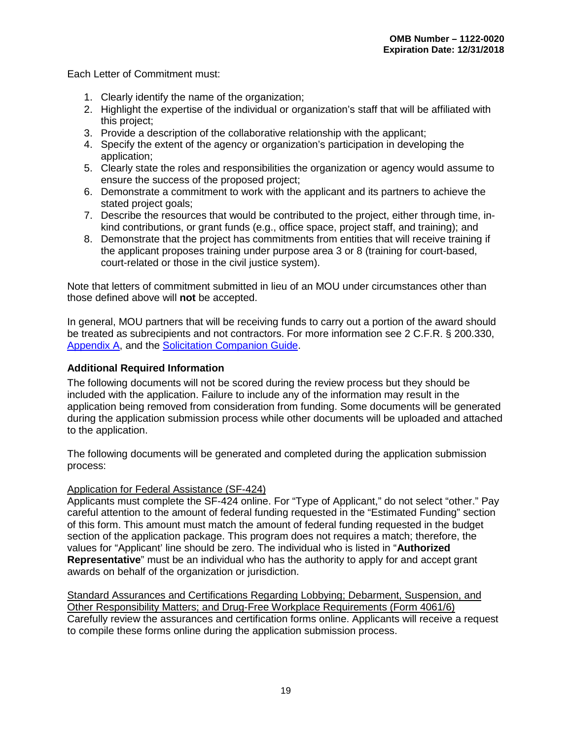Each Letter of Commitment must:

- 1. Clearly identify the name of the organization;
- 2. Highlight the expertise of the individual or organization's staff that will be affiliated with this project;
- 3. Provide a description of the collaborative relationship with the applicant;
- 4. Specify the extent of the agency or organization's participation in developing the application;
- 5. Clearly state the roles and responsibilities the organization or agency would assume to ensure the success of the proposed project;
- 6. Demonstrate a commitment to work with the applicant and its partners to achieve the stated project goals;
- 7. Describe the resources that would be contributed to the project, either through time, inkind contributions, or grant funds (e.g., office space, project staff, and training); and
- 8. Demonstrate that the project has commitments from entities that will receive training if the applicant proposes training under purpose area 3 or 8 (training for court-based, court-related or those in the civil justice system).

Note that letters of commitment submitted in lieu of an MOU under circumstances other than those defined above will **not** be accepted.

<span id="page-23-1"></span>In general, MOU partners that will be receiving funds to carry out a portion of the award should be treated as subrecipients and not contractors. For more information see 2 C.F.R. § 200.330, [Appendix A,](#page-41-1) and the [Solicitation Companion Guide.](https://www.justice.gov/ovw/page/file/1007726/download#Solicitation)

#### <span id="page-23-0"></span>**Additional Required Information**

The following documents will not be scored during the review process but they should be included with the application. Failure to include any of the information may result in the application being removed from consideration from funding. Some documents will be generated during the application submission process while other documents will be uploaded and attached to the application.

The following documents will be generated and completed during the application submission process:

#### Application for Federal Assistance (SF-424)

Applicants must complete the SF-424 online. For "Type of Applicant," do not select "other." Pay careful attention to the amount of federal funding requested in the "Estimated Funding" section of this form. This amount must match the amount of federal funding requested in the budget section of the application package. This program does not requires a match; therefore, the values for "Applicant' line should be zero. The individual who is listed in "**Authorized Representative**" must be an individual who has the authority to apply for and accept grant awards on behalf of the organization or jurisdiction.

Standard Assurances and Certifications Regarding Lobbying; Debarment, Suspension, and Other Responsibility Matters; and Drug-Free Workplace Requirements (Form 4061/6) Carefully review the assurances and certification forms online. Applicants will receive a request to compile these forms online during the application submission process.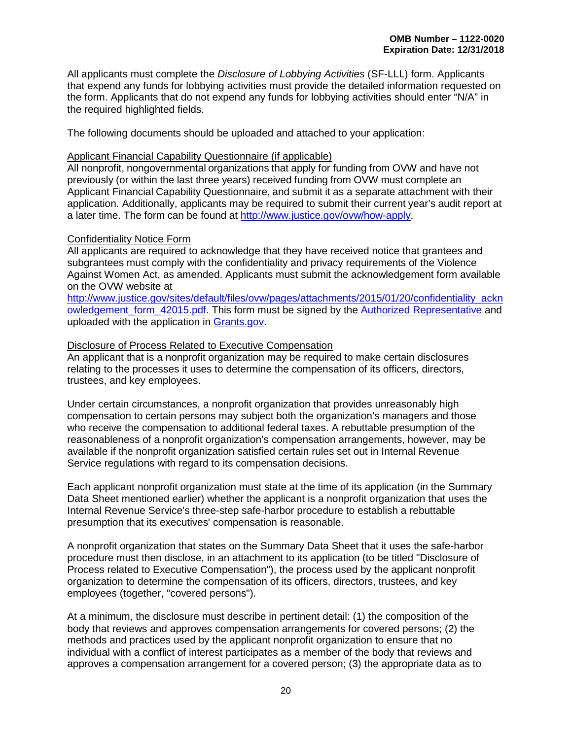All applicants must complete the *Disclosure of Lobbying Activities* (SF-LLL) form. Applicants that expend any funds for lobbying activities must provide the detailed information requested on the form. Applicants that do not expend any funds for lobbying activities should enter "N/A" in the required highlighted fields.

The following documents should be uploaded and attached to your application:

#### Applicant Financial Capability Questionnaire (if applicable)

All nonprofit, nongovernmental organizations that apply for funding from OVW and have not previously (or within the last three years) received funding from OVW must complete an Applicant Financial Capability Questionnaire, and submit it as a separate attachment with their application. Additionally, applicants may be required to submit their current year's audit report at a later time. The form can be found at [http://www.justice.gov/ovw/how-apply.](http://www.justice.gov/ovw/how-apply)

#### Confidentiality Notice Form

All applicants are required to acknowledge that they have received notice that grantees and subgrantees must comply with the confidentiality and privacy requirements of the Violence Against Women Act, as amended. Applicants must submit the acknowledgement form available on the OVW website at

[http://www.justice.gov/sites/default/files/ovw/pages/attachments/2015/01/20/confidentiality\\_ackn](http://www.justice.gov/sites/default/files/ovw/pages/attachments/2015/01/20/confidentiality_acknowledgement_form_42015.pdf) owledgement form 42015.pdf. This form must be signed by the [Authorized Representative](#page-23-1) and uploaded with the application in [Grants.gov.](https://www.grants.gov/)

#### Disclosure of Process Related to Executive Compensation

An applicant that is a nonprofit organization may be required to make certain disclosures relating to the processes it uses to determine the compensation of its officers, directors, trustees, and key employees.

Under certain circumstances, a nonprofit organization that provides unreasonably high compensation to certain persons may subject both the organization's managers and those who receive the compensation to additional federal taxes. A rebuttable presumption of the reasonableness of a nonprofit organization's compensation arrangements, however, may be available if the nonprofit organization satisfied certain rules set out in Internal Revenue Service regulations with regard to its compensation decisions.

Each applicant nonprofit organization must state at the time of its application (in the Summary Data Sheet mentioned earlier) whether the applicant is a nonprofit organization that uses the Internal Revenue Service's three-step safe-harbor procedure to establish a rebuttable presumption that its executives' compensation is reasonable.

A nonprofit organization that states on the Summary Data Sheet that it uses the safe-harbor procedure must then disclose, in an attachment to its application (to be titled "Disclosure of Process related to Executive Compensation"), the process used by the applicant nonprofit organization to determine the compensation of its officers, directors, trustees, and key employees (together, "covered persons").

At a minimum, the disclosure must describe in pertinent detail: (1) the composition of the body that reviews and approves compensation arrangements for covered persons; (2) the methods and practices used by the applicant nonprofit organization to ensure that no individual with a conflict of interest participates as a member of the body that reviews and approves a compensation arrangement for a covered person; (3) the appropriate data as to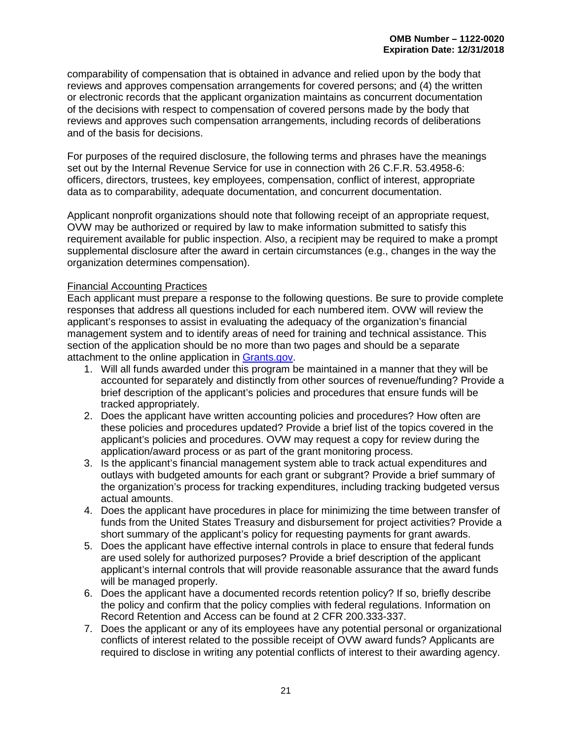comparability of compensation that is obtained in advance and relied upon by the body that reviews and approves compensation arrangements for covered persons; and (4) the written or electronic records that the applicant organization maintains as concurrent documentation of the decisions with respect to compensation of covered persons made by the body that reviews and approves such compensation arrangements, including records of deliberations and of the basis for decisions.

For purposes of the required disclosure, the following terms and phrases have the meanings set out by the Internal Revenue Service for use in connection with 26 C.F.R. 53.4958-6: officers, directors, trustees, key employees, compensation, conflict of interest, appropriate data as to comparability, adequate documentation, and concurrent documentation.

Applicant nonprofit organizations should note that following receipt of an appropriate request, OVW may be authorized or required by law to make information submitted to satisfy this requirement available for public inspection. Also, a recipient may be required to make a prompt supplemental disclosure after the award in certain circumstances (e.g., changes in the way the organization determines compensation).

#### Financial Accounting Practices

Each applicant must prepare a response to the following questions. Be sure to provide complete responses that address all questions included for each numbered item. OVW will review the applicant's responses to assist in evaluating the adequacy of the organization's financial management system and to identify areas of need for training and technical assistance. This section of the application should be no more than two pages and should be a separate attachment to the online application in [Grants.gov.](https://www.grants.gov/)

- 1. Will all funds awarded under this program be maintained in a manner that they will be accounted for separately and distinctly from other sources of revenue/funding? Provide a brief description of the applicant's policies and procedures that ensure funds will be tracked appropriately.
- 2. Does the applicant have written accounting policies and procedures? How often are these policies and procedures updated? Provide a brief list of the topics covered in the applicant's policies and procedures. OVW may request a copy for review during the application/award process or as part of the grant monitoring process.
- 3. Is the applicant's financial management system able to track actual expenditures and outlays with budgeted amounts for each grant or subgrant? Provide a brief summary of the organization's process for tracking expenditures, including tracking budgeted versus actual amounts.
- 4. Does the applicant have procedures in place for minimizing the time between transfer of funds from the United States Treasury and disbursement for project activities? Provide a short summary of the applicant's policy for requesting payments for grant awards.
- 5. Does the applicant have effective internal controls in place to ensure that federal funds are used solely for authorized purposes? Provide a brief description of the applicant applicant's internal controls that will provide reasonable assurance that the award funds will be managed properly.
- 6. Does the applicant have a documented records retention policy? If so, briefly describe the policy and confirm that the policy complies with federal regulations. Information on Record Retention and Access can be found at 2 CFR 200.333-337.
- 7. Does the applicant or any of its employees have any potential personal or organizational conflicts of interest related to the possible receipt of OVW award funds? Applicants are required to disclose in writing any potential conflicts of interest to their awarding agency.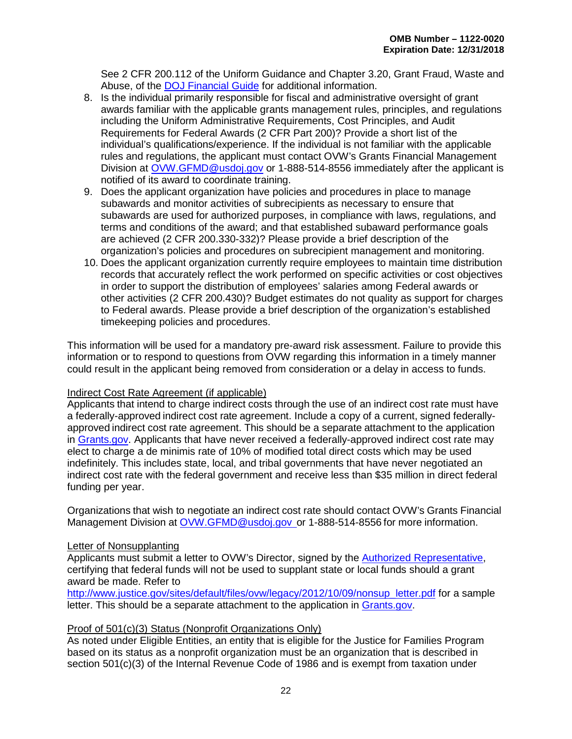See 2 CFR 200.112 of the Uniform Guidance and Chapter 3.20, Grant Fraud, Waste and Abuse, of the [DOJ Financial Guide](https://www.justice.gov/ovw/file/892031/download) for additional information.

- 8. Is the individual primarily responsible for fiscal and administrative oversight of grant awards familiar with the applicable grants management rules, principles, and regulations including the Uniform Administrative Requirements, Cost Principles, and Audit Requirements for Federal Awards (2 CFR Part 200)? Provide a short list of the individual's qualifications/experience. If the individual is not familiar with the applicable rules and regulations, the applicant must contact OVW's Grants Financial Management Division at [OVW.GFMD@usdoj.gov](mailto:OVW.GFMD@usdoj.gov) or 1-888-514-8556 immediately after the applicant is notified of its award to coordinate training.
- 9. Does the applicant organization have policies and procedures in place to manage subawards and monitor activities of subrecipients as necessary to ensure that subawards are used for authorized purposes, in compliance with laws, regulations, and terms and conditions of the award; and that established subaward performance goals are achieved (2 CFR 200.330-332)? Please provide a brief description of the organization's policies and procedures on subrecipient management and monitoring.
- 10. Does the applicant organization currently require employees to maintain time distribution records that accurately reflect the work performed on specific activities or cost objectives in order to support the distribution of employees' salaries among Federal awards or other activities (2 CFR 200.430)? Budget estimates do not quality as support for charges to Federal awards. Please provide a brief description of the organization's established timekeeping policies and procedures.

This information will be used for a mandatory pre-award risk assessment. Failure to provide this information or to respond to questions from OVW regarding this information in a timely manner could result in the applicant being removed from consideration or a delay in access to funds.

#### Indirect Cost Rate Agreement (if applicable)

Applicants that intend to charge indirect costs through the use of an indirect cost rate must have a federally-approved indirect cost rate agreement. Include a copy of a current, signed federallyapproved indirect cost rate agreement. This should be a separate attachment to the application in [Grants.gov.](https://www.grants.gov/) Applicants that have never received a federally-approved indirect cost rate may elect to charge a de minimis rate of 10% of modified total direct costs which may be used indefinitely. This includes state, local, and tribal governments that have never negotiated an indirect cost rate with the federal government and receive less than \$35 million in direct federal funding per year.

Organizations that wish to negotiate an indirect cost rate should contact OVW's Grants Financial Management Division at [OVW.GFMD@usdoj.gov o](mailto:OVW.GFMD@usdoj.gov)r 1-888-514-8556 for more information.

#### Letter of Nonsupplanting

Applicants must submit a letter to OVW's Director, signed by the [Authorized Representative,](#page-23-1) certifying that federal funds will not be used to supplant state or local funds should a grant award be made. Refer to

[http://www.justice.gov/sites/default/files/ovw/legacy/2012/10/09/nonsup\\_letter.pdf](http://www.justice.gov/sites/default/files/ovw/legacy/2012/10/09/nonsup_letter.pdf) for a sample letter. This should be a separate attachment to the application in [Grants.gov.](https://www.grants.gov/)

#### Proof of 501(c)(3) Status (Nonprofit Organizations Only)

As noted under Eligible Entities, an entity that is eligible for the Justice for Families Program based on its status as a nonprofit organization must be an organization that is described in section 501(c)(3) of the Internal Revenue Code of 1986 and is exempt from taxation under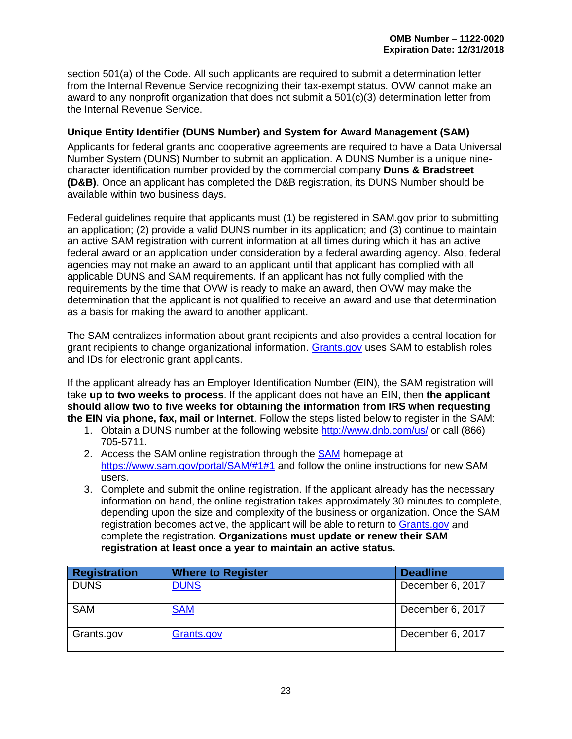section 501(a) of the Code. All such applicants are required to submit a determination letter from the Internal Revenue Service recognizing their tax-exempt status. OVW cannot make an award to any nonprofit organization that does not submit a 501(c)(3) determination letter from the Internal Revenue Service.

#### <span id="page-27-1"></span>**Unique Entity Identifier (DUNS Number) and System for Award Management (SAM)**

Applicants for federal grants and cooperative agreements are required to have a Data Universal Number System (DUNS) Number to submit an application. A DUNS Number is a unique ninecharacter identification number provided by the commercial company **Duns & Bradstreet (D&B)**. Once an applicant has completed the D&B registration, its DUNS Number should be available within two business days.

Federal guidelines require that applicants must (1) be registered in SAM.gov prior to submitting an application; (2) provide a valid DUNS number in its application; and (3) continue to maintain an active SAM registration with current information at all times during which it has an active federal award or an application under consideration by a federal awarding agency. Also, federal agencies may not make an award to an applicant until that applicant has complied with all applicable DUNS and SAM requirements. If an applicant has not fully complied with the requirements by the time that OVW is ready to make an award, then OVW may make the determination that the applicant is not qualified to receive an award and use that determination as a basis for making the award to another applicant.

<span id="page-27-0"></span>The SAM centralizes information about grant recipients and also provides a central location for grant recipients to change organizational information. [Grants.gov](http://www.grants.gov/) uses SAM to establish roles and IDs for electronic grant applicants.

If the applicant already has an Employer Identification Number (EIN), the SAM registration will take **up to two weeks to process**. If the applicant does not have an EIN, then **the applicant should allow two to five weeks for obtaining the information from IRS when requesting the EIN via phone, fax, mail or Internet**. Follow the steps listed below to register in the SAM:

- 1. Obtain a DUNS number at the following website<http://www.dnb.com/us/> or call (866) 705-5711.
- 2. Access the [SAM](https://www.sam.gov/) online registration through the SAM homepage at [https://www.sam.gov/portal/SAM/#1#1](https://www.sam.gov/portal/SAM/#1) and follow the online instructions for new SAM users.
- 3. Complete and submit the online registration. If the applicant already has the necessary information on hand, the online registration takes approximately 30 minutes to complete, depending upon the size and complexity of the business or organization. Once the SAM registration becomes active, the applicant will be able to return to [Grants.gov](http://www.grants.gov/) and complete the registration. **Organizations must update or renew their SAM registration at least once a year to maintain an active status.**

| <b>Registration</b> | <b>Where to Register</b> | <b>Deadline</b>  |
|---------------------|--------------------------|------------------|
| <b>DUNS</b>         | <b>DUNS</b>              | December 6, 2017 |
| <b>SAM</b>          | <b>SAM</b>               | December 6, 2017 |
| Grants.gov          | Grants.gov               | December 6, 2017 |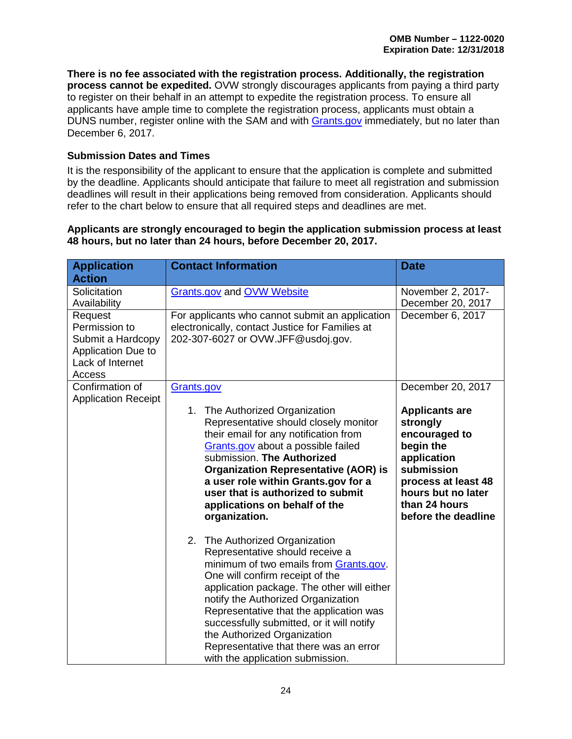**There is no fee associated with the registration process. Additionally, the registration process cannot be expedited.** OVW strongly discourages applicants from paying a third party to register on their behalf in an attempt to expedite the registration process. To ensure all applicants have ample time to complete the registration process, applicants must obtain a DUNS number, register online with the SAM and with [Grants.gov](http://www.grants.gov/) immediately, but no later than December 6, 2017.

#### <span id="page-28-0"></span>**Submission Dates and Times**

It is the responsibility of the applicant to ensure that the application is complete and submitted by the deadline. Applicants should anticipate that failure to meet all registration and submission deadlines will result in their applications being removed from consideration. Applicants should refer to the chart below to ensure that all required steps and deadlines are met.

#### **Applicants are strongly encouraged to begin the application submission process at least 48 hours, but no later than 24 hours, before December 20, 2017.**

| <b>Application</b>                                                                                | <b>Contact Information</b>                                                                                                                                                                                                                                                                                                                                                                                                              | <b>Date</b>                                                                                                                                                                       |
|---------------------------------------------------------------------------------------------------|-----------------------------------------------------------------------------------------------------------------------------------------------------------------------------------------------------------------------------------------------------------------------------------------------------------------------------------------------------------------------------------------------------------------------------------------|-----------------------------------------------------------------------------------------------------------------------------------------------------------------------------------|
| <b>Action</b>                                                                                     |                                                                                                                                                                                                                                                                                                                                                                                                                                         |                                                                                                                                                                                   |
| Solicitation<br>Availability                                                                      | <b>Grants.gov and OVW Website</b>                                                                                                                                                                                                                                                                                                                                                                                                       | November 2, 2017-<br>December 20, 2017                                                                                                                                            |
| Request<br>Permission to<br>Submit a Hardcopy<br>Application Due to<br>Lack of Internet<br>Access | For applicants who cannot submit an application<br>electronically, contact Justice for Families at<br>202-307-6027 or OVW.JFF@usdoj.gov.                                                                                                                                                                                                                                                                                                | December 6, 2017                                                                                                                                                                  |
| Confirmation of<br><b>Application Receipt</b>                                                     | Grants.gov                                                                                                                                                                                                                                                                                                                                                                                                                              | December 20, 2017                                                                                                                                                                 |
|                                                                                                   | 1. The Authorized Organization<br>Representative should closely monitor<br>their email for any notification from<br>Grants.gov about a possible failed<br>submission. The Authorized<br><b>Organization Representative (AOR) is</b><br>a user role within Grants.gov for a<br>user that is authorized to submit<br>applications on behalf of the<br>organization.                                                                       | <b>Applicants are</b><br>strongly<br>encouraged to<br>begin the<br>application<br>submission<br>process at least 48<br>hours but no later<br>than 24 hours<br>before the deadline |
|                                                                                                   | 2. The Authorized Organization<br>Representative should receive a<br>minimum of two emails from Grants.gov.<br>One will confirm receipt of the<br>application package. The other will either<br>notify the Authorized Organization<br>Representative that the application was<br>successfully submitted, or it will notify<br>the Authorized Organization<br>Representative that there was an error<br>with the application submission. |                                                                                                                                                                                   |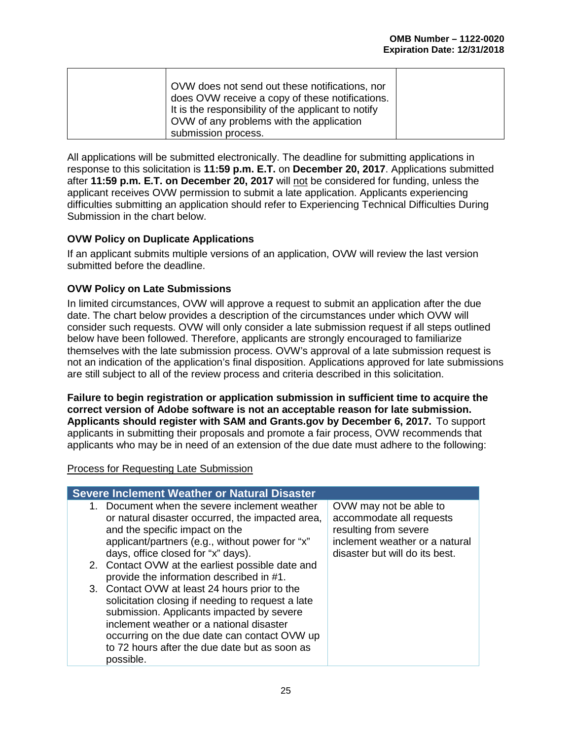| OVW does not send out these notifications, nor<br>does OVW receive a copy of these notifications.<br>It is the responsibility of the applicant to notify<br>OVW of any problems with the application |  |
|------------------------------------------------------------------------------------------------------------------------------------------------------------------------------------------------------|--|
| submission process.                                                                                                                                                                                  |  |

All applications will be submitted electronically. The deadline for submitting applications in response to this solicitation is **11:59 p.m. E.T.** on **December 20, 2017**. Applications submitted after **11:59 p.m. E.T. on December 20, 2017** will not be considered for funding, unless the applicant receives OVW permission to submit a late application. Applicants experiencing difficulties submitting an application should refer to Experiencing Technical Difficulties During Submission in the chart below.

#### <span id="page-29-0"></span>**OVW Policy on Duplicate Applications**

If an applicant submits multiple versions of an application, OVW will review the last version submitted before the deadline.

#### <span id="page-29-1"></span>**OVW Policy on Late Submissions**

In limited circumstances, OVW will approve a request to submit an application after the due date. The chart below provides a description of the circumstances under which OVW will consider such requests. OVW will only consider a late submission request if all steps outlined below have been followed. Therefore, applicants are strongly encouraged to familiarize themselves with the late submission process. OVW's approval of a late submission request is not an indication of the application's final disposition. Applications approved for late submissions are still subject to all of the review process and criteria described in this solicitation.

**Failure to begin registration or application submission in sufficient time to acquire the correct version of Adobe software is not an acceptable reason for late submission. Applicants should register with SAM and Grants.gov by December 6, 2017.** To support applicants in submitting their proposals and promote a fair process, OVW recommends that applicants who may be in need of an extension of the due date must adhere to the following:

#### Process for Requesting Late Submission

| <b>Severe Inclement Weather or Natural Disaster</b>                                                                                                                                                                                                                                                       |                                                                                                                                                 |
|-----------------------------------------------------------------------------------------------------------------------------------------------------------------------------------------------------------------------------------------------------------------------------------------------------------|-------------------------------------------------------------------------------------------------------------------------------------------------|
| 1. Document when the severe inclement weather<br>or natural disaster occurred, the impacted area,<br>and the specific impact on the<br>applicant/partners (e.g., without power for "x"<br>days, office closed for "x" days).                                                                              | OVW may not be able to<br>accommodate all requests<br>resulting from severe<br>inclement weather or a natural<br>disaster but will do its best. |
| 2. Contact OVW at the earliest possible date and<br>provide the information described in #1.                                                                                                                                                                                                              |                                                                                                                                                 |
| 3. Contact OVW at least 24 hours prior to the<br>solicitation closing if needing to request a late<br>submission. Applicants impacted by severe<br>inclement weather or a national disaster<br>occurring on the due date can contact OVW up<br>to 72 hours after the due date but as soon as<br>possible. |                                                                                                                                                 |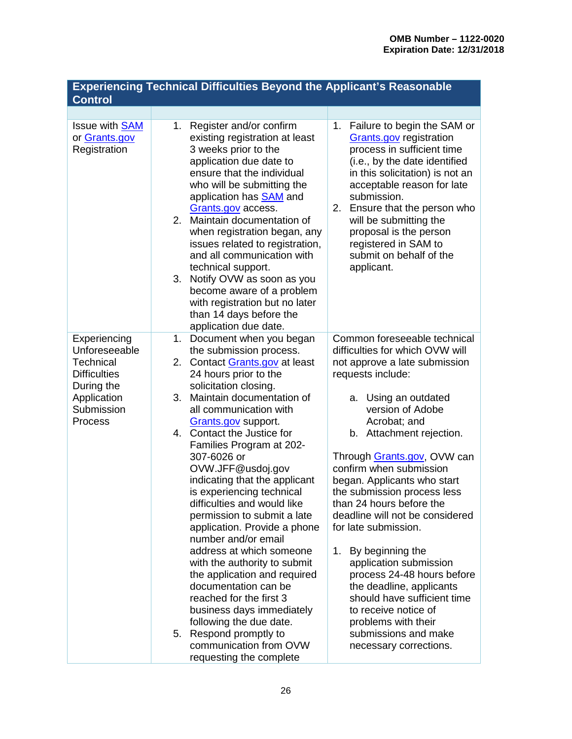| <b>Experiencing Technical Difficulties Beyond the Applicant's Reasonable</b><br><b>Control</b>                          |                                                                                                                                                                                                                                                                                                                                                                                                                                                                                                                                                                                                                                                                                                                                                                                                                                                                                                                                                                                                                                                                                                                                                                                                                                                                                                                                                                                                                                                                                                |  |  |
|-------------------------------------------------------------------------------------------------------------------------|------------------------------------------------------------------------------------------------------------------------------------------------------------------------------------------------------------------------------------------------------------------------------------------------------------------------------------------------------------------------------------------------------------------------------------------------------------------------------------------------------------------------------------------------------------------------------------------------------------------------------------------------------------------------------------------------------------------------------------------------------------------------------------------------------------------------------------------------------------------------------------------------------------------------------------------------------------------------------------------------------------------------------------------------------------------------------------------------------------------------------------------------------------------------------------------------------------------------------------------------------------------------------------------------------------------------------------------------------------------------------------------------------------------------------------------------------------------------------------------------|--|--|
|                                                                                                                         |                                                                                                                                                                                                                                                                                                                                                                                                                                                                                                                                                                                                                                                                                                                                                                                                                                                                                                                                                                                                                                                                                                                                                                                                                                                                                                                                                                                                                                                                                                |  |  |
| Issue with <b>SAM</b><br>or Grants.gov<br>Registration                                                                  | Register and/or confirm<br>Failure to begin the SAM or<br>1.<br>1.<br>existing registration at least<br><b>Grants.gov</b> registration<br>process in sufficient time<br>3 weeks prior to the<br>application due date to<br>(i.e., by the date identified<br>ensure that the individual<br>in this solicitation) is not an<br>who will be submitting the<br>acceptable reason for late<br>submission.<br>application has <b>SAM</b> and<br>2. Ensure that the person who<br>Grants.gov access.<br>2. Maintain documentation of<br>will be submitting the<br>proposal is the person<br>when registration began, any<br>registered in SAM to<br>issues related to registration,<br>and all communication with<br>submit on behalf of the<br>technical support.<br>applicant.<br>Notify OVW as soon as you<br>3.<br>become aware of a problem<br>with registration but no later<br>than 14 days before the<br>application due date.                                                                                                                                                                                                                                                                                                                                                                                                                                                                                                                                                                |  |  |
| Experiencing<br>Unforeseeable<br>Technical<br><b>Difficulties</b><br>During the<br>Application<br>Submission<br>Process | Common foreseeable technical<br>Document when you began<br>$1_{\cdot}$<br>difficulties for which OVW will<br>the submission process.<br>2. Contact Grants.gov at least<br>not approve a late submission<br>24 hours prior to the<br>requests include:<br>solicitation closing.<br>Maintain documentation of<br>3.<br>a. Using an outdated<br>version of Adobe<br>all communication with<br>Acrobat; and<br>Grants.gov support.<br>4. Contact the Justice for<br>b. Attachment rejection.<br>Families Program at 202-<br>307-6026 or<br>Through Grants.gov, OVW can<br>OVW.JFF@usdoj.gov<br>confirm when submission<br>indicating that the applicant<br>began. Applicants who start<br>is experiencing technical<br>the submission process less<br>than 24 hours before the<br>difficulties and would like<br>deadline will not be considered<br>permission to submit a late<br>application. Provide a phone<br>for late submission.<br>number and/or email<br>address at which someone<br>By beginning the<br>1.<br>application submission<br>with the authority to submit<br>the application and required<br>process 24-48 hours before<br>documentation can be<br>the deadline, applicants<br>reached for the first 3<br>should have sufficient time<br>business days immediately<br>to receive notice of<br>following the due date.<br>problems with their<br>5. Respond promptly to<br>submissions and make<br>communication from OVW<br>necessary corrections.<br>requesting the complete |  |  |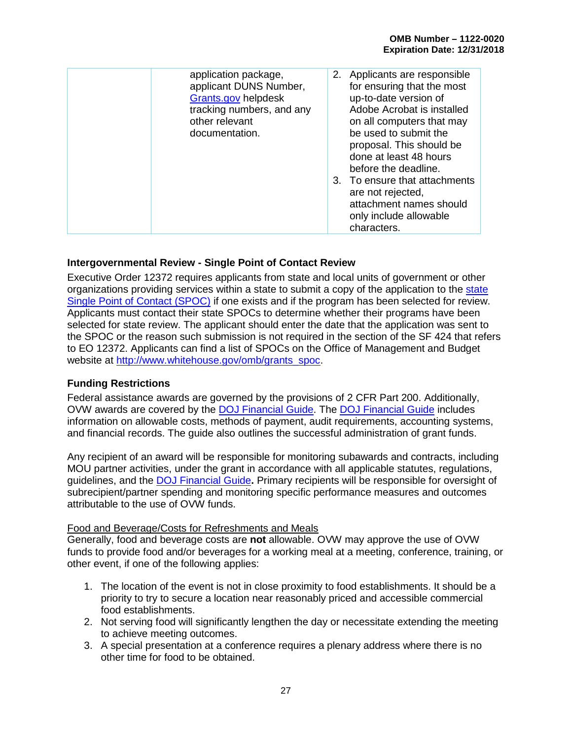| application package,<br>applicant DUNS Number,<br>Grants.gov helpdesk<br>tracking numbers, and any<br>other relevant<br>documentation. | Applicants are responsible<br>2.<br>for ensuring that the most<br>up-to-date version of<br>Adobe Acrobat is installed<br>on all computers that may<br>be used to submit the<br>proposal. This should be<br>done at least 48 hours<br>before the deadline.<br>3. To ensure that attachments<br>are not rejected,<br>attachment names should<br>only include allowable<br>characters. |
|----------------------------------------------------------------------------------------------------------------------------------------|-------------------------------------------------------------------------------------------------------------------------------------------------------------------------------------------------------------------------------------------------------------------------------------------------------------------------------------------------------------------------------------|
|----------------------------------------------------------------------------------------------------------------------------------------|-------------------------------------------------------------------------------------------------------------------------------------------------------------------------------------------------------------------------------------------------------------------------------------------------------------------------------------------------------------------------------------|

#### <span id="page-31-0"></span>**Intergovernmental Review - Single Point of Contact Review**

Executive Order 12372 requires applicants from state and local units of government or other organizations providing services within a state to submit a copy of the application to the [state](http://www.whitehouse.gov/omb/grants_spoc/)  [Single Point of Contact \(SPOC\)](http://www.whitehouse.gov/omb/grants_spoc/) if one exists and if the program has been selected for review. Applicants must contact their state SPOCs to determine whether their programs have been selected for state review. The applicant should enter the date that the application was sent to the SPOC or the reason such submission is not required in the section of the SF 424 that refers to EO 12372. Applicants can find a list of SPOCs on the Office of Management and Budget website at [http://www.whitehouse.gov/omb/grants\\_spoc.](http://www.whitehouse.gov/omb/grants_spoc)

#### <span id="page-31-1"></span>**Funding Restrictions**

Federal assistance awards are governed by the provisions of 2 CFR Part 200. Additionally, OVW awards are covered by the [DOJ Financial Guide.](https://www.justice.gov/ovw/file/892031/download) The [DOJ Financial Guide](https://www.justice.gov/ovw/file/892031/download) includes information on allowable costs, methods of payment, audit requirements, accounting systems, and financial records. The guide also outlines the successful administration of grant funds.

Any recipient of an award will be responsible for monitoring subawards and contracts, including MOU partner activities, under the grant in accordance with all applicable statutes, regulations, guidelines, and the [DOJ Financial Guide](https://www.justice.gov/ovw/file/892031/download)**.** Primary recipients will be responsible for oversight of subrecipient/partner spending and monitoring specific performance measures and outcomes attributable to the use of OVW funds.

#### Food and Beverage/Costs for Refreshments and Meals

Generally, food and beverage costs are **not** allowable. OVW may approve the use of OVW funds to provide food and/or beverages for a working meal at a meeting, conference, training, or other event, if one of the following applies:

- 1. The location of the event is not in close proximity to food establishments. It should be a priority to try to secure a location near reasonably priced and accessible commercial food establishments.
- 2. Not serving food will significantly lengthen the day or necessitate extending the meeting to achieve meeting outcomes.
- 3. A special presentation at a conference requires a plenary address where there is no other time for food to be obtained.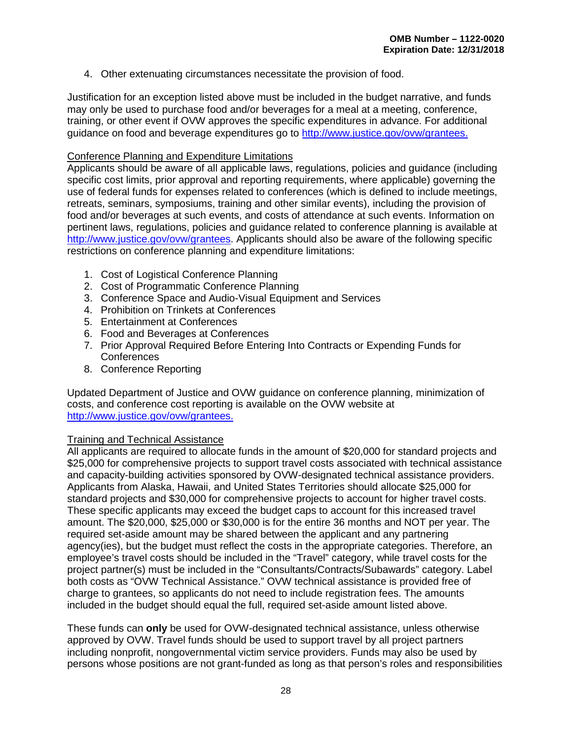4. Other extenuating circumstances necessitate the provision of food.

Justification for an exception listed above must be included in the budget narrative, and funds may only be used to purchase food and/or beverages for a meal at a meeting, conference, training, or other event if OVW approves the specific expenditures in advance. For additional guidance on food and beverage expenditures go to [http://www.justice.gov/ovw/grantees.](http://www.justice.gov/ovw/grantees)

#### Conference Planning and Expenditure Limitations

Applicants should be aware of all applicable laws, regulations, policies and guidance (including specific cost limits, prior approval and reporting requirements, where applicable) governing the use of federal funds for expenses related to conferences (which is defined to include meetings, retreats, seminars, symposiums, training and other similar events), including the provision of food and/or beverages at such events, and costs of attendance at such events. Information on pertinent laws, regulations, policies and guidance related to conference planning is available at [http://www.justice.gov/ovw/grantees.](http://www.justice.gov/ovw/grantees) Applicants should also be aware of the following specific restrictions on conference planning and expenditure limitations:

- 1. Cost of Logistical Conference Planning
- 2. Cost of Programmatic Conference Planning
- 3. Conference Space and Audio-Visual Equipment and Services
- 4. Prohibition on Trinkets at Conferences
- 5. Entertainment at Conferences
- 6. Food and Beverages at Conferences
- 7. Prior Approval Required Before Entering Into Contracts or Expending Funds for Conferences
- 8. Conference Reporting

Updated Department of Justice and OVW guidance on conference planning, minimization of costs, and conference cost reporting is available on the OVW website at [http://www.justice.gov/ovw/grantees.](http://www.justice.gov/ovw/grantees)

#### <span id="page-32-0"></span>Training and Technical Assistance

All applicants are required to allocate funds in the amount of \$20,000 for standard projects and \$25,000 for comprehensive projects to support travel costs associated with technical assistance and capacity-building activities sponsored by OVW-designated technical assistance providers. Applicants from Alaska, Hawaii, and United States Territories should allocate \$25,000 for standard projects and \$30,000 for comprehensive projects to account for higher travel costs. These specific applicants may exceed the budget caps to account for this increased travel amount. The \$20,000, \$25,000 or \$30,000 is for the entire 36 months and NOT per year. The required set-aside amount may be shared between the applicant and any partnering agency(ies), but the budget must reflect the costs in the appropriate categories. Therefore, an employee's travel costs should be included in the "Travel" category, while travel costs for the project partner(s) must be included in the "Consultants/Contracts/Subawards" category. Label both costs as "OVW Technical Assistance." OVW technical assistance is provided free of charge to grantees, so applicants do not need to include registration fees. The amounts included in the budget should equal the full, required set-aside amount listed above.

These funds can **only** be used for OVW-designated technical assistance, unless otherwise approved by OVW. Travel funds should be used to support travel by all project partners including nonprofit, nongovernmental victim service providers. Funds may also be used by persons whose positions are not grant-funded as long as that person's roles and responsibilities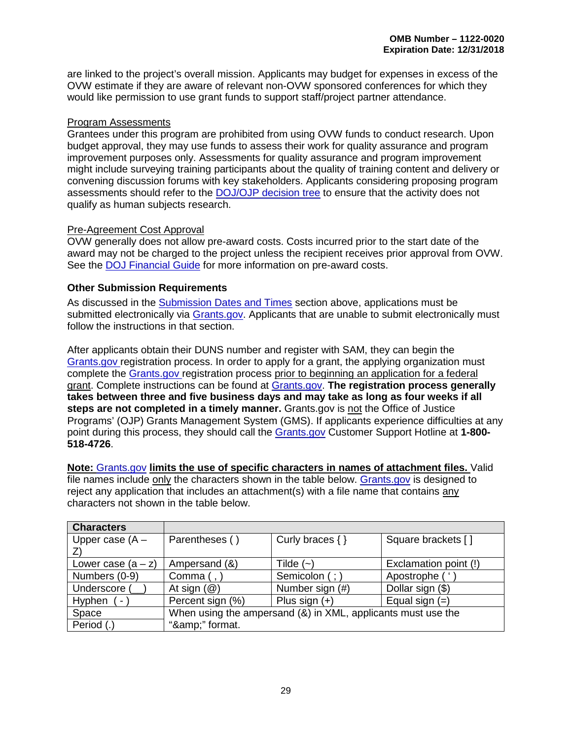are linked to the project's overall mission. Applicants may budget for expenses in excess of the OVW estimate if they are aware of relevant non-OVW sponsored conferences for which they would like permission to use grant funds to support staff/project partner attendance.

#### Program Assessments

Grantees under this program are prohibited from using OVW funds to conduct research. Upon budget approval, they may use funds to assess their work for quality assurance and program improvement purposes only. Assessments for quality assurance and program improvement might include surveying training participants about the quality of training content and delivery or convening discussion forums with key stakeholders. Applicants considering proposing program assessments should refer to the [DOJ/OJP decision tree](https://ojp.gov/funding/Apply/Resources/ResearchDecisionTree.pdf) to ensure that the activity does not qualify as human subjects research.

#### Pre-Agreement Cost Approval

OVW generally does not allow pre-award costs. Costs incurred prior to the start date of the award may not be charged to the project unless the recipient receives prior approval from OVW. See the [DOJ Financial Guide](https://www.justice.gov/ovw/file/892031/download) for more information on pre-award costs.

#### <span id="page-33-0"></span>**Other Submission Requirements**

As discussed in the [Submission Dates and Times](#page-28-0) section above, applications must be submitted electronically via [Grants.gov.](http://www.grants.gov/) Applicants that are unable to submit electronically must follow the instructions in that section.

After applicants obtain their DUNS number and register with SAM, they can begin the [Grants.gov](http://www.grants.gov/) registration process. In order to apply for a grant, the applying organization must complete the [Grants.gov](http://www.grants.gov/) registration process prior to beginning an application for a federal grant. Complete instructions can be found at [Grants.gov.](http://www.grants.gov/) **The registration process generally takes between three and five business days and may take as long as four weeks if all steps are not completed in a timely manner.** Grants.gov is not the Office of Justice Programs' (OJP) Grants Management System (GMS). If applicants experience difficulties at any point during this process, they should call the [Grants.gov](http://www.grants.gov/) Customer Support Hotline at **1-800- 518-4726**.

**Note:** [Grants.gov](http://www.grants.gov/) **limits the use of specific characters in names of attachment files.** Valid file names include only the characters shown in the table below. [Grants.gov](http://www.grants.gov/) is designed to reject any application that includes an attachment(s) with a file name that contains any characters not shown in the table below.

| <b>Characters</b>                  |                                                              |                     |                       |
|------------------------------------|--------------------------------------------------------------|---------------------|-----------------------|
| Upper case $(A -$                  | Parentheses ()                                               | Curly braces $\{\}$ | Square brackets []    |
|                                    |                                                              |                     |                       |
| Lower case $(a - z)$               | Ampersand (&)                                                | Tilde $(-)$         | Exclamation point (!) |
| Numbers (0-9)                      | Comma $($ , $)$                                              | Semicolon (; )      | Apostrophe ('         |
| Underscore (                       | At sign $(\mathcal{Q})$                                      | Number sign (#)     | Dollar sign (\$)      |
| Hyphen<br>$\overline{\phantom{a}}$ | Percent sign (%)                                             | Plus sign $(+)$     | Equal sign $(=)$      |
| Space                              | When using the ampersand (&) in XML, applicants must use the |                     |                       |
| Period (.)                         | "&" format.                                                  |                     |                       |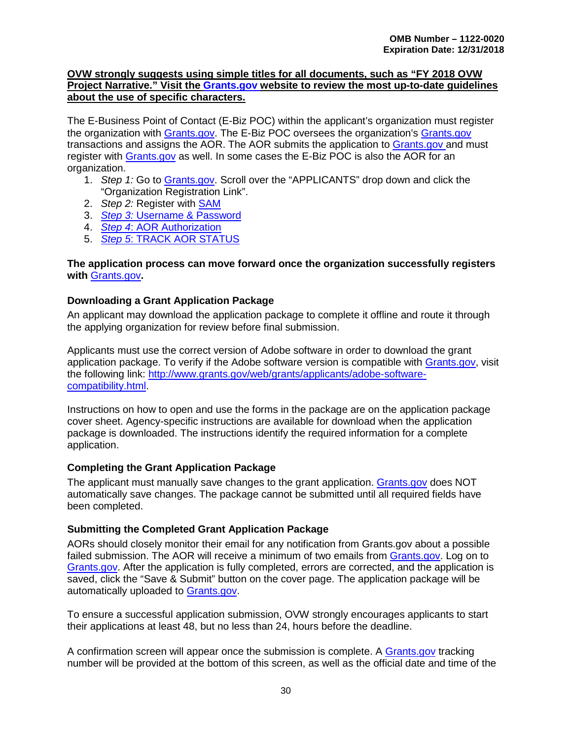#### **OVW strongly suggests using simple titles for all documents, such as "FY 2018 OVW Project Narrative." Visit the [Grants.gov](http://www.grants.gov/) website to review the most up-to-date guidelines about the use of specific characters.**

The E-Business Point of Contact (E-Biz POC) within the applicant's organization must register the organization with [Grants.gov.](http://www.grants.gov/) The E-Biz POC oversees the organization's [Grants.gov](http://www.grants.gov/) transactions and assigns the AOR. The AOR submits the application to [Grants.gov](http://www.grants.gov/) and must register with [Grants.gov](http://www.grants.gov/) as well. In some cases the E-Biz POC is also the AOR for an organization.

- 1. *Step 1:* Go to [Grants.gov.](http://www.grants.gov/) Scroll over the "APPLICANTS" drop down and click the "Organization Registration Link".
- 2. *Step 2:* Register with [SAM](https://www.sam.gov/portal/SAM/#1)
- 3. *Step 3:* [Username & Password](http://www.grants.gov/web/grants/applicants/organization-registration/step-3-username-password.html)
- 4. *Step 4*[: AOR Authorization](http://www.grants.gov/web/grants/applicants/organization-registration/step-4-aor-authorization.html)
- 5. *Step 5*[: TRACK AOR STATUS](http://www.grants.gov/web/grants/applicants/organization-registration/step-5-track-aor-status.html)

#### **The application process can move forward once the organization successfully registers with** [Grants.gov](http://www.grants.gov/)**.**

#### <span id="page-34-0"></span>**Downloading a Grant Application Package**

An applicant may download the application package to complete it offline and route it through the applying organization for review before final submission.

Applicants must use the correct version of Adobe software in order to download the grant application package. To verify if the Adobe software version is compatible with [Grants.gov,](http://www.grants.gov/) visit the following link: [http://www.grants.gov/web/grants/applicants/adobe-software](http://www.grants.gov/web/grants/applicants/adobe-software-compatibility.html)[compatibility.html.](http://www.grants.gov/web/grants/applicants/adobe-software-compatibility.html)

Instructions on how to open and use the forms in the package are on the application package cover sheet. Agency-specific instructions are available for download when the application package is downloaded. The instructions identify the required information for a complete application.

#### <span id="page-34-1"></span>**Completing the Grant Application Package**

The applicant must manually save changes to the grant application. [Grants.gov](http://www.grants.gov/) does NOT automatically save changes. The package cannot be submitted until all required fields have been completed.

#### <span id="page-34-2"></span>**Submitting the Completed Grant Application Package**

AORs should closely monitor their email for any notification from [Grants.gov](http://www.grants.gov/) about a possible failed submission. The AOR will receive a minimum of two emails from [Grants.gov.](http://www.grants.gov/) Log on to [Grants.gov.](http://www.grants.gov/) After the application is fully completed, errors are corrected, and the application is saved, click the "Save & Submit" button on the cover page. The application package will be automatically uploaded to [Grants.gov.](http://www.grants.gov/)

To ensure a successful application submission, OVW strongly encourages applicants to start their applications at least 48, but no less than 24, hours before the deadline.

A confirmation screen will appear once the submission is complete. A [Grants.gov](http://www.grants.gov/) tracking number will be provided at the bottom of this screen, as well as the official date and time of the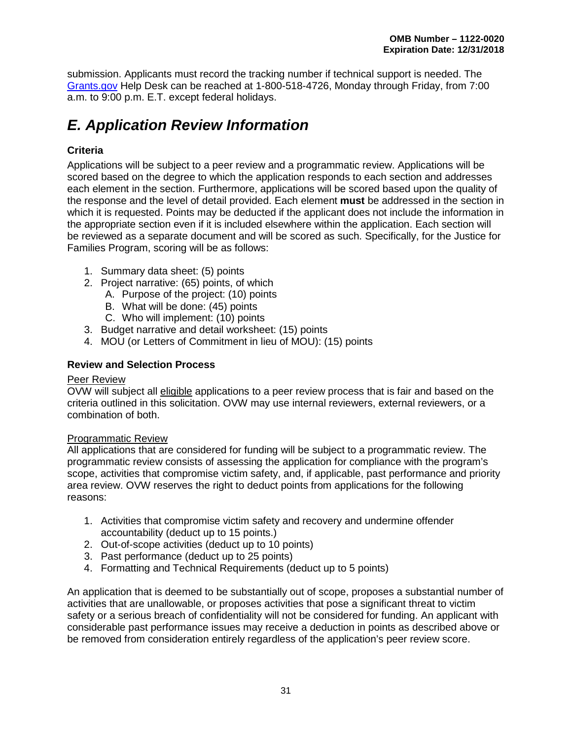submission. Applicants must record the tracking number if technical support is needed. The [Grants.gov](http://www.grants.gov/) Help Desk can be reached at 1-800-518-4726, Monday through Friday, from 7:00 a.m. to 9:00 p.m. E.T. except federal holidays.

# <span id="page-35-0"></span>*E. Application Review Information*

#### <span id="page-35-1"></span>**Criteria**

Applications will be subject to a peer review and a programmatic review. Applications will be scored based on the degree to which the application responds to each section and addresses each element in the section. Furthermore, applications will be scored based upon the quality of the response and the level of detail provided. Each element **must** be addressed in the section in which it is requested. Points may be deducted if the applicant does not include the information in the appropriate section even if it is included elsewhere within the application. Each section will be reviewed as a separate document and will be scored as such. Specifically, for the Justice for Families Program, scoring will be as follows:

- 1. Summary data sheet: (5) points
- 2. Project narrative: (65) points, of which
	- A. Purpose of the project: (10) points
	- B. What will be done: (45) points
	- C. Who will implement: (10) points
- 3. Budget narrative and detail worksheet: (15) points
- 4. MOU (or Letters of Commitment in lieu of MOU): (15) points

#### <span id="page-35-2"></span>**Review and Selection Process**

#### Peer Review

OVW will subject all eligible applications to a peer review process that is fair and based on the criteria outlined in this solicitation. OVW may use internal reviewers, external reviewers, or a combination of both.

#### Programmatic Review

All applications that are considered for funding will be subject to a programmatic review. The programmatic review consists of assessing the application for compliance with the program's scope, activities that compromise victim safety, and, if applicable, past performance and priority area review. OVW reserves the right to deduct points from applications for the following reasons:

- 1. Activities that compromise victim safety and recovery and undermine offender accountability (deduct up to 15 points.)
- 2. Out-of-scope activities (deduct up to 10 points)
- 3. Past performance (deduct up to 25 points)
- 4. Formatting and Technical Requirements (deduct up to 5 points)

An application that is deemed to be substantially out of scope, proposes a substantial number of activities that are unallowable, or proposes activities that pose a significant threat to victim safety or a serious breach of confidentiality will not be considered for funding. An applicant with considerable past performance issues may receive a deduction in points as described above or be removed from consideration entirely regardless of the application's peer review score.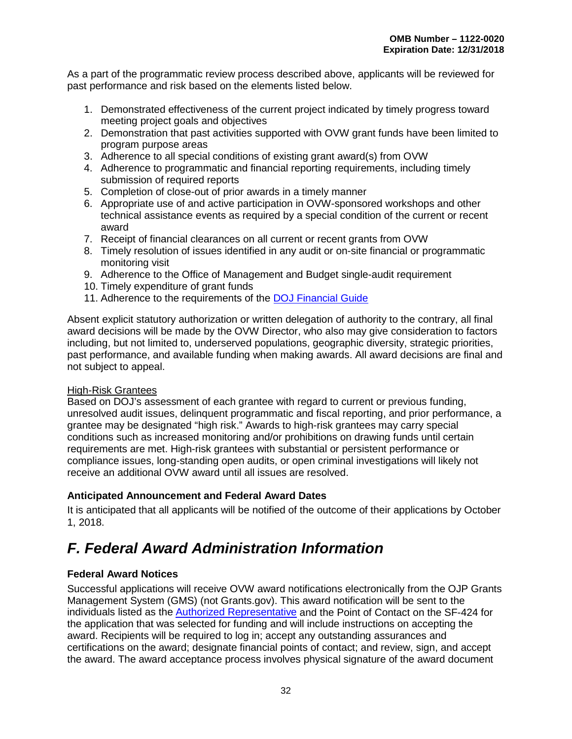As a part of the programmatic review process described above, applicants will be reviewed for past performance and risk based on the elements listed below.

- 1. Demonstrated effectiveness of the current project indicated by timely progress toward meeting project goals and objectives
- 2. Demonstration that past activities supported with OVW grant funds have been limited to program purpose areas
- 3. Adherence to all special conditions of existing grant award(s) from OVW
- 4. Adherence to programmatic and financial reporting requirements, including timely submission of required reports
- 5. Completion of close-out of prior awards in a timely manner
- 6. Appropriate use of and active participation in OVW-sponsored workshops and other technical assistance events as required by a special condition of the current or recent award
- 7. Receipt of financial clearances on all current or recent grants from OVW
- 8. Timely resolution of issues identified in any audit or on-site financial or programmatic monitoring visit
- 9. Adherence to the Office of Management and Budget single-audit requirement
- 10. Timely expenditure of grant funds
- 11. Adherence to the requirements of the [DOJ Financial Guide](https://www.justice.gov/ovw/file/892031/download)

Absent explicit statutory authorization or written delegation of authority to the contrary, all final award decisions will be made by the OVW Director, who also may give consideration to factors including, but not limited to, underserved populations, geographic diversity, strategic priorities, past performance, and available funding when making awards. All award decisions are final and not subject to appeal.

## High-Risk Grantees

Based on DOJ's assessment of each grantee with regard to current or previous funding, unresolved audit issues, delinquent programmatic and fiscal reporting, and prior performance, a grantee may be designated "high risk." Awards to high-risk grantees may carry special conditions such as increased monitoring and/or prohibitions on drawing funds until certain requirements are met. High-risk grantees with substantial or persistent performance or compliance issues, long-standing open audits, or open criminal investigations will likely not receive an additional OVW award until all issues are resolved.

## **Anticipated Announcement and Federal Award Dates**

It is anticipated that all applicants will be notified of the outcome of their applications by October 1, 2018.

# *F. Federal Award Administration Information*

# **Federal Award Notices**

Successful applications will receive OVW award notifications electronically from the OJP Grants Management System (GMS) (not Grants.gov). This award notification will be sent to the individuals listed as the [Authorized Representative](#page-23-0) and the Point of Contact on the SF-424 for the application that was selected for funding and will include instructions on accepting the award. Recipients will be required to log in; accept any outstanding assurances and certifications on the award; designate financial points of contact; and review, sign, and accept the award. The award acceptance process involves physical signature of the award document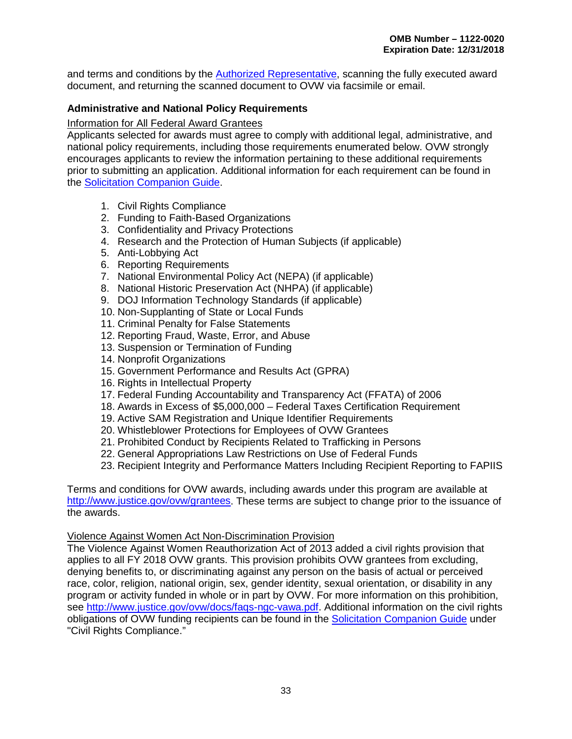and terms and conditions by the [Authorized Representative,](#page-23-0) scanning the fully executed award document, and returning the scanned document to OVW via facsimile or email.

## **Administrative and National Policy Requirements**

### Information for All Federal Award Grantees

Applicants selected for awards must agree to comply with additional legal, administrative, and national policy requirements, including those requirements enumerated below. OVW strongly encourages applicants to review the information pertaining to these additional requirements prior to submitting an application. Additional information for each requirement can be found in the [Solicitation Companion Guide.](https://www.justice.gov/ovw/page/file/1007726/download#Solicitation)

- 1. Civil Rights Compliance
- 2. Funding to Faith-Based Organizations
- 3. Confidentiality and Privacy Protections
- 4. Research and the Protection of Human Subjects (if applicable)
- 5. Anti-Lobbying Act
- 6. Reporting Requirements
- 7. National Environmental Policy Act (NEPA) (if applicable)
- 8. National Historic Preservation Act (NHPA) (if applicable)
- 9. DOJ Information Technology Standards (if applicable)
- 10. Non-Supplanting of State or Local Funds
- 11. Criminal Penalty for False Statements
- 12. Reporting Fraud, Waste, Error, and Abuse
- 13. Suspension or Termination of Funding
- 14. Nonprofit Organizations
- 15. Government Performance and Results Act (GPRA)
- 16. Rights in Intellectual Property
- 17. Federal Funding Accountability and Transparency Act (FFATA) of 2006
- 18. Awards in Excess of \$5,000,000 Federal Taxes Certification Requirement
- 19. Active SAM Registration and Unique Identifier Requirements
- 20. Whistleblower Protections for Employees of OVW Grantees
- 21. Prohibited Conduct by Recipients Related to Trafficking in Persons
- 22. General Appropriations Law Restrictions on Use of Federal Funds
- 23. Recipient Integrity and Performance Matters Including Recipient Reporting to FAPIIS

Terms and conditions for OVW awards, including awards under this program are available at [http://www.justice.gov/ovw/grantees.](http://www.justice.gov/ovw/grantees) These terms are subject to change prior to the issuance of the awards.

### Violence Against Women Act Non-Discrimination Provision

The Violence Against Women Reauthorization Act of 2013 added a civil rights provision that applies to all FY 2018 OVW grants. This provision prohibits OVW grantees from excluding, denying benefits to, or discriminating against any person on the basis of actual or perceived race, color, religion, national origin, sex, gender identity, sexual orientation, or disability in any program or activity funded in whole or in part by OVW. For more information on this prohibition, see [http://www.justice.gov/ovw/docs/faqs-ngc-vawa.pdf.](http://www.justice.gov/ovw/docs/faqs-ngc-vawa.pdf) Additional information on the civil rights obligations of OVW funding recipients can be found in the [Solicitation Companion Guide](https://www.justice.gov/ovw/page/file/1007726/download#Solicitation) under "Civil Rights Compliance."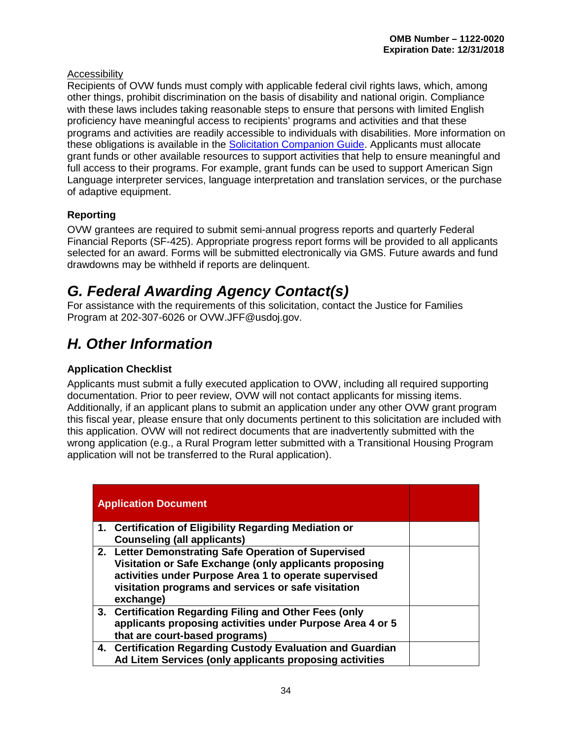## Accessibility

Recipients of OVW funds must comply with applicable federal civil rights laws, which, among other things, prohibit discrimination on the basis of disability and national origin. Compliance with these laws includes taking reasonable steps to ensure that persons with limited English proficiency have meaningful access to recipients' programs and activities and that these programs and activities are readily accessible to individuals with disabilities. More information on these obligations is available in the [Solicitation Companion Guide.](https://www.justice.gov/ovw/page/file/1007726/download#Solicitation) Applicants must allocate grant funds or other available resources to support activities that help to ensure meaningful and full access to their programs. For example, grant funds can be used to support American Sign Language interpreter services, language interpretation and translation services, or the purchase of adaptive equipment.

# **Reporting**

OVW grantees are required to submit semi-annual progress reports and quarterly Federal Financial Reports (SF-425). Appropriate progress report forms will be provided to all applicants selected for an award. Forms will be submitted electronically via GMS. Future awards and fund drawdowns may be withheld if reports are delinquent.

# *G. Federal Awarding Agency Contact(s)*

For assistance with the requirements of this solicitation, contact the Justice for Families Program at 202-307-6026 or OVW.JFF@usdoj.gov.

# *H. Other Information*

# **Application Checklist**

Applicants must submit a fully executed application to OVW, including all required supporting documentation. Prior to peer review, OVW will not contact applicants for missing items. Additionally, if an applicant plans to submit an application under any other OVW grant program this fiscal year, please ensure that only documents pertinent to this solicitation are included with this application. OVW will not redirect documents that are inadvertently submitted with the wrong application (e.g., a Rural Program letter submitted with a Transitional Housing Program application will not be transferred to the Rural application).

| <b>Application Document</b>                                                                                                                                                                                                                 |  |
|---------------------------------------------------------------------------------------------------------------------------------------------------------------------------------------------------------------------------------------------|--|
| 1. Certification of Eligibility Regarding Mediation or<br><b>Counseling (all applicants)</b>                                                                                                                                                |  |
| 2. Letter Demonstrating Safe Operation of Supervised<br>Visitation or Safe Exchange (only applicants proposing<br>activities under Purpose Area 1 to operate supervised<br>visitation programs and services or safe visitation<br>exchange) |  |
| 3. Certification Regarding Filing and Other Fees (only<br>applicants proposing activities under Purpose Area 4 or 5<br>that are court-based programs)                                                                                       |  |
| 4. Certification Regarding Custody Evaluation and Guardian<br>Ad Litem Services (only applicants proposing activities                                                                                                                       |  |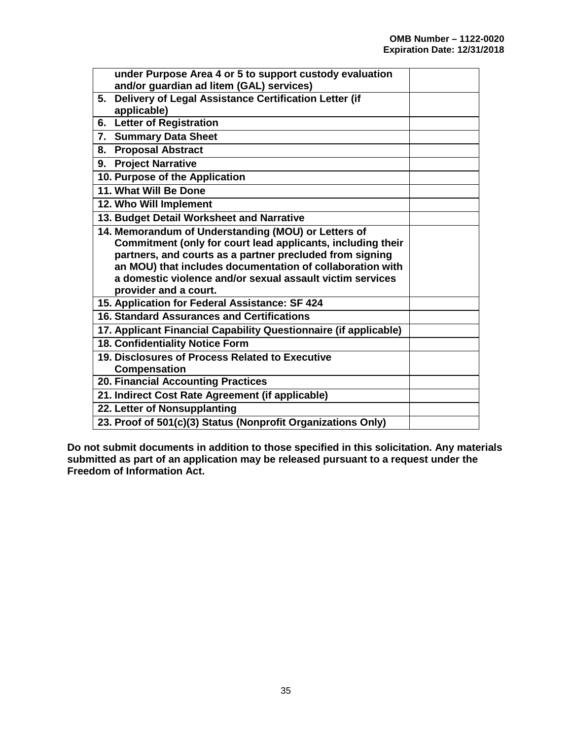| under Purpose Area 4 or 5 to support custody evaluation<br>and/or guardian ad litem (GAL) services)                |  |
|--------------------------------------------------------------------------------------------------------------------|--|
| Delivery of Legal Assistance Certification Letter (if<br>5.<br>applicable)                                         |  |
| 6. Letter of Registration                                                                                          |  |
| 7. Summary Data Sheet                                                                                              |  |
| 8. Proposal Abstract                                                                                               |  |
| 9. Project Narrative                                                                                               |  |
| 10. Purpose of the Application                                                                                     |  |
| 11. What Will Be Done                                                                                              |  |
| 12. Who Will Implement                                                                                             |  |
| 13. Budget Detail Worksheet and Narrative                                                                          |  |
| 14. Memorandum of Understanding (MOU) or Letters of<br>Commitment (only for court lead applicants, including their |  |
| partners, and courts as a partner precluded from signing                                                           |  |
| an MOU) that includes documentation of collaboration with                                                          |  |
| a domestic violence and/or sexual assault victim services<br>provider and a court.                                 |  |
| 15. Application for Federal Assistance: SF 424                                                                     |  |
| 16. Standard Assurances and Certifications                                                                         |  |
| 17. Applicant Financial Capability Questionnaire (if applicable)                                                   |  |
| 18. Confidentiality Notice Form                                                                                    |  |
| 19. Disclosures of Process Related to Executive                                                                    |  |
| <b>Compensation</b>                                                                                                |  |
| <b>20. Financial Accounting Practices</b>                                                                          |  |
| 21. Indirect Cost Rate Agreement (if applicable)                                                                   |  |
| 22. Letter of Nonsupplanting                                                                                       |  |
| 23. Proof of 501(c)(3) Status (Nonprofit Organizations Only)                                                       |  |

**Do not submit documents in addition to those specified in this solicitation. Any materials submitted as part of an application may be released pursuant to a request under the Freedom of Information Act.**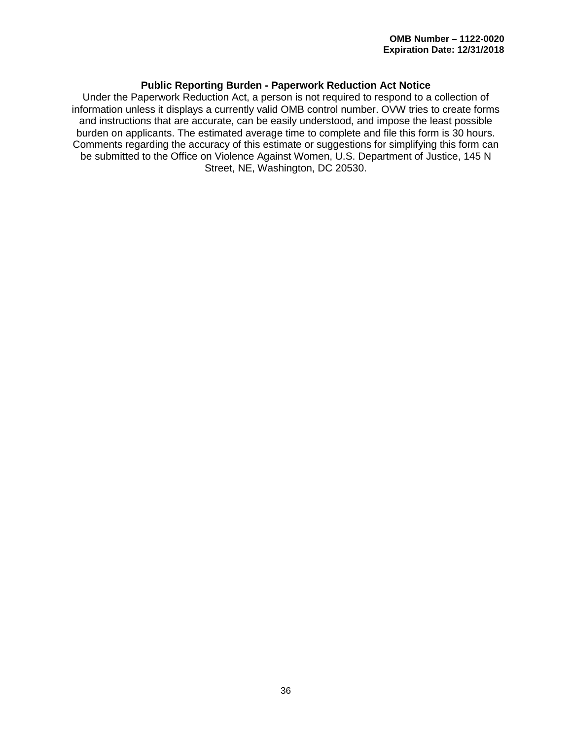## **Public Reporting Burden - Paperwork Reduction Act Notice**

Under the Paperwork Reduction Act, a person is not required to respond to a collection of information unless it displays a currently valid OMB control number. OVW tries to create forms and instructions that are accurate, can be easily understood, and impose the least possible burden on applicants. The estimated average time to complete and file this form is 30 hours. Comments regarding the accuracy of this estimate or suggestions for simplifying this form can be submitted to the Office on Violence Against Women, U.S. Department of Justice, 145 N Street, NE, Washington, DC 20530.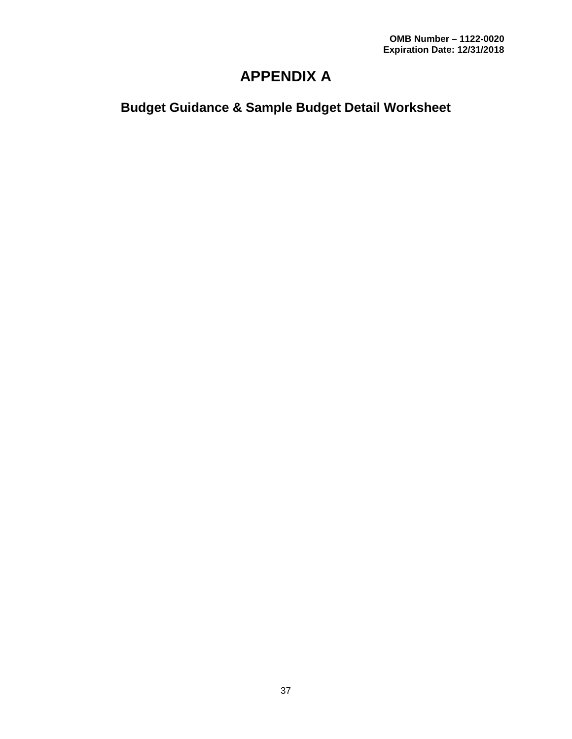# **APPENDIX A**

# **Budget Guidance & Sample Budget Detail Worksheet**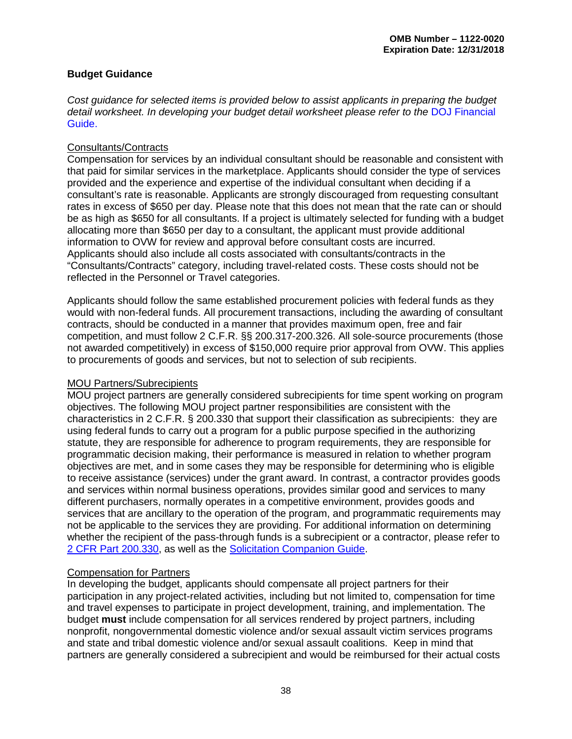### **Budget Guidance**

*Cost guidance for selected items is provided below to assist applicants in preparing the budget*  detail worksheet. In developing your budget detail worksheet please refer to the **DOJ** Financial [Guide.](https://www.justice.gov/ovw/file/892031/download)

### Consultants/Contracts

Compensation for services by an individual consultant should be reasonable and consistent with that paid for similar services in the marketplace. Applicants should consider the type of services provided and the experience and expertise of the individual consultant when deciding if a consultant's rate is reasonable. Applicants are strongly discouraged from requesting consultant rates in excess of \$650 per day. Please note that this does not mean that the rate can or should be as high as \$650 for all consultants. If a project is ultimately selected for funding with a budget allocating more than \$650 per day to a consultant, the applicant must provide additional information to OVW for review and approval before consultant costs are incurred. Applicants should also include all costs associated with consultants/contracts in the "Consultants/Contracts" category, including travel-related costs. These costs should not be reflected in the Personnel or Travel categories.

Applicants should follow the same established procurement policies with federal funds as they would with non-federal funds. All procurement transactions, including the awarding of consultant contracts, should be conducted in a manner that provides maximum open, free and fair competition, and must follow 2 C.F.R. §§ 200.317-200.326. All sole-source procurements (those not awarded competitively) in excess of \$150,000 require prior approval from OVW. This applies to procurements of goods and services, but not to selection of sub recipients.

### MOU Partners/Subrecipients

MOU project partners are generally considered subrecipients for time spent working on program objectives. The following MOU project partner responsibilities are consistent with the characteristics in 2 C.F.R. § 200.330 that support their classification as subrecipients: they are using federal funds to carry out a program for a public purpose specified in the authorizing statute, they are responsible for adherence to program requirements, they are responsible for programmatic decision making, their performance is measured in relation to whether program objectives are met, and in some cases they may be responsible for determining who is eligible to receive assistance (services) under the grant award. In contrast, a contractor provides goods and services within normal business operations, provides similar good and services to many different purchasers, normally operates in a competitive environment, provides goods and services that are ancillary to the operation of the program, and programmatic requirements may not be applicable to the services they are providing. For additional information on determining whether the recipient of the pass-through funds is a subrecipient or a contractor, please refer to [2 CFR Part 200.330,](https://www.ecfr.gov/cgi-bin/text-idx?tpl=/ecfrbrowse/Title02/2cfr200_main_02.tpl) as well as the [Solicitation Companion Guide.](https://www.justice.gov/ovw/page/file/1007726/download#Solicitation)

## Compensation for Partners

In developing the budget, applicants should compensate all project partners for their participation in any project-related activities, including but not limited to, compensation for time and travel expenses to participate in project development, training, and implementation. The budget **must** include compensation for all services rendered by project partners, including nonprofit, nongovernmental domestic violence and/or sexual assault victim services programs and state and tribal domestic violence and/or sexual assault coalitions. Keep in mind that partners are generally considered a subrecipient and would be reimbursed for their actual costs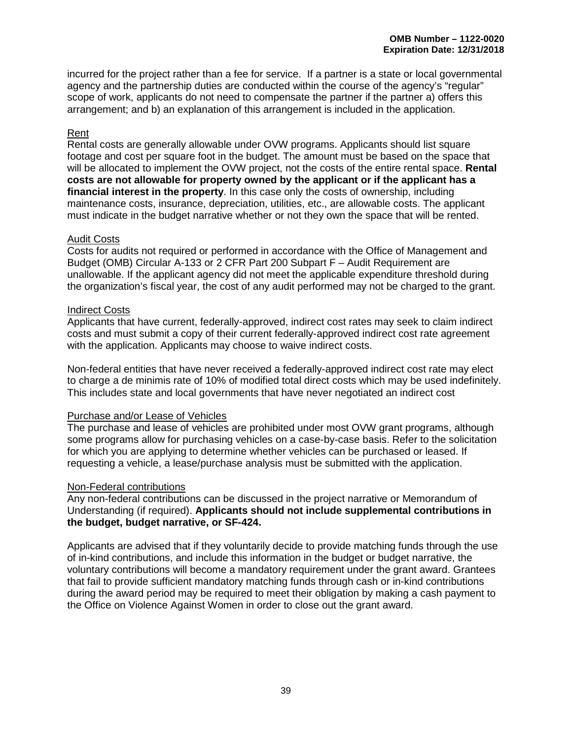incurred for the project rather than a fee for service. If a partner is a state or local governmental agency and the partnership duties are conducted within the course of the agency's "regular" scope of work, applicants do not need to compensate the partner if the partner a) offers this arrangement; and b) an explanation of this arrangement is included in the application.

### Rent

Rental costs are generally allowable under OVW programs. Applicants should list square footage and cost per square foot in the budget. The amount must be based on the space that will be allocated to implement the OVW project, not the costs of the entire rental space. **Rental costs are not allowable for property owned by the applicant or if the applicant has a financial interest in the property**. In this case only the costs of ownership, including maintenance costs, insurance, depreciation, utilities, etc., are allowable costs. The applicant must indicate in the budget narrative whether or not they own the space that will be rented.

### Audit Costs

Costs for audits not required or performed in accordance with the Office of Management and Budget (OMB) Circular A-133 or 2 CFR Part 200 Subpart F – Audit Requirement are unallowable. If the applicant agency did not meet the applicable expenditure threshold during the organization's fiscal year, the cost of any audit performed may not be charged to the grant.

### Indirect Costs

Applicants that have current, federally-approved, indirect cost rates may seek to claim indirect costs and must submit a copy of their current federally-approved indirect cost rate agreement with the application. Applicants may choose to waive indirect costs.

Non-federal entities that have never received a federally-approved indirect cost rate may elect to charge a de minimis rate of 10% of modified total direct costs which may be used indefinitely. This includes state and local governments that have never negotiated an indirect cost

### Purchase and/or Lease of Vehicles

The purchase and lease of vehicles are prohibited under most OVW grant programs, although some programs allow for purchasing vehicles on a case-by-case basis. Refer to the solicitation for which you are applying to determine whether vehicles can be purchased or leased. If requesting a vehicle, a lease/purchase analysis must be submitted with the application.

### Non-Federal contributions

Any non-federal contributions can be discussed in the project narrative or Memorandum of Understanding (if required). **Applicants should not include supplemental contributions in the budget, budget narrative, or SF-424.** 

Applicants are advised that if they voluntarily decide to provide matching funds through the use of in-kind contributions, and include this information in the budget or budget narrative, the voluntary contributions will become a mandatory requirement under the grant award. Grantees that fail to provide sufficient mandatory matching funds through cash or in-kind contributions during the award period may be required to meet their obligation by making a cash payment to the Office on Violence Against Women in order to close out the grant award.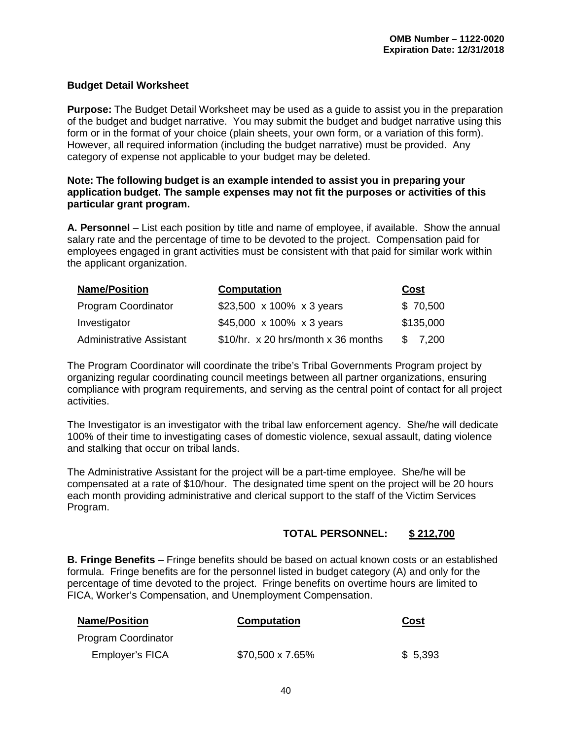### **Budget Detail Worksheet**

**Purpose:** The Budget Detail Worksheet may be used as a guide to assist you in the preparation of the budget and budget narrative. You may submit the budget and budget narrative using this form or in the format of your choice (plain sheets, your own form, or a variation of this form). However, all required information (including the budget narrative) must be provided. Any category of expense not applicable to your budget may be deleted.

### **Note: The following budget is an example intended to assist you in preparing your application budget. The sample expenses may not fit the purposes or activities of this particular grant program.**

**A. Personnel** – List each position by title and name of employee, if available. Show the annual salary rate and the percentage of time to be devoted to the project. Compensation paid for employees engaged in grant activities must be consistent with that paid for similar work within the applicant organization.

| <b>Name/Position</b>            | <b>Computation</b>                  | Cost         |  |
|---------------------------------|-------------------------------------|--------------|--|
| Program Coordinator             | \$23,500 x 100% x 3 years           | \$70,500     |  |
| Investigator                    | \$45,000 x 100% x 3 years           | \$135,000    |  |
| <b>Administrative Assistant</b> | \$10/hr. x 20 hrs/month x 36 months | \$.<br>7,200 |  |

The Program Coordinator will coordinate the tribe's Tribal Governments Program project by organizing regular coordinating council meetings between all partner organizations, ensuring compliance with program requirements, and serving as the central point of contact for all project activities.

The Investigator is an investigator with the tribal law enforcement agency. She/he will dedicate 100% of their time to investigating cases of domestic violence, sexual assault, dating violence and stalking that occur on tribal lands.

The Administrative Assistant for the project will be a part-time employee. She/he will be compensated at a rate of \$10/hour. The designated time spent on the project will be 20 hours each month providing administrative and clerical support to the staff of the Victim Services Program.

## **TOTAL PERSONNEL: \$ 212,700**

**B. Fringe Benefits** – Fringe benefits should be based on actual known costs or an established formula. Fringe benefits are for the personnel listed in budget category (A) and only for the percentage of time devoted to the project. Fringe benefits on overtime hours are limited to FICA, Worker's Compensation, and Unemployment Compensation.

| <b>Name/Position</b>       | <b>Computation</b> | Cost    |
|----------------------------|--------------------|---------|
| <b>Program Coordinator</b> |                    |         |
| Employer's FICA            | \$70,500 x 7.65%   | \$5,393 |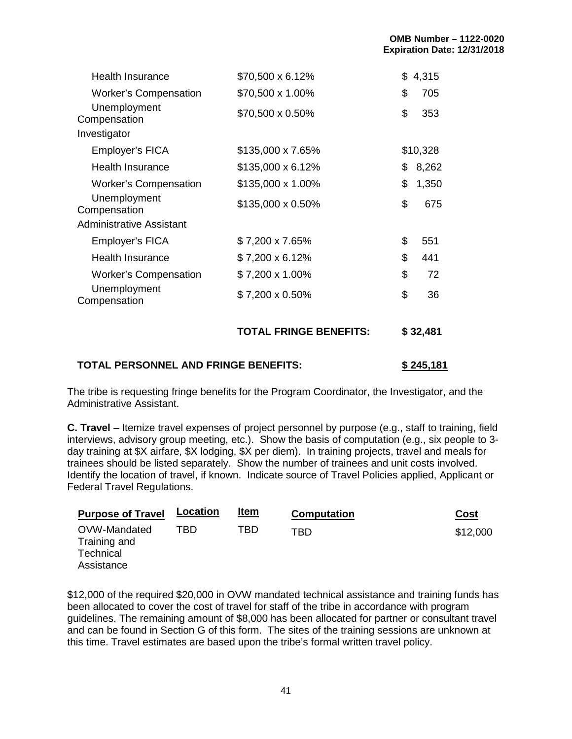| <b>Health Insurance</b>         | \$70,500 x 6.12%         | \$<br>4,315 |
|---------------------------------|--------------------------|-------------|
| <b>Worker's Compensation</b>    | \$70,500 x 1.00%         | \$<br>705   |
| Unemployment<br>Compensation    | \$70,500 x 0.50%         | \$<br>353   |
| Investigator                    |                          |             |
| Employer's FICA                 | \$135,000 x 7.65%        | \$10,328    |
| <b>Health Insurance</b>         | $$135,000 \times 6.12\%$ | \$<br>8,262 |
| <b>Worker's Compensation</b>    | \$135,000 x 1.00%        | \$<br>1,350 |
| Unemployment<br>Compensation    | \$135,000 x 0.50%        | \$<br>675   |
| <b>Administrative Assistant</b> |                          |             |
| Employer's FICA                 | \$7,200 x 7.65%          | \$<br>551   |
| <b>Health Insurance</b>         | $$7,200 \times 6.12\%$   | \$<br>441   |
| <b>Worker's Compensation</b>    | \$7,200 x 1.00%          | \$<br>72    |
| Unemployment<br>Compensation    | \$7,200 x 0.50%          | \$<br>36    |
|                                 |                          |             |

# **TOTAL FRINGE BENEFITS: \$ 32,481**

## **TOTAL PERSONNEL AND FRINGE BENEFITS: \$ 245,181**

The tribe is requesting fringe benefits for the Program Coordinator, the Investigator, and the Administrative Assistant.

**C. Travel** – Itemize travel expenses of project personnel by purpose (e.g., staff to training, field interviews, advisory group meeting, etc.). Show the basis of computation (e.g., six people to 3 day training at \$X airfare, \$X lodging, \$X per diem). In training projects, travel and meals for trainees should be listed separately. Show the number of trainees and unit costs involved. Identify the location of travel, if known. Indicate source of Travel Policies applied, Applicant or Federal Travel Regulations.

| <b>Purpose of Travel</b>                  | <b>Location</b> | <u>Item</u> | <b>Computation</b> | Cost     |
|-------------------------------------------|-----------------|-------------|--------------------|----------|
| OVW-Mandated<br>Training and<br>Technical | TBD.            | TBD         | TRD                | \$12,000 |
| Assistance                                |                 |             |                    |          |

\$12,000 of the required \$20,000 in OVW mandated technical assistance and training funds has been allocated to cover the cost of travel for staff of the tribe in accordance with program guidelines. The remaining amount of \$8,000 has been allocated for partner or consultant travel and can be found in Section G of this form. The sites of the training sessions are unknown at this time. Travel estimates are based upon the tribe's formal written travel policy.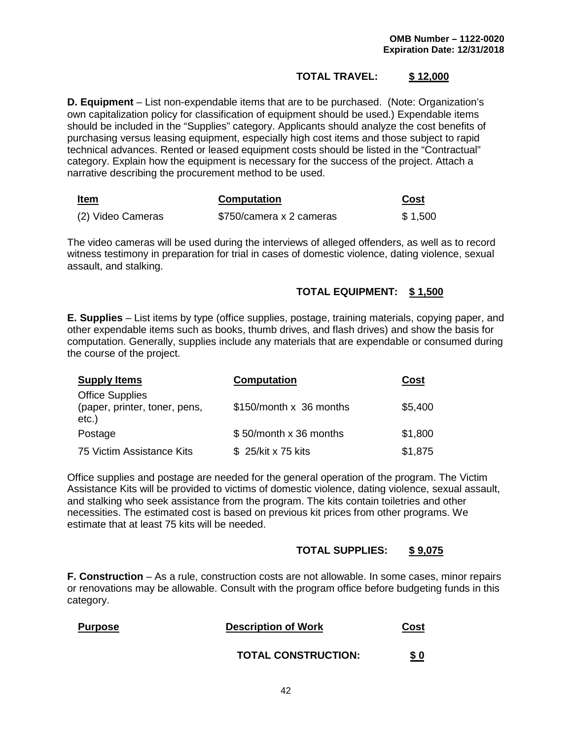## **TOTAL TRAVEL: \$ 12,000**

**D. Equipment** – List non-expendable items that are to be purchased. (Note: Organization's own capitalization policy for classification of equipment should be used.) Expendable items should be included in the "Supplies" category. Applicants should analyze the cost benefits of purchasing versus leasing equipment, especially high cost items and those subject to rapid technical advances. Rented or leased equipment costs should be listed in the "Contractual" category. Explain how the equipment is necessary for the success of the project. Attach a narrative describing the procurement method to be used.

| <b>Item</b>       | <b>Computation</b>       | Cost    |
|-------------------|--------------------------|---------|
| (2) Video Cameras | \$750/camera x 2 cameras | \$1,500 |

The video cameras will be used during the interviews of alleged offenders, as well as to record witness testimony in preparation for trial in cases of domestic violence, dating violence, sexual assault, and stalking.

## **TOTAL EQUIPMENT: \$ 1,500**

**E. Supplies** – List items by type (office supplies, postage, training materials, copying paper, and other expendable items such as books, thumb drives, and flash drives) and show the basis for computation. Generally, supplies include any materials that are expendable or consumed during the course of the project.

| <b>Supply Items</b>                                                 | <b>Computation</b>        | Cost    |
|---------------------------------------------------------------------|---------------------------|---------|
| <b>Office Supplies</b><br>(paper, printer, toner, pens,<br>$etc.$ ) | $$150/m$ onth x 36 months | \$5,400 |
| Postage                                                             | \$50/month x 36 months    | \$1,800 |
| 75 Victim Assistance Kits                                           | \$25/kit x 75 kits        | \$1,875 |

Office supplies and postage are needed for the general operation of the program. The Victim Assistance Kits will be provided to victims of domestic violence, dating violence, sexual assault, and stalking who seek assistance from the program. The kits contain toiletries and other necessities. The estimated cost is based on previous kit prices from other programs. We estimate that at least 75 kits will be needed.

### **TOTAL SUPPLIES: \$ 9,075**

**F. Construction** – As a rule, construction costs are not allowable. In some cases, minor repairs or renovations may be allowable. Consult with the program office before budgeting funds in this category.

| <b>Purpose</b> | <b>Description of Work</b> | Cost       |
|----------------|----------------------------|------------|
|                | <b>TOTAL CONSTRUCTION:</b> | <u>\$0</u> |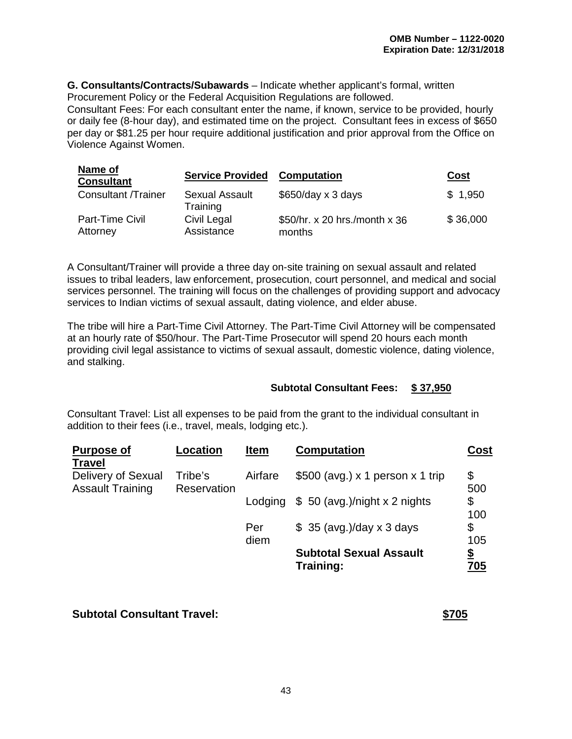**G. Consultants/Contracts/Subawards** – Indicate whether applicant's formal, written Procurement Policy or the Federal Acquisition Regulations are followed.

Consultant Fees: For each consultant enter the name, if known, service to be provided, hourly or daily fee (8-hour day), and estimated time on the project. Consultant fees in excess of \$650 per day or \$81.25 per hour require additional justification and prior approval from the Office on Violence Against Women.

| Name of<br><b>Consultant</b> | <b>Service Provided</b>           | <b>Computation</b>                      | Cost     |
|------------------------------|-----------------------------------|-----------------------------------------|----------|
| <b>Consultant /Trainer</b>   | <b>Sexual Assault</b><br>Training | $$650/day \times 3 days$                | \$1,950  |
| Part-Time Civil<br>Attorney  | Civil Legal<br>Assistance         | \$50/hr. x 20 hrs./month x 36<br>months | \$36,000 |

A Consultant/Trainer will provide a three day on-site training on sexual assault and related issues to tribal leaders, law enforcement, prosecution, court personnel, and medical and social services personnel. The training will focus on the challenges of providing support and advocacy services to Indian victims of sexual assault, dating violence, and elder abuse.

The tribe will hire a Part-Time Civil Attorney. The Part-Time Civil Attorney will be compensated at an hourly rate of \$50/hour. The Part-Time Prosecutor will spend 20 hours each month providing civil legal assistance to victims of sexual assault, domestic violence, dating violence, and stalking.

## **Subtotal Consultant Fees: \$ 37,950**

Consultant Travel: List all expenses to be paid from the grant to the individual consultant in addition to their fees (i.e., travel, meals, lodging etc.).

| <b>Purpose of</b><br><b>Travel</b>            | <b>Location</b>        | <b>Item</b> | <b>Computation</b>                          | <b>Cost</b> |
|-----------------------------------------------|------------------------|-------------|---------------------------------------------|-------------|
| Delivery of Sexual<br><b>Assault Training</b> | Tribe's<br>Reservation | Airfare     | $$500$ (avg.) x 1 person x 1 trip           | \$<br>500   |
|                                               |                        | Lodging     | $$50$ (avg.)/night x 2 nights               | \$<br>100   |
|                                               |                        | Per<br>diem | $$35$ (avg.)/day x 3 days                   | \$<br>105   |
|                                               |                        |             | <b>Subtotal Sexual Assault</b><br>Training: | \$<br>705   |

## **Subtotal Consultant Travel: \$705**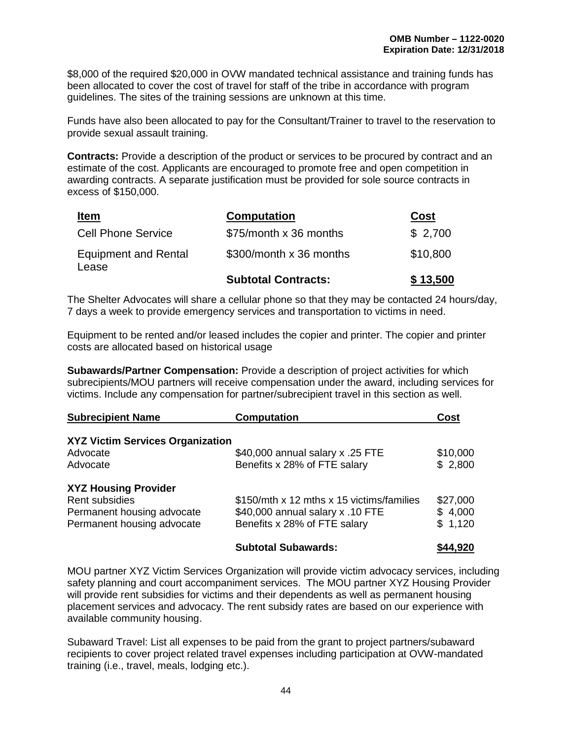\$8,000 of the required \$20,000 in OVW mandated technical assistance and training funds has been allocated to cover the cost of travel for staff of the tribe in accordance with program guidelines. The sites of the training sessions are unknown at this time.

Funds have also been allocated to pay for the Consultant/Trainer to travel to the reservation to provide sexual assault training.

**Contracts:** Provide a description of the product or services to be procured by contract and an estimate of the cost. Applicants are encouraged to promote free and open competition in awarding contracts. A separate justification must be provided for sole source contracts in excess of \$150,000.

| <u>Item</u>                          | <b>Computation</b>         | <b>Cost</b> |
|--------------------------------------|----------------------------|-------------|
| <b>Cell Phone Service</b>            | \$75/month x 36 months     | \$2,700     |
| <b>Equipment and Rental</b><br>Lease | \$300/month x 36 months    | \$10,800    |
|                                      | <b>Subtotal Contracts:</b> | \$13,500    |

The Shelter Advocates will share a cellular phone so that they may be contacted 24 hours/day, 7 days a week to provide emergency services and transportation to victims in need.

Equipment to be rented and/or leased includes the copier and printer. The copier and printer costs are allocated based on historical usage

**Subawards/Partner Compensation:** Provide a description of project activities for which subrecipients/MOU partners will receive compensation under the award, including services for victims. Include any compensation for partner/subrecipient travel in this section as well.

| <b>Subrecipient Name</b>                | <b>Computation</b>                        | Cost     |
|-----------------------------------------|-------------------------------------------|----------|
| <b>XYZ Victim Services Organization</b> |                                           |          |
| Advocate                                | \$40,000 annual salary x .25 FTE          | \$10,000 |
| Advocate                                | Benefits x 28% of FTE salary              | \$2,800  |
| <b>XYZ Housing Provider</b>             |                                           |          |
| Rent subsidies                          | \$150/mth x 12 mths x 15 victims/families | \$27,000 |
| Permanent housing advocate              | \$40,000 annual salary x .10 FTE          | \$4,000  |
| Permanent housing advocate              | Benefits x 28% of FTE salary              | \$1,120  |
|                                         | <b>Subtotal Subawards:</b>                | \$44,920 |

MOU partner XYZ Victim Services Organization will provide victim advocacy services, including safety planning and court accompaniment services. The MOU partner XYZ Housing Provider will provide rent subsidies for victims and their dependents as well as permanent housing placement services and advocacy. The rent subsidy rates are based on our experience with available community housing.

Subaward Travel: List all expenses to be paid from the grant to project partners/subaward recipients to cover project related travel expenses including participation at OVW-mandated training (i.e., travel, meals, lodging etc.).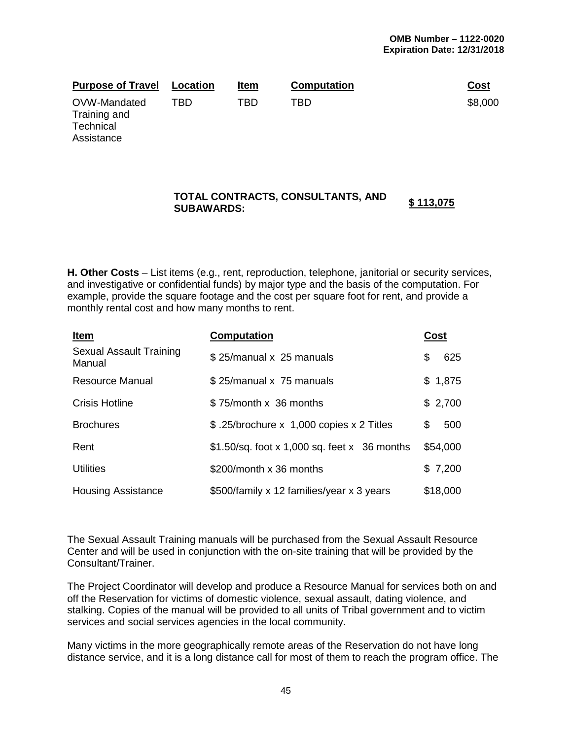| <b>Purpose of Travel</b>                  | Location | Item | <b>Computation</b> | <u>Cost</u> |
|-------------------------------------------|----------|------|--------------------|-------------|
| OVW-Mandated<br>Training and<br>Technical | TBD      | TBD  | TBD                | \$8,000     |

Assistance

# **TOTAL CONTRACTS, CONSULTANTS, AND \$ 113,075 SUBAWARDS:**

**H. Other Costs** – List items (e.g., rent, reproduction, telephone, janitorial or security services, and investigative or confidential funds) by major type and the basis of the computation. For example, provide the square footage and the cost per square foot for rent, and provide a monthly rental cost and how many months to rent.

| <u>Item</u>                       | <b>Computation</b>                            | Cost       |
|-----------------------------------|-----------------------------------------------|------------|
| Sexual Assault Training<br>Manual | \$25/manual x 25 manuals                      | 625<br>S   |
| <b>Resource Manual</b>            | \$25/manual x 75 manuals                      | \$1,875    |
| <b>Crisis Hotline</b>             | \$75/month x 36 months                        | \$2,700    |
| <b>Brochures</b>                  | \$.25/brochure x 1,000 copies x 2 Titles      | \$.<br>500 |
| Rent                              | $$1.50/sq.$ foot x 1,000 sq. feet x 36 months | \$54,000   |
| <b>Utilities</b>                  | \$200/month x 36 months                       | \$7,200    |
| <b>Housing Assistance</b>         | \$500/family x 12 families/year x 3 years     | \$18,000   |

The Sexual Assault Training manuals will be purchased from the Sexual Assault Resource Center and will be used in conjunction with the on-site training that will be provided by the Consultant/Trainer.

The Project Coordinator will develop and produce a Resource Manual for services both on and off the Reservation for victims of domestic violence, sexual assault, dating violence, and stalking. Copies of the manual will be provided to all units of Tribal government and to victim services and social services agencies in the local community.

Many victims in the more geographically remote areas of the Reservation do not have long distance service, and it is a long distance call for most of them to reach the program office. The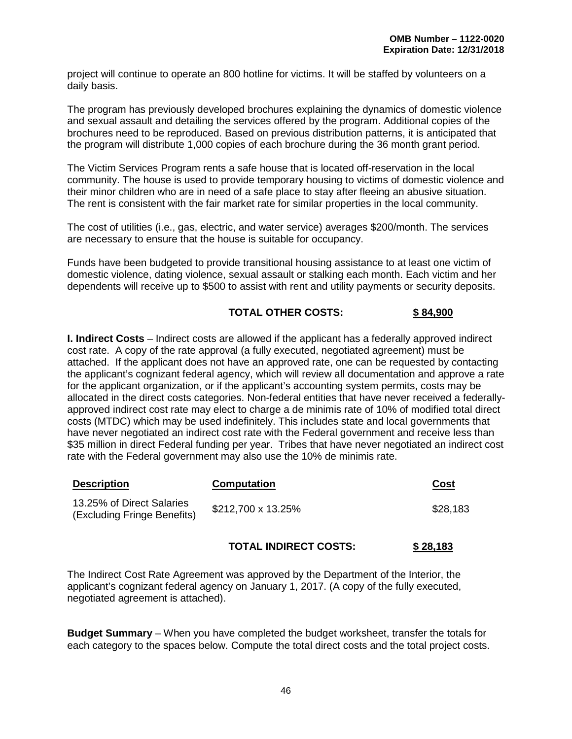project will continue to operate an 800 hotline for victims. It will be staffed by volunteers on a daily basis.

The program has previously developed brochures explaining the dynamics of domestic violence and sexual assault and detailing the services offered by the program. Additional copies of the brochures need to be reproduced. Based on previous distribution patterns, it is anticipated that the program will distribute 1,000 copies of each brochure during the 36 month grant period.

The Victim Services Program rents a safe house that is located off-reservation in the local community. The house is used to provide temporary housing to victims of domestic violence and their minor children who are in need of a safe place to stay after fleeing an abusive situation. The rent is consistent with the fair market rate for similar properties in the local community.

The cost of utilities (i.e., gas, electric, and water service) averages \$200/month. The services are necessary to ensure that the house is suitable for occupancy.

Funds have been budgeted to provide transitional housing assistance to at least one victim of domestic violence, dating violence, sexual assault or stalking each month. Each victim and her dependents will receive up to \$500 to assist with rent and utility payments or security deposits.

## **TOTAL OTHER COSTS: \$ 84,900**

**I. Indirect Costs** – Indirect costs are allowed if the applicant has a federally approved indirect cost rate. A copy of the rate approval (a fully executed, negotiated agreement) must be attached. If the applicant does not have an approved rate, one can be requested by contacting the applicant's cognizant federal agency, which will review all documentation and approve a rate for the applicant organization, or if the applicant's accounting system permits, costs may be allocated in the direct costs categories. Non-federal entities that have never received a federallyapproved indirect cost rate may elect to charge a de minimis rate of 10% of modified total direct costs (MTDC) which may be used indefinitely. This includes state and local governments that have never negotiated an indirect cost rate with the Federal government and receive less than \$35 million in direct Federal funding per year. Tribes that have never negotiated an indirect cost rate with the Federal government may also use the 10% de minimis rate.

| <b>Description</b>                                       | <b>Computation</b> | Cost     |
|----------------------------------------------------------|--------------------|----------|
| 13.25% of Direct Salaries<br>(Excluding Fringe Benefits) | \$212,700 x 13.25% | \$28,183 |

## **TOTAL INDIRECT COSTS: \$ 28,183**

The Indirect Cost Rate Agreement was approved by the Department of the Interior, the applicant's cognizant federal agency on January 1, 2017. (A copy of the fully executed, negotiated agreement is attached).

**Budget Summary** – When you have completed the budget worksheet, transfer the totals for each category to the spaces below. Compute the total direct costs and the total project costs.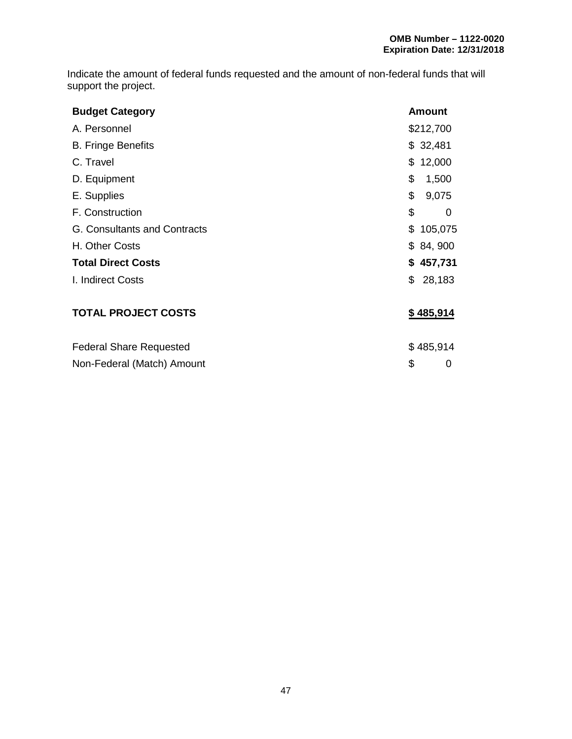Indicate the amount of federal funds requested and the amount of non-federal funds that will support the project.

| <b>Budget Category</b>              | <b>Amount</b> |
|-------------------------------------|---------------|
| A. Personnel                        | \$212,700     |
| <b>B. Fringe Benefits</b>           | \$32,481      |
| C. Travel                           | \$12,000      |
| D. Equipment                        | \$<br>1,500   |
| E. Supplies                         | \$<br>9,075   |
| F. Construction                     | \$<br>0       |
| <b>G. Consultants and Contracts</b> | \$<br>105,075 |
| H. Other Costs                      | \$84,900      |
| <b>Total Direct Costs</b>           | \$457,731     |
| I. Indirect Costs                   | \$<br>28,183  |
| <b>TOTAL PROJECT COSTS</b>          | \$485,914     |
| <b>Federal Share Requested</b>      | \$485,914     |
| Non-Federal (Match) Amount          | \$<br>0       |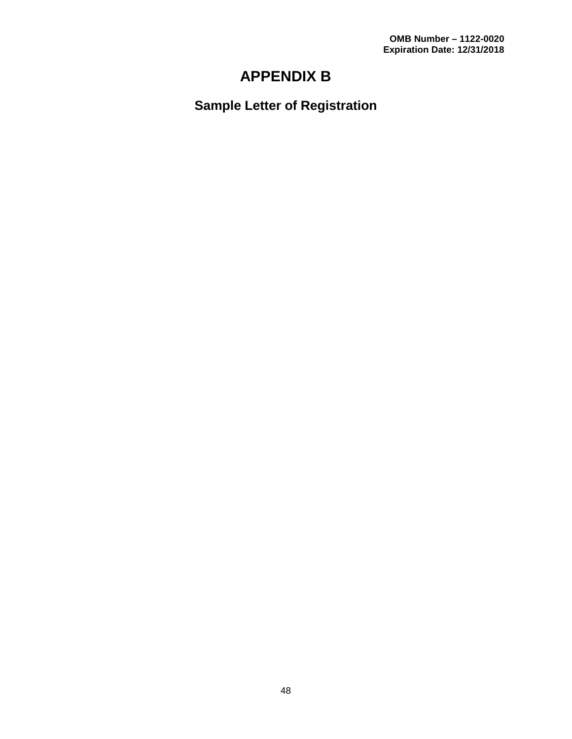# **APPENDIX B**

**Sample Letter of Registration**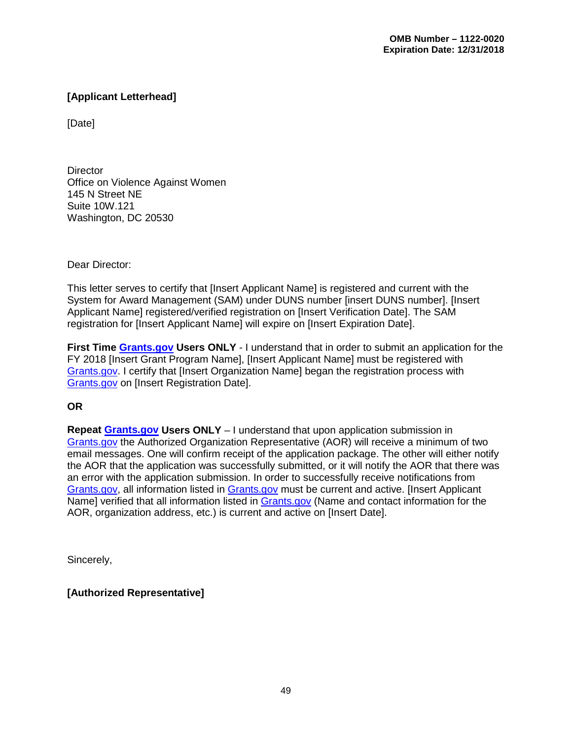# **[Applicant Letterhead]**

[Date]

**Director** Office on Violence Against Women 145 N Street NE Suite 10W.121 Washington, DC 20530

Dear Director:

This letter serves to certify that [Insert Applicant Name] is registered and current with the System for Award Management (SAM) under DUNS number [insert DUNS number]. [Insert Applicant Name] registered/verified registration on [Insert Verification Date]. The SAM registration for [Insert Applicant Name] will expire on [Insert Expiration Date].

**First Time [Grants.gov](http://www.grants.gov/) Users ONLY** - I understand that in order to submit an application for the FY 2018 [Insert Grant Program Name], [Insert Applicant Name] must be registered with [Grants.gov.](http://www.grants.gov/) I certify that [Insert Organization Name] began the registration process with [Grants.gov](http://www.grants.gov/) on [Insert Registration Date].

## **OR**

**Repeat [Grants.gov](http://www.grants.gov/) Users ONLY** – I understand that upon application submission in [Grants.gov](http://www.grants.gov/) the Authorized Organization Representative (AOR) will receive a minimum of two email messages. One will confirm receipt of the application package. The other will either notify the AOR that the application was successfully submitted, or it will notify the AOR that there was an error with the application submission. In order to successfully receive notifications from [Grants.gov,](http://www.grants.gov/) all information listed in [Grants.gov](http://www.grants.gov/) must be current and active. [Insert Applicant Name] verified that all information listed in [Grants.gov](http://www.grants.gov/) (Name and contact information for the AOR, organization address, etc.) is current and active on [Insert Date].

Sincerely,

**[Authorized Representative]**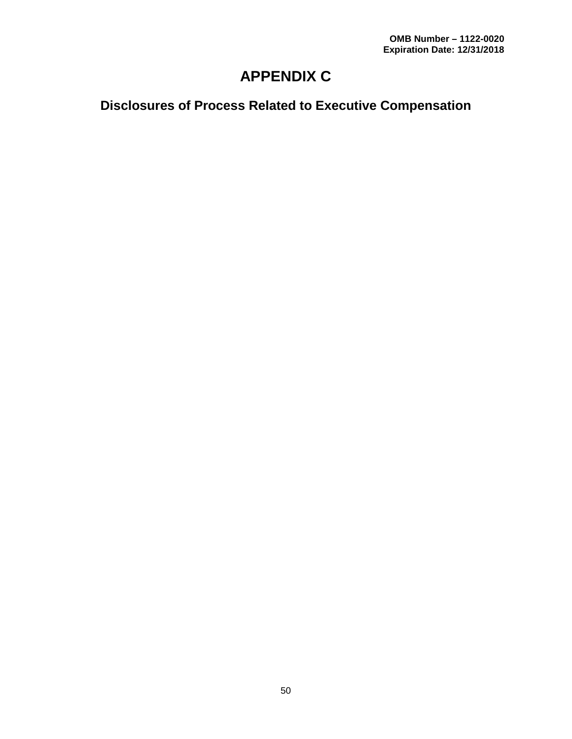# **APPENDIX C**

**Disclosures of Process Related to Executive Compensation**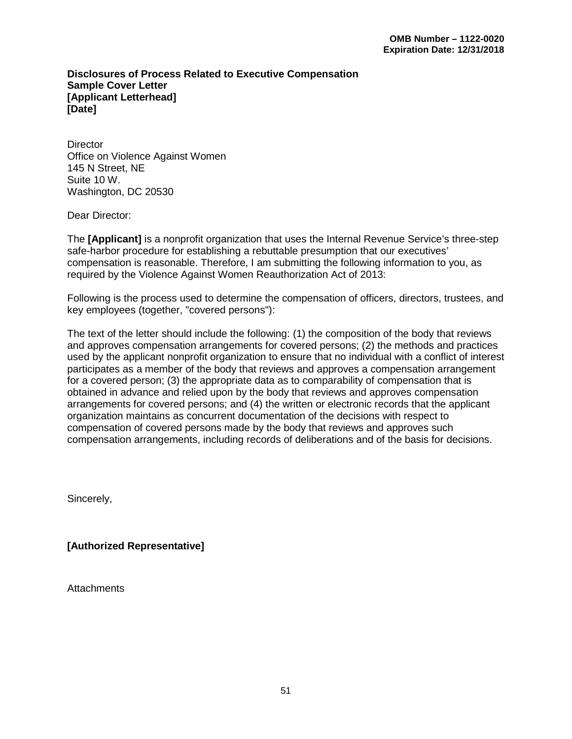#### **Disclosures of Process Related to Executive Compensation Sample Cover Letter [Applicant Letterhead] [Date]**

**Director** Office on Violence Against Women 145 N Street, NE Suite 10 W. Washington, DC 20530

Dear Director:

The **[Applicant]** is a nonprofit organization that uses the Internal Revenue Service's three-step safe-harbor procedure for establishing a rebuttable presumption that our executives' compensation is reasonable. Therefore, I am submitting the following information to you, as required by the Violence Against Women Reauthorization Act of 2013:

Following is the process used to determine the compensation of officers, directors, trustees, and key employees (together, "covered persons"):

The text of the letter should include the following: (1) the composition of the body that reviews and approves compensation arrangements for covered persons; (2) the methods and practices used by the applicant nonprofit organization to ensure that no individual with a conflict of interest participates as a member of the body that reviews and approves a compensation arrangement for a covered person; (3) the appropriate data as to comparability of compensation that is obtained in advance and relied upon by the body that reviews and approves compensation arrangements for covered persons; and (4) the written or electronic records that the applicant organization maintains as concurrent documentation of the decisions with respect to compensation of covered persons made by the body that reviews and approves such compensation arrangements, including records of deliberations and of the basis for decisions.

Sincerely,

**[Authorized Representative]** 

**Attachments**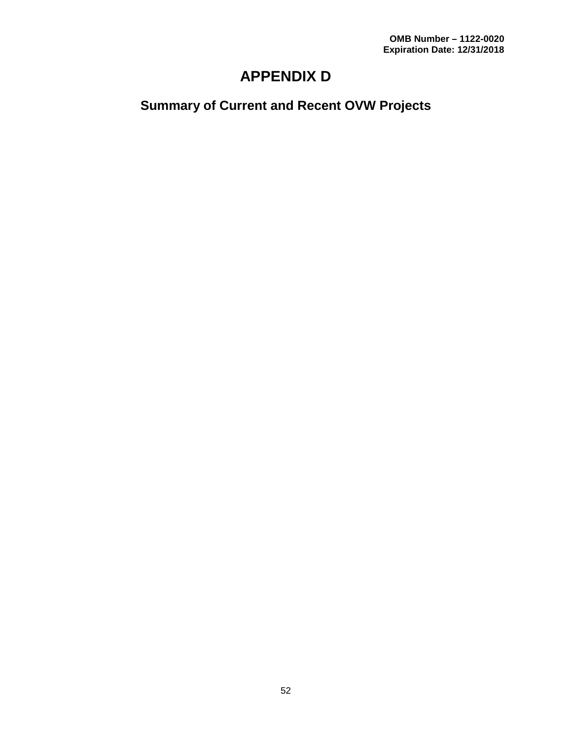# **APPENDIX D**

# **Summary of Current and Recent OVW Projects**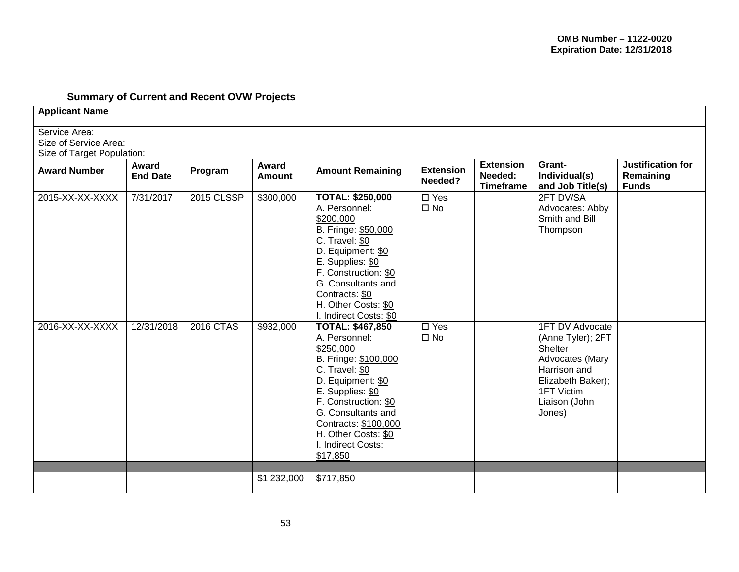# **Summary of Current and Recent OVW Projects**

**Applicant Name**

Service Area:

Size of Service Area:

| Size of Target Population: |                          |            |                        |                                                                                                                                                                                                                                                                         |                               |                                                 |                                                                                                                                                  |                                                |  |  |
|----------------------------|--------------------------|------------|------------------------|-------------------------------------------------------------------------------------------------------------------------------------------------------------------------------------------------------------------------------------------------------------------------|-------------------------------|-------------------------------------------------|--------------------------------------------------------------------------------------------------------------------------------------------------|------------------------------------------------|--|--|
| <b>Award Number</b>        | Award<br><b>End Date</b> | Program    | Award<br><b>Amount</b> | <b>Amount Remaining</b>                                                                                                                                                                                                                                                 | <b>Extension</b><br>Needed?   | <b>Extension</b><br>Needed:<br><b>Timeframe</b> | Grant-<br>Individual(s)<br>and Job Title(s)                                                                                                      | Justification for<br>Remaining<br><b>Funds</b> |  |  |
| 2015-XX-XX-XXXX            | 7/31/2017                | 2015 CLSSP | \$300,000              | <b>TOTAL: \$250,000</b><br>A. Personnel:<br>\$200,000<br>B. Fringe: \$50,000<br>C. Travel: \$0<br>D. Equipment: \$0<br>E. Supplies: \$0<br>F. Construction: \$0<br>G. Consultants and<br>Contracts: \$0<br>H. Other Costs: \$0<br>I. Indirect Costs: \$0                | $\Box$ Yes<br>$\square$ No    |                                                 | 2FT DV/SA<br>Advocates: Abby<br>Smith and Bill<br>Thompson                                                                                       |                                                |  |  |
| 2016-XX-XX-XXXX            | 12/31/2018               | 2016 CTAS  | \$932,000              | <b>TOTAL: \$467,850</b><br>A. Personnel:<br>\$250,000<br>B. Fringe: \$100,000<br>C. Travel: \$0<br>D. Equipment: \$0<br>E. Supplies: \$0<br>F. Construction: \$0<br>G. Consultants and<br>Contracts: \$100,000<br>H. Other Costs: \$0<br>I. Indirect Costs:<br>\$17,850 | $\square$ Yes<br>$\square$ No |                                                 | 1FT DV Advocate<br>(Anne Tyler); 2FT<br>Shelter<br>Advocates (Mary<br>Harrison and<br>Elizabeth Baker);<br>1FT Victim<br>Liaison (John<br>Jones) |                                                |  |  |
|                            |                          |            |                        |                                                                                                                                                                                                                                                                         |                               |                                                 |                                                                                                                                                  |                                                |  |  |
|                            |                          |            | \$1,232,000            | \$717,850                                                                                                                                                                                                                                                               |                               |                                                 |                                                                                                                                                  |                                                |  |  |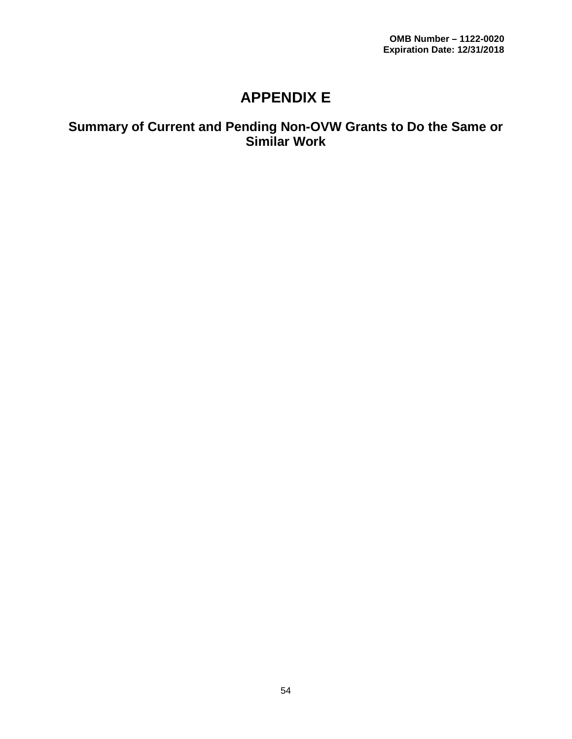# **APPENDIX E**

# **Summary of Current and Pending Non-OVW Grants to Do the Same or Similar Work**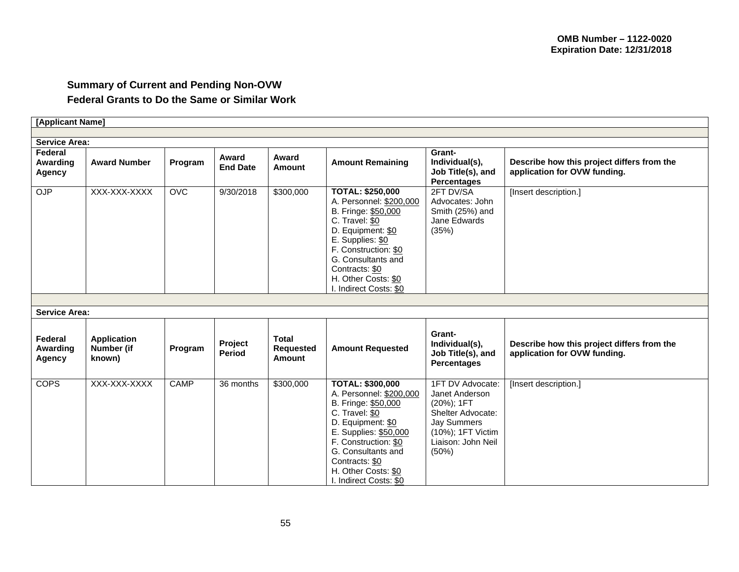# **Summary of Current and Pending Non-OVW Federal Grants to Do the Same or Similar Work**

| [Applicant Name]              |                                            |             |                          |                                                   |                                                                                                                                                                                                                                                            |                                                                                                                                                     |                                                                            |  |  |  |
|-------------------------------|--------------------------------------------|-------------|--------------------------|---------------------------------------------------|------------------------------------------------------------------------------------------------------------------------------------------------------------------------------------------------------------------------------------------------------------|-----------------------------------------------------------------------------------------------------------------------------------------------------|----------------------------------------------------------------------------|--|--|--|
|                               |                                            |             |                          |                                                   |                                                                                                                                                                                                                                                            |                                                                                                                                                     |                                                                            |  |  |  |
| <b>Service Area:</b>          |                                            |             |                          |                                                   |                                                                                                                                                                                                                                                            |                                                                                                                                                     |                                                                            |  |  |  |
| Federal<br>Awarding<br>Agency | <b>Award Number</b>                        | Program     | Award<br><b>End Date</b> | Award<br><b>Amount</b>                            | <b>Amount Remaining</b>                                                                                                                                                                                                                                    | Grant-<br>Individual(s),<br>Job Title(s), and<br><b>Percentages</b>                                                                                 | Describe how this project differs from the<br>application for OVW funding. |  |  |  |
| <b>OJP</b>                    | XXX-XXX-XXXX                               | OVC         | 9/30/2018                | \$300,000                                         | <b>TOTAL: \$250,000</b><br>A. Personnel: \$200,000<br>B. Fringe: \$50,000<br>C. Travel: \$0<br>D. Equipment: \$0<br>E. Supplies: \$0<br>F. Construction: \$0<br>G. Consultants and<br>Contracts: \$0<br>H. Other Costs: \$0<br>I. Indirect Costs: \$0      | 2FT DV/SA<br>Advocates: John<br>Smith (25%) and<br>Jane Edwards<br>(35%)                                                                            | [Insert description.]                                                      |  |  |  |
|                               |                                            |             |                          |                                                   |                                                                                                                                                                                                                                                            |                                                                                                                                                     |                                                                            |  |  |  |
| <b>Service Area:</b>          |                                            |             |                          |                                                   |                                                                                                                                                                                                                                                            |                                                                                                                                                     |                                                                            |  |  |  |
| Federal<br>Awarding<br>Agency | <b>Application</b><br>Number (if<br>known) | Program     | Project<br><b>Period</b> | <b>Total</b><br><b>Requested</b><br><b>Amount</b> | <b>Amount Requested</b>                                                                                                                                                                                                                                    | Grant-<br>Individual(s),<br>Job Title(s), and<br><b>Percentages</b>                                                                                 | Describe how this project differs from the<br>application for OVW funding. |  |  |  |
| <b>COPS</b>                   | XXX-XXX-XXXX                               | <b>CAMP</b> | 36 months                | \$300,000                                         | <b>TOTAL: \$300,000</b><br>A. Personnel: \$200,000<br>B. Fringe: \$50,000<br>C. Travel: \$0<br>D. Equipment: \$0<br>E. Supplies: \$50,000<br>F. Construction: \$0<br>G. Consultants and<br>Contracts: \$0<br>H. Other Costs: \$0<br>I. Indirect Costs: \$0 | 1FT DV Advocate:<br>Janet Anderson<br>$(20\%)$ ; 1FT<br>Shelter Advocate:<br><b>Jay Summers</b><br>(10%); 1FT Victim<br>Liaison: John Neil<br>(50%) | [Insert description.]                                                      |  |  |  |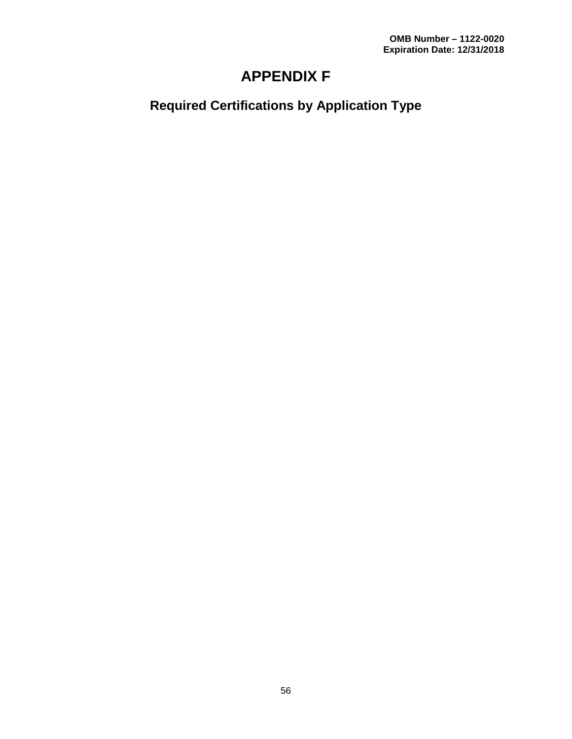# **APPENDIX F**

**Required Certifications by Application Type**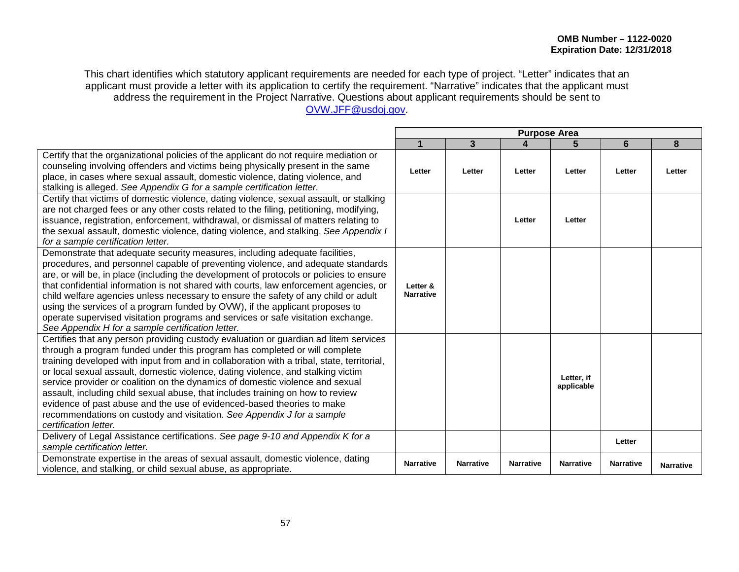This chart identifies which statutory applicant requirements are needed for each type of project. "Letter" indicates that an applicant must provide a letter with its application to certify the requirement. "Narrative" indicates that the applicant must address the requirement in the Project Narrative. Questions about applicant requirements should be sent to [OVW.JFF@usdoj.gov.](mailto:OVW.JFF@usdoj.gov)

|                                                                                                                                                                                                                                                                                                                                                                                                                                                                                                                                                                                                                                                                                                      | <b>Purpose Area</b>          |                  |                  |                          |                  |                  |
|------------------------------------------------------------------------------------------------------------------------------------------------------------------------------------------------------------------------------------------------------------------------------------------------------------------------------------------------------------------------------------------------------------------------------------------------------------------------------------------------------------------------------------------------------------------------------------------------------------------------------------------------------------------------------------------------------|------------------------------|------------------|------------------|--------------------------|------------------|------------------|
|                                                                                                                                                                                                                                                                                                                                                                                                                                                                                                                                                                                                                                                                                                      |                              | 3                |                  |                          | 6                | 8                |
| Certify that the organizational policies of the applicant do not require mediation or<br>counseling involving offenders and victims being physically present in the same<br>place, in cases where sexual assault, domestic violence, dating violence, and<br>stalking is alleged. See Appendix G for a sample certification letter.                                                                                                                                                                                                                                                                                                                                                                  | Letter                       | Letter           | Letter           | Letter                   | Letter           | Letter           |
| Certify that victims of domestic violence, dating violence, sexual assault, or stalking<br>are not charged fees or any other costs related to the filing, petitioning, modifying,<br>issuance, registration, enforcement, withdrawal, or dismissal of matters relating to<br>the sexual assault, domestic violence, dating violence, and stalking. See Appendix I<br>for a sample certification letter.                                                                                                                                                                                                                                                                                              |                              |                  | Letter           | Letter                   |                  |                  |
| Demonstrate that adequate security measures, including adequate facilities,<br>procedures, and personnel capable of preventing violence, and adequate standards<br>are, or will be, in place (including the development of protocols or policies to ensure<br>that confidential information is not shared with courts, law enforcement agencies, or<br>child welfare agencies unless necessary to ensure the safety of any child or adult<br>using the services of a program funded by OVW), if the applicant proposes to<br>operate supervised visitation programs and services or safe visitation exchange.<br>See Appendix H for a sample certification letter.                                   | Letter &<br><b>Narrative</b> |                  |                  |                          |                  |                  |
| Certifies that any person providing custody evaluation or guardian ad litem services<br>through a program funded under this program has completed or will complete<br>training developed with input from and in collaboration with a tribal, state, territorial,<br>or local sexual assault, domestic violence, dating violence, and stalking victim<br>service provider or coalition on the dynamics of domestic violence and sexual<br>assault, including child sexual abuse, that includes training on how to review<br>evidence of past abuse and the use of evidenced-based theories to make<br>recommendations on custody and visitation. See Appendix J for a sample<br>certification letter. |                              |                  |                  | Letter. if<br>applicable |                  |                  |
| Delivery of Legal Assistance certifications. See page 9-10 and Appendix K for a<br>sample certification letter.                                                                                                                                                                                                                                                                                                                                                                                                                                                                                                                                                                                      |                              |                  |                  |                          | Letter           |                  |
| Demonstrate expertise in the areas of sexual assault, domestic violence, dating<br>violence, and stalking, or child sexual abuse, as appropriate.                                                                                                                                                                                                                                                                                                                                                                                                                                                                                                                                                    | <b>Narrative</b>             | <b>Narrative</b> | <b>Narrative</b> | <b>Narrative</b>         | <b>Narrative</b> | <b>Narrative</b> |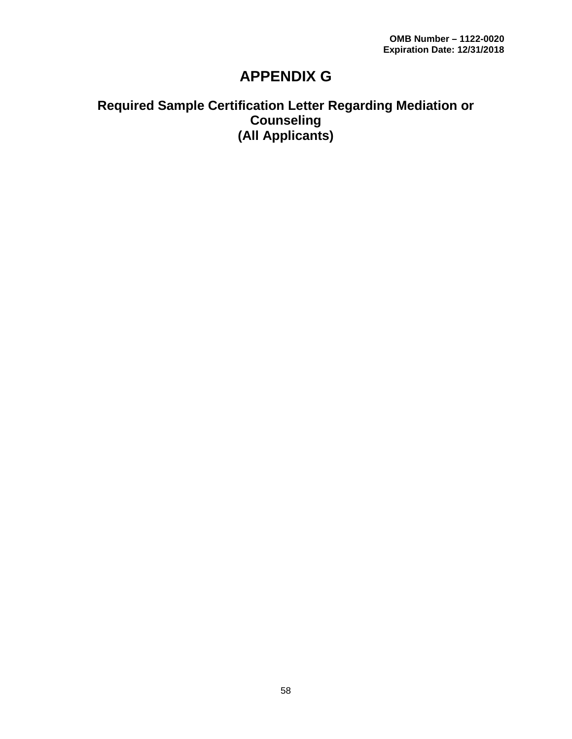# **APPENDIX G**

# **Required Sample Certification Letter Regarding Mediation or Counseling (All Applicants)**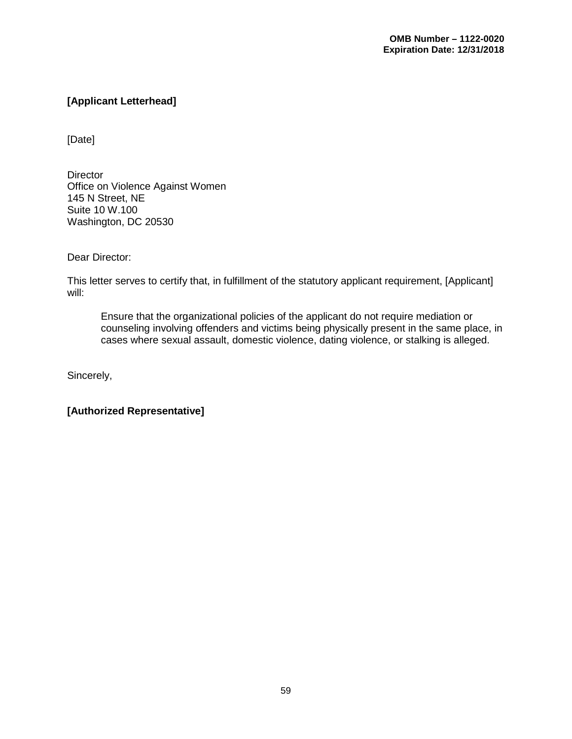# **[Applicant Letterhead]**

[Date]

**Director** Office on Violence Against Women 145 N Street, NE Suite 10 W.100 Washington, DC 20530

Dear Director:

This letter serves to certify that, in fulfillment of the statutory applicant requirement, [Applicant] will:

Ensure that the organizational policies of the applicant do not require mediation or counseling involving offenders and victims being physically present in the same place, in cases where sexual assault, domestic violence, dating violence, or stalking is alleged.

Sincerely,

**[Authorized Representative]**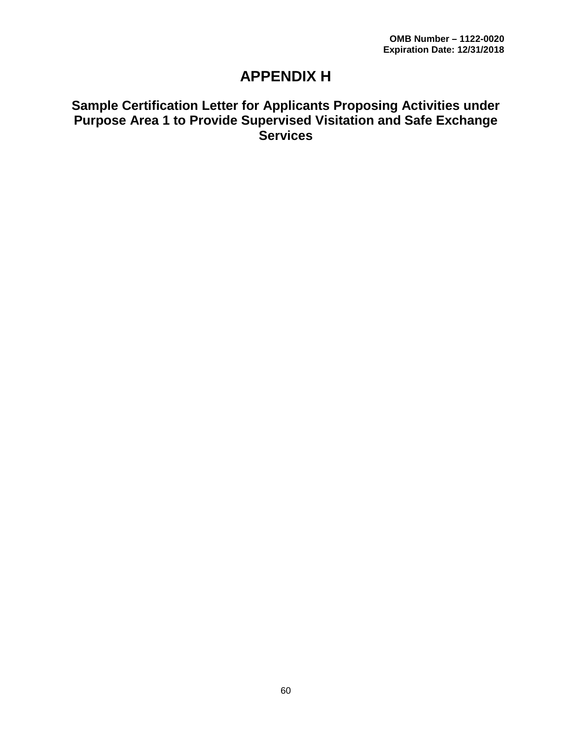# **APPENDIX H**

# **Sample Certification Letter for Applicants Proposing Activities under Purpose Area 1 to Provide Supervised Visitation and Safe Exchange Services**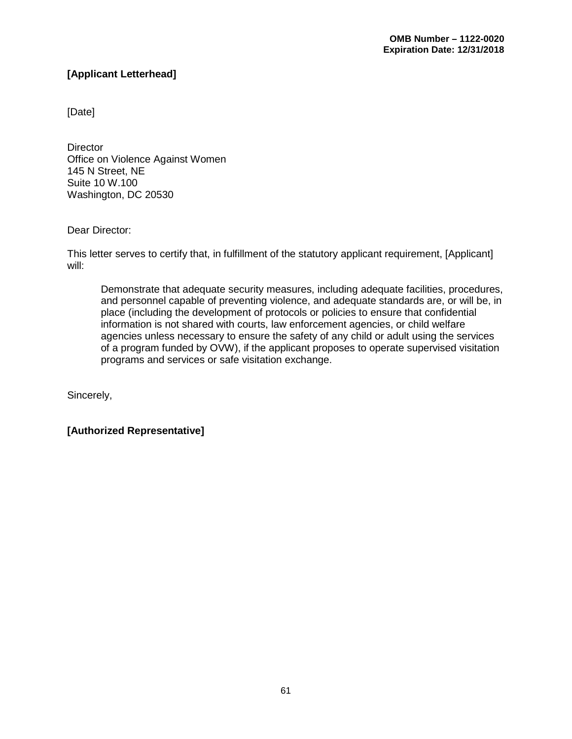# **[Applicant Letterhead]**

[Date]

**Director** Office on Violence Against Women 145 N Street, NE Suite 10 W.100 Washington, DC 20530

Dear Director:

This letter serves to certify that, in fulfillment of the statutory applicant requirement, [Applicant] will:

Demonstrate that adequate security measures, including adequate facilities, procedures, and personnel capable of preventing violence, and adequate standards are, or will be, in place (including the development of protocols or policies to ensure that confidential information is not shared with courts, law enforcement agencies, or child welfare agencies unless necessary to ensure the safety of any child or adult using the services of a program funded by OVW), if the applicant proposes to operate supervised visitation programs and services or safe visitation exchange.

Sincerely,

**[Authorized Representative]**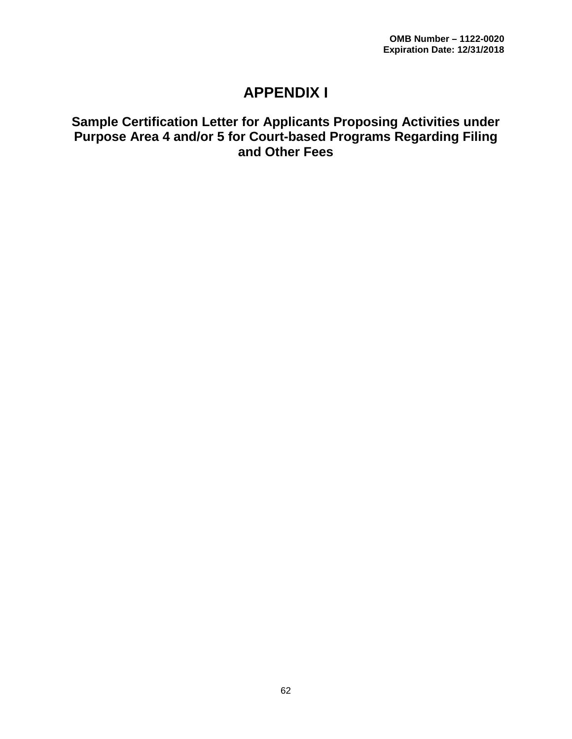# **APPENDIX I**

# **Sample Certification Letter for Applicants Proposing Activities under Purpose Area 4 and/or 5 for Court-based Programs Regarding Filing and Other Fees**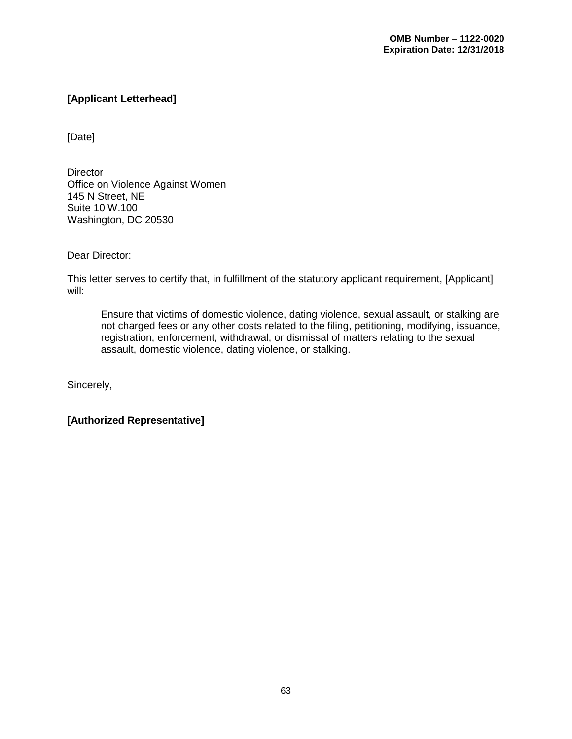# **[Applicant Letterhead]**

[Date]

**Director** Office on Violence Against Women 145 N Street, NE Suite 10 W.100 Washington, DC 20530

Dear Director:

This letter serves to certify that, in fulfillment of the statutory applicant requirement, [Applicant] will:

Ensure that victims of domestic violence, dating violence, sexual assault, or stalking are not charged fees or any other costs related to the filing, petitioning, modifying, issuance, registration, enforcement, withdrawal, or dismissal of matters relating to the sexual assault, domestic violence, dating violence, or stalking.

Sincerely,

**[Authorized Representative]**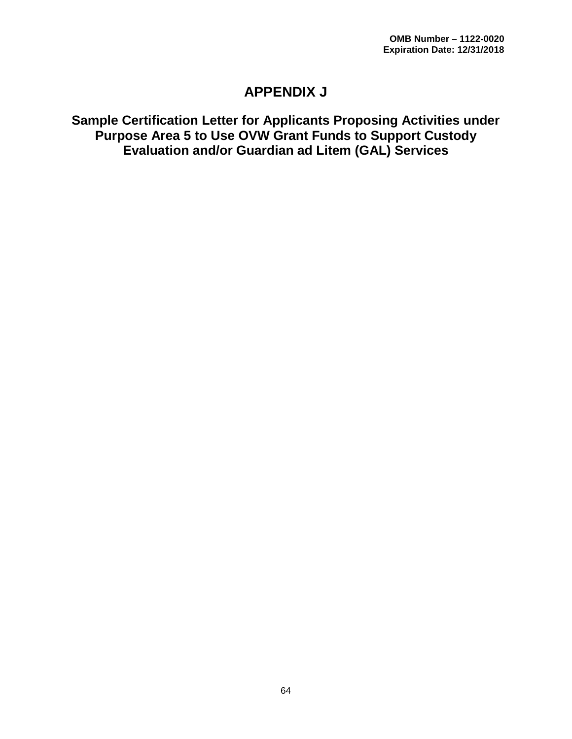# **APPENDIX J**

# **Sample Certification Letter for Applicants Proposing Activities under Purpose Area 5 to Use OVW Grant Funds to Support Custody Evaluation and/or Guardian ad Litem (GAL) Services**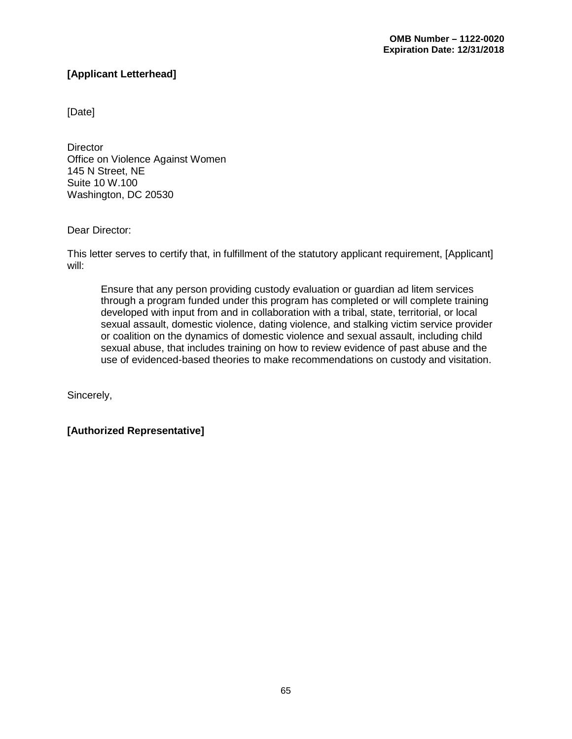# **[Applicant Letterhead]**

[Date]

**Director** Office on Violence Against Women 145 N Street, NE Suite 10 W.100 Washington, DC 20530

Dear Director:

This letter serves to certify that, in fulfillment of the statutory applicant requirement, [Applicant] will:

Ensure that any person providing custody evaluation or guardian ad litem services through a program funded under this program has completed or will complete training developed with input from and in collaboration with a tribal, state, territorial, or local sexual assault, domestic violence, dating violence, and stalking victim service provider or coalition on the dynamics of domestic violence and sexual assault, including child sexual abuse, that includes training on how to review evidence of past abuse and the use of evidenced-based theories to make recommendations on custody and visitation.

Sincerely,

**[Authorized Representative]**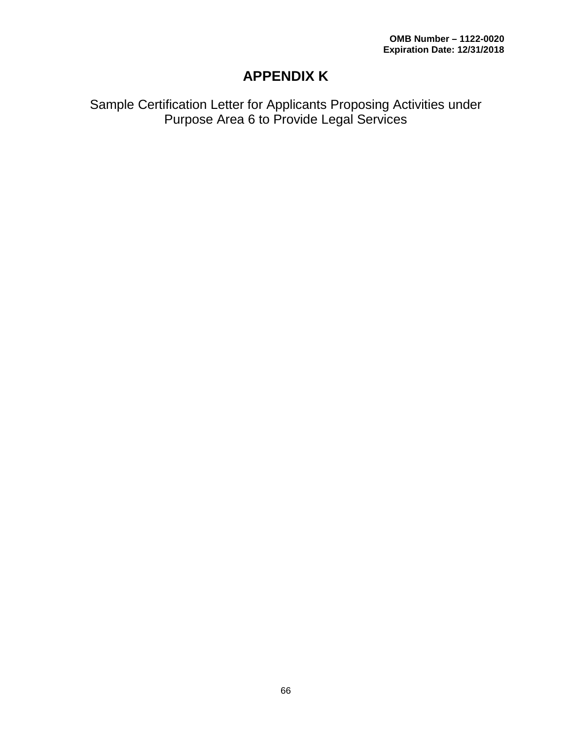# **APPENDIX K**

Sample Certification Letter for Applicants Proposing Activities under Purpose Area 6 to Provide Legal Services